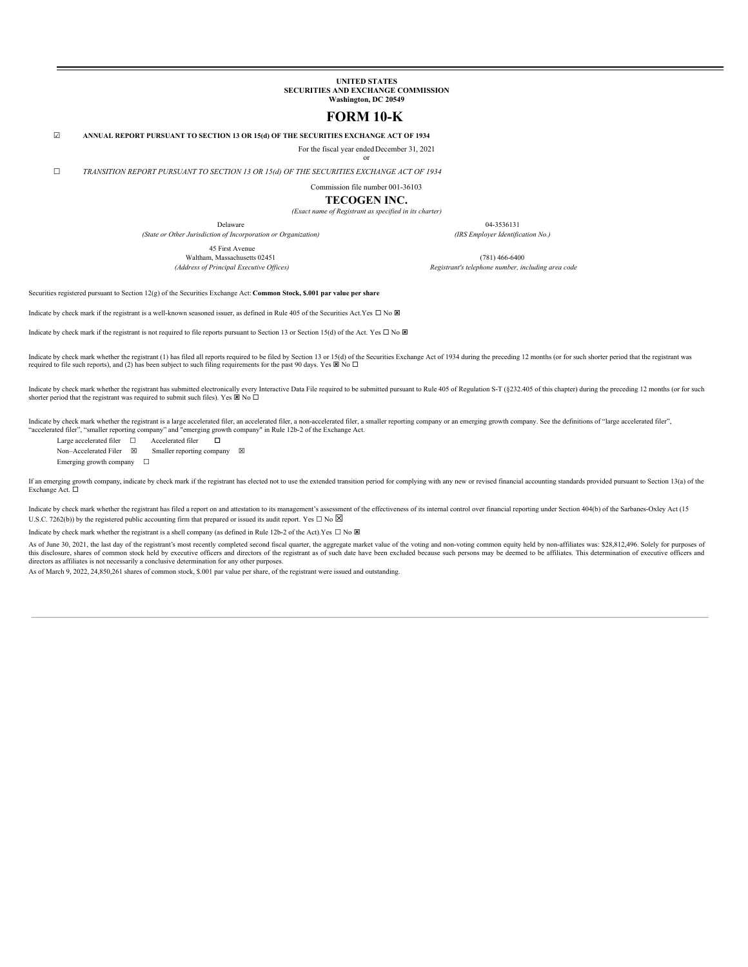**UNITED STATES SECURITIES AND EXCHANGE COMMISSION Washington, DC 20549**

# **FORM 10-K**

☑ **ANNUAL REPORT PURSUANT TO SECTION 13 OR 15(d) OF THE SECURITIES EXCHANGE ACT OF 1934**

For the fiscal year endedDecember 31, 2021

or

**☐** *TRANSITION REPORT PURSUANT TO SECTION 13 OR 15(d) OF THE SECURITIES EXCHANGE ACT OF 1934*

Commission file number 001-36103

**TECOGEN INC.**

*(Exact name of Registrant as specified in its charter)*

*(State or Other Jurisdiction of Incorporation or Organization) (IRS Employer Identification No.)*

45 First Avenue

Delaware 04-3536131

Waltham, Massachusetts 02451 (781) 466-6400 *(Address of Principal Executive Of ices) Registrant's telephone number, including area code*

Securities registered pursuant to Section 12(g) of the Securities Exchange Act: **Common Stock, \$.001 par value per share**

Indicate by check mark if the registrant is a well-known seasoned issuer, as defined in Rule 405 of the Securities Act.Yes  $\Box$  No  $\boxtimes$ 

Indicate by check mark if the registrant is not required to file reports pursuant to Section 13 or Section 15(d) of the Act. Yes  $\Box$  No  $\boxtimes$ 

Indicate by check mark whether the registrant (1) has filed all reports required to be filed by Section 13 or 15(d) of the Securities Exchange Act of 1934 during the preceding 12 months (or for such shorter period that th

Indicate by check mark whether the registrant has submitted electronically every Interactive Data File required to be submitted pursuant to Rule 405 of Regulation S-T (§232.405 of this chapter) during the preceding 12 mont shorter period that the registrant was required to submit such files). Yes  $\boxtimes$  No  $\Box$ 

Indicate by check mark whether the registrant is a large accelerated filer, an accelerated filer, a non-accelerated filer, a smaller reporting company or an emerging growth company. See the definitions of "large accelerate "accelerated filer", "smaller reporting company" and "emerging growth company" in Rule 12b-2 of the Exchange Act.

- Large accelerated filer  $\hfill \Box$  <br> <br> Accelerated filer  $\hfill \Box$
- Non–Accelerated Filer  $\quad \boxtimes \quad \quad$  Smaller reporting company  $\quad \boxtimes$
- Emerging growth company  $\quad \ \Box$

If an emerging growth company, indicate by check mark if the registrant has elected not to use the extended transition period for complying with any new or revised financial accounting standards provided pursuant to Sectio Exchange Act.  $\square$ 

Indicate by check mark whether the registrant has filed a report on and attestation to its management's assessment of the effectiveness of its internal control over financial reporting under Section 404(b) of the Sarbanes-U.S.C. 7262(b)) by the registered public accounting firm that prepared or issued its audit report. Yes  $\Box$  No  $\boxtimes$ 

Indicate by check mark whether the registrant is a shell company (as defined in Rule 12b-2 of the Act).Yes  $\Box$  No  $\boxtimes$ 

As of June 30, 2021, the last day of the registrant's most recently completed second fiscal quarter, the aggregate market value of the voting and non-voting common equity held by non-affiliates was: \$28,812,496. Solely for this disclosure, shares of common stock held by executive officers and directors of the registrant as of such date have been excluded because such persons may be deemed to be affiliates. This determination of executive off directors as affiliates is not necessarily a conclusive determination for any other purposes.

As of March 9, 2022, 24,850,261 shares of common stock, \$.001 par value per share, of the registrant were issued and outstanding.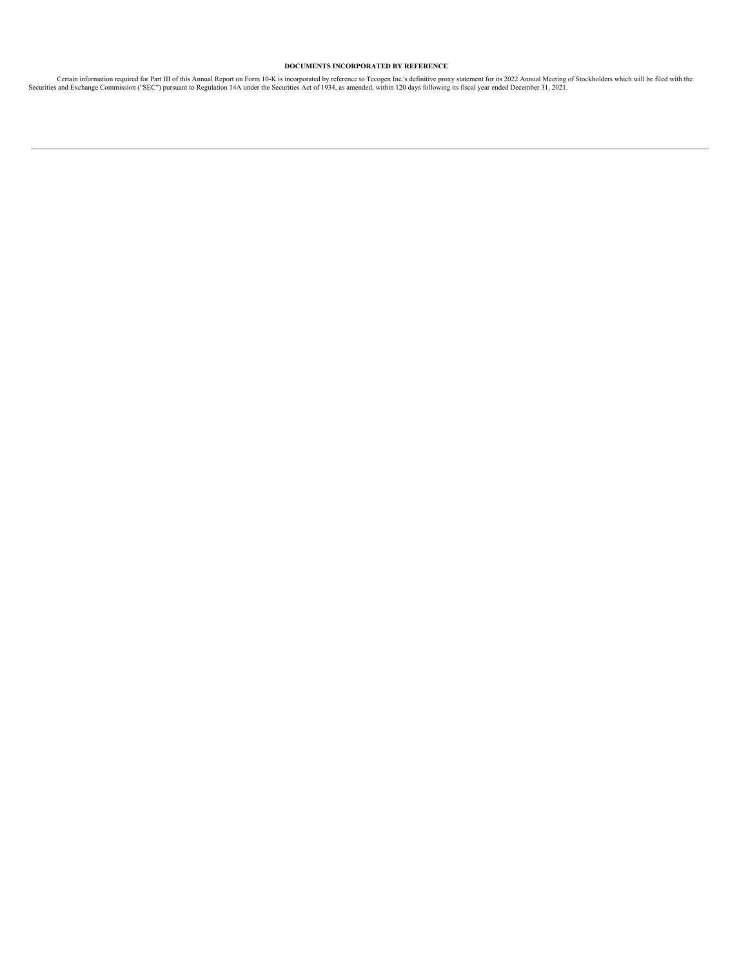# **DOCUMENTS INCORPORATED BY REFERENCE**

Certain information required for Part III of this Annual Report on Form 10-K is incorporated by reference to Tecogen Inc.'s definitive proxy statement for its 2022 Annual Meeting of Stockholders which will be filed with th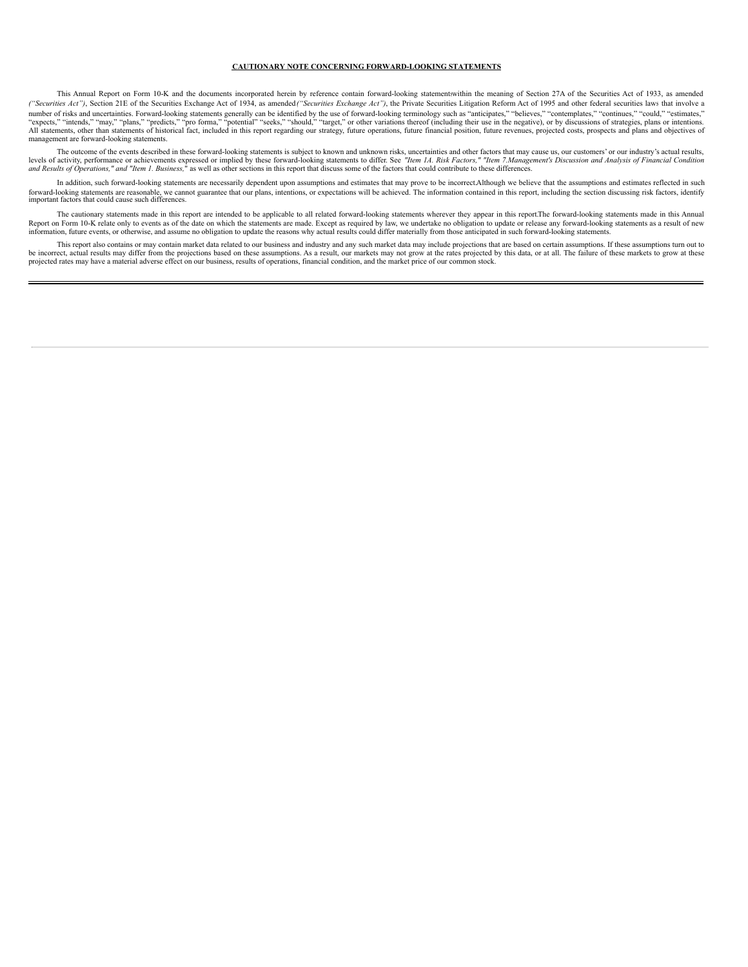# **CAUTIONARY NOTE CONCERNING FORWARD-LOOKING STATEMENTS**

This Annual Report on Form 10-K and the documents incorporated herein by reference contain forward-looking statementswithin the meaning of Section 27A of the Securities Act of 1933, as amended ("Securities Act"), Section 21E of the Securities Exchange Act of 1934, as amended ("Securities Exchange Act"), the Private Securities Litigation Reform Act of 1995 and other federal securities laws that involve a number of risks and uncertainties. Forward-looking statements generally can be identified by the use of forward-looking terminology such as "anticipates," "believes," "contemplates," "continues," "could," "estimates,"<br>"exp management are forward-looking statements.

The outcome of the events described in these forward-looking statements is subject to known and unknown risks, uncertainties and other factors that may cause us, our customers' or our industry's actual results, levels of activity, performance or achievements expressed or implied by these forward-looking statements to differ. See "Item 1A. Risk Factors," "Item 7.Management's Discussion and Analysis of Financial Condition<br>and Resul

In addition, such forward-looking statements are necessarily dependent upon assumptions and estimates that may prove to be incorrect.Although we believe that the assumptions and estimates reflected in such forward-looking statements are reasonable, we cannot guarantee that our plans, intentions, or expectations will be achieved. The information contained in this report, including the section discussing risk factors, identify

The cautionary statements made in this report are intended to be applicable to all related forward-looking statements wherever they appear in this report.The forward-looking statements made in this Annual Report on Form 10-K relate only to events as of the date on which the statements are made. Except as required by law, we undertake no obligation to update or release any forward-looking statements as a result of new information, future events, or otherwise, and assume no obligation to update the reasons why actual results could differ materially from those anticipated in such forward-looking statements.

<span id="page-2-0"></span>This report also contains or may contain market data related to our business and industry and any such market data may include projections that are based on certain assumptions. If these assumptions turn out to be incorrect, actual results may differ from the projections based on these assumptions. As a result, our markets may not grow at the rates projected by this data, or at all. The failure of these markets to grow at these<br>p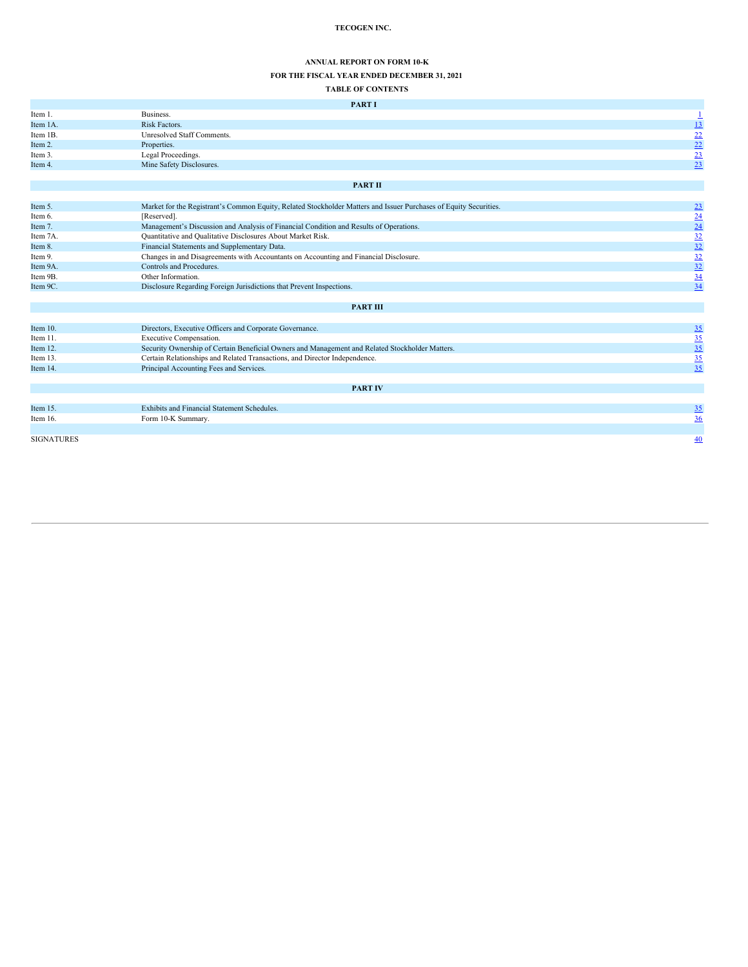# **ANNUAL REPORT ON FORM 10-K FOR THE FISCAL YEAR ENDED DECEMBER 31, 2021 TABLE OF CONTENTS**

<span id="page-3-0"></span>

|                   | <b>PARTI</b>                                                                                                      |                                                                         |  |  |
|-------------------|-------------------------------------------------------------------------------------------------------------------|-------------------------------------------------------------------------|--|--|
| Item 1.           | Business.                                                                                                         | $\overline{1}$                                                          |  |  |
| Item 1A.          | Risk Factors.                                                                                                     |                                                                         |  |  |
| Item 1B.          | Unresolved Staff Comments.                                                                                        | $\frac{13}{22}$ $\frac{22}{23}$ $\frac{23}{23}$                         |  |  |
| Item 2.           | Properties.                                                                                                       |                                                                         |  |  |
| Item 3.           | Legal Proceedings.                                                                                                |                                                                         |  |  |
| Item 4.           | Mine Safety Disclosures.                                                                                          |                                                                         |  |  |
|                   |                                                                                                                   |                                                                         |  |  |
|                   | <b>PART II</b>                                                                                                    |                                                                         |  |  |
| Item 5.           | Market for the Registrant's Common Equity, Related Stockholder Matters and Issuer Purchases of Equity Securities. | 23                                                                      |  |  |
| Item 6.           | [Reserved].                                                                                                       |                                                                         |  |  |
| Item 7.           | Management's Discussion and Analysis of Financial Condition and Results of Operations.                            | $\frac{24}{24} \frac{32}{32} \frac{32}{32} \frac{32}{32} \frac{32}{34}$ |  |  |
| Item 7A.          | Quantitative and Qualitative Disclosures About Market Risk.                                                       |                                                                         |  |  |
| Item 8.           | Financial Statements and Supplementary Data.                                                                      |                                                                         |  |  |
| Item 9.           | Changes in and Disagreements with Accountants on Accounting and Financial Disclosure.                             |                                                                         |  |  |
| Item 9A.          | Controls and Procedures.                                                                                          |                                                                         |  |  |
| Item 9B.          | Other Information.                                                                                                |                                                                         |  |  |
| Item 9C.          | Disclosure Regarding Foreign Jurisdictions that Prevent Inspections.                                              |                                                                         |  |  |
|                   | <b>PART III</b>                                                                                                   |                                                                         |  |  |
|                   |                                                                                                                   |                                                                         |  |  |
| Item $10$ .       | Directors, Executive Officers and Corporate Governance.                                                           |                                                                         |  |  |
| Item 11           | Executive Compensation.                                                                                           | $\frac{35}{35}$<br>$\frac{35}{35}$                                      |  |  |
| Item 12.          | Security Ownership of Certain Beneficial Owners and Management and Related Stockholder Matters.                   |                                                                         |  |  |
| Item 13.          | Certain Relationships and Related Transactions, and Director Independence.                                        |                                                                         |  |  |
| Item 14.          | Principal Accounting Fees and Services.                                                                           |                                                                         |  |  |
| <b>PART IV</b>    |                                                                                                                   |                                                                         |  |  |
| Item 15.          | Exhibits and Financial Statement Schedules.                                                                       |                                                                         |  |  |
| Item 16.          | Form 10-K Summary.                                                                                                | $\frac{35}{36}$                                                         |  |  |
|                   |                                                                                                                   |                                                                         |  |  |
| <b>SIGNATURES</b> |                                                                                                                   | 40                                                                      |  |  |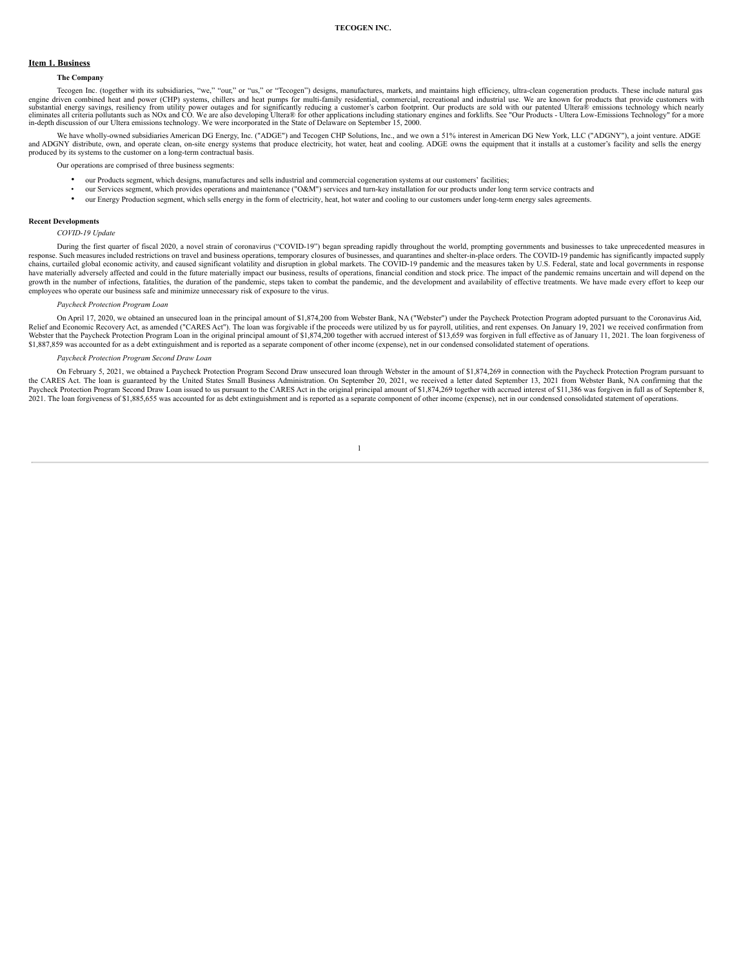# **Item 1. Business**

#### **The Company**

Tecogen Inc. (together with its subsidiaries, "we," "our," or "us," or "Tecogen") designs, manufactures, markets, and maintains high efficiency, ultra-clean cogeneration products. These include natural gas engine driven combined heat and power (CHP) systems, chillers and heat pumps for multi-family residential, commercial, recreational and industrial use. We are known for products that provide customers with substantial ener

We have wholly-owned subsidiaries American DG Energy, Inc. ("ADGE") and Tecogen CHP Solutions, Inc., and we own a 51% interest in American DG New York, LLC ("ADGNY"), a joint venture. ADGE and ADGNY distribute, own, and operate clean, on-site energy systems that produce electricity, hot water, heat and cooling. ADGE owns the equipment that it installs at a customer's facility and sells the energy produced by

Our operations are comprised of three business segments:

- our Products segment, which designs, manufactures and sells industrial and commercial cogeneration systems at our customers' facilities;
- our Services segment, which provides operations and maintenance ("O&M") services and turn-key installation for our products under long term service contracts and
- our Energy Production segment, which sells energy in the form of electricity, heat, hot water and cooling to our customers under long-term energy sales agreements.

# **Recent Developments**

*COVID-19 Update*

During the first quarter of fiscal 2020, a novel strain of coronavirus ("COVID-19") began spreading rapidly throughout the world, prompting governments and businesses to take unprecedented measures in response. Such measures included restrictions on travel and business operations, temporary closures of businesses, and quarantines and shelter-in-place orders. The COVID-19 pandemic has significantly impacted supply chains, curtailed global economic activity, and caused significant volatility and disruption in global markets. The COVID-19 pandemic and the measures taken by U.S. Federal, state and local governments in response have materially adversely affected and could in the future materially impact our business, results of operations, financial condition and stock price. The impact of the pandemic remains uncertain and will depend on the growth in the number of infections, fatalities, the duration of the pandemic, steps taken to combat the pandemic, and the development and availability of effective treatments. We have made every effort to keep our employees who operate our business safe and minimize unnecessary risk of exposure to the virus.

# *Paycheck Protection Program Loan*

On April 17, 2020, we obtained an unsecured loan in the principal amount of \$1,874,200 from Webster Bank, NA ("Webster") under the Paycheck Protection Program adopted pursuant to the Coronavirus Aid, Relief and Economic Recovery Act, as amended ("CARES Act"). The loan was forgivable if the proceeds were utilized by us for payroll, utilities, and rent expenses. On January 19, 2021 we received confirmation from Webster that the Paycheck Protection Program Loan in the original principal amount of \$1,874,200 together with accrued interest of \$13,659 was forgiven in full effective as of January 11, 2021. The loan forgiveness of \$1,887,859 was accounted for as a debt extinguishment and is reported as a separate component of other income (expense), net in our condensed consolidated statement of operations.

# *Paycheck Protection Program Second Draw Loan*

On February 5, 2021, we obtained a Paycheck Protection Program Second Draw unsecured loan through Webster in the amount of \$1,874,269 in connection with the Paycheck Protection Program pursuant to the CARES Act. The loan is guaranteed by the United States Small Business Administration. On September 20, 2021, we received a letter dated September 13, 2021 from Webster Bank, NA confirming that the Paycheck Protection Program Second Draw Loan issued to us pursuant to the CARES Act in the original principal amount of \$1,874,269 together with accrued interest of \$11,386 was forgiven in full as of September 8, 2021. The loan forgiveness of \$1,885,655 was accounted for as debt extinguishment and is reported as a separate component of other income (expense), net in our condensed consolidated statement of operations.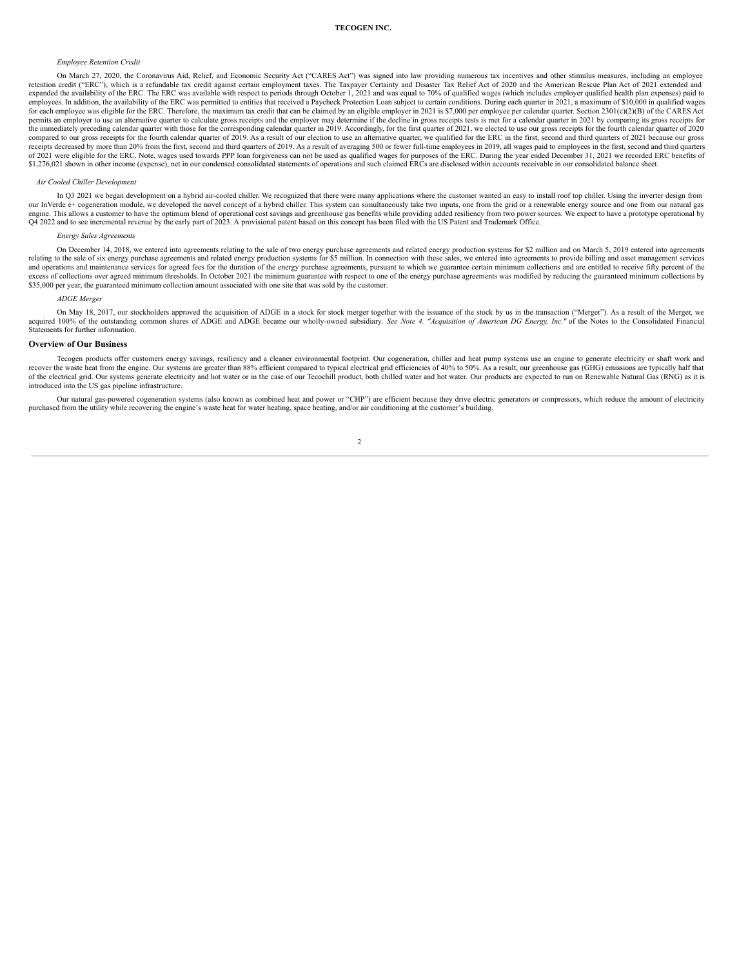### *Employee Retention Credit*

On March 27, 2020, the Coronavirus Aid, Relief, and Economic Security Act ("CARES Act") was signed into law providing numerous tax incentives and other stimulus measures, including an employee retention credit ("ERC"), which is a refundable tax credit against certain employment taxes. The Taxpayer Certainty and Disaster Tax Relief Act of 2020 and the American Rescue Plan Act of 2021 extended and expanded the availability of the ERC. The ERC was available with respect to periods through October 1, 2021 and was equal to 70% of qualified wages (which includes employer qualified health plan expenses) paid to employees. In addition, the availability of the ERC was permitted to entities that received a Paycheck Protection Loan subject to certain conditions. During each quarter in 2021, a maximum of \$10,000 in qualified wages for each employee was eligible for the ERC. Therefore, the maximum tax credit that can be claimed by an eligible employer in 2021 is \$7,000 per employee per calendar quarter. Section 2301(c)(2)(B) of the CARES Act permits an employer to use an alternative quarter to calculate gross receipts and the employer may determine if the decline in gross receipts tests is met for a calendar quarter in 2021 by comparing its gross receipts for the immediately preceding calendar quarter with those for the corresponding calendar quarter in 2019. Accordingly, for the first quarter of 2021, we elected to use our gross receipts for the fourth calendar quarter of 2020 compared to our gross receipts for the fourth calendar quarter of 2019. As a result of our election to use an alternative quarter, we qualified for the ERC in the first, second and third quarters of 2021 because our gross receipts decreased by more than 20% from the first, second and third quarters of 2019. As a result of averaging 500 or fewer full-time employees in 2019, all wages paid to employees in the first, second and third quarters of 2021 were eligible for the ERC. Note, wages used towards PPP loan forgiveness can not be used as qualified wages for purposes of the ERC. During the year ended December 31, 2021 we recorded ERC benefits of<br>\$1,276,021 sh

#### *Air Cooled Chiller Development*

In Q3 2021 we began development on a hybrid air-cooled chiller. We recognized that there were many applications where the customer wanted an easy to install roof top chiller. Using the inverter design from our InVerde e+ cogeneration module, we developed the novel concept of a hybrid chiller. This system can simultaneously take two inputs, one from the grid or a renewable energy source and one from our natural gas<br>engine. Th Q4 2022 and to see incremental revenue by the early part of 2023. A provisional patent based on this concept has been filed with the US Patent and Trademark Office.

# *Energy Sales Agreements*

On December 14, 2018, we entered into agreements relating to the sale of two energy purchase agreements and related energy production systems for \$2 million and on March 5, 2019 entered into agreements relating to the sale of six energy purchase agreements and related energy production systems for \$5 million. In connection with these sales, we entered into agreements to provide billing and asset management services and operations and maintenance services for agreed fees for the duration of the energy purchase agreements, pursuant to which we guarantee certain minimum collections and are entitled to receive fifty percent of the excess of collections over agreed minimum thresholds. In October 2021 the minimum guarantee with respect to one of the energy purchase agreements was modified by reducing the guaranteed minimum collections by \$35,000 per year, the guaranteed minimum collection amount associated with one site that was sold by the customer.

#### *ADGE Merger*

On May 18, 2017, our stockholders approved the acquisition of ADGE in a stock for stock merger together with the issuance of the stock by us in the transaction ("Merger"). As a result of the Merger, we acquired 100% of the Statements for further information.

#### **Overview of Our Business**

Tecogen products offer customers energy savings, resiliency and a cleaner environmental footprint. Our cogeneration, chiller and heat pump systems use an engine to generate electricity or shaft work and<br>recover the waste h of the electrical grid. Our systems generate electricity and hot water or in the case of our Tecochill product, both chilled water and hot water. Our products are expected to run on Renewable Natural Gas (RNG) as it is introduced into the US gas pipeline infrastructure.

Our natural gas-powered cogeneration systems (also known as combined heat and power or "CHP") are efficient because they drive electric generators or compressors, which reduce the amount of electricity purchased from the utility while recovering the engine's waste heat for water heating, space heating, and/or air conditioning at the customer's building.

 $\overline{2}$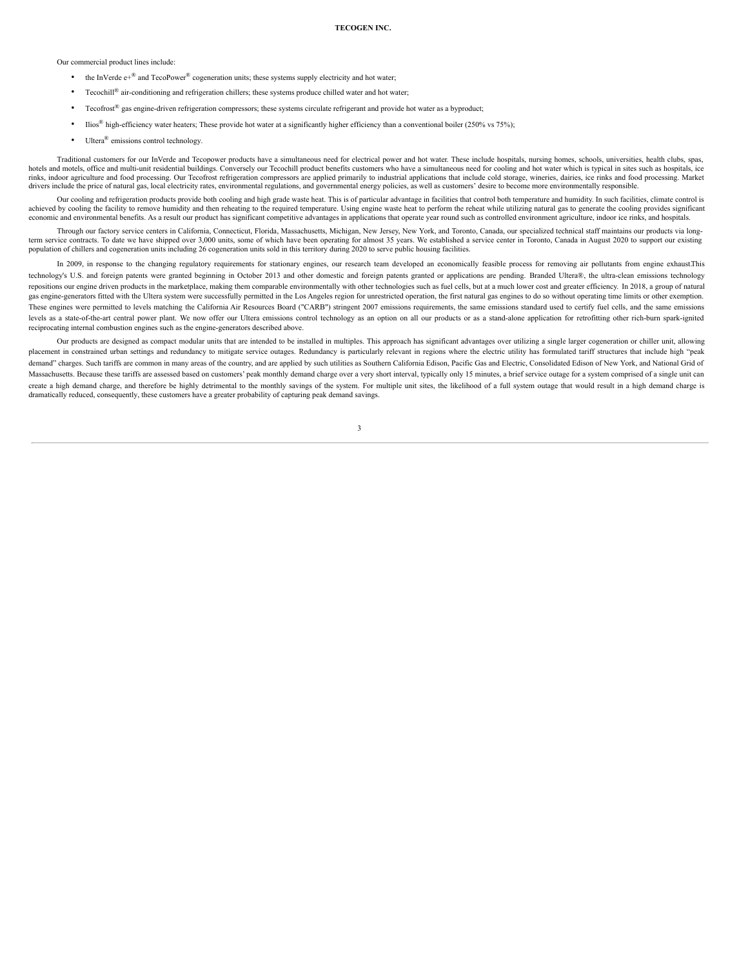Our commercial product lines include:

- the InVerde  $e^{\pm \mathcal{R}}$  and TecoPower $^{\mathcal{R}}$  cogeneration units; these systems supply electricity and hot water;
- Tecochill® air-conditioning and refrigeration chillers; these systems produce chilled water and hot water;
- Tecofrost® gas engine-driven refrigeration compressors; these systems circulate refrigerant and provide hot water as a byproduct;
- Ilios<sup>®</sup> high-efficiency water heaters; These provide hot water at a significantly higher efficiency than a conventional boiler (250% vs 75%);
- Ultera<sup>®</sup> emissions control technology.

Traditional customers for our InVerde and Tecopower products have a simultaneous need for electrical power and hot water. These include hospitals, nursing homes, schools, universities, health clubs, spas, hotels and motels, office and multi-unit residential buildings. Conversely our Tecochill product benefits customers who have a simultaneous need for cooling and hot water which is typical in sites such as hospitals, ice rinks, indoor agriculture and food processing. Our Tecofrost refrigeration compressors are applied primarily to industrial applications that include cold storage, wineries, dairies, ice rinks and food processing. Market drivers include the price of natural gas, local electricity rates, environmental regulations, and governmental energy policies, as well as customers' desire to become more environmentally responsible.

Our cooling and refrigeration products provide both cooling and high grade waste heat. This is of particular advantage in facilities that control both temperature and humidity. In such facilities, climate control is achieved by cooling the facility to remove humidity and then reheating to the required temperature. Using engine waste heat to perform the reheat while utilizing natural gas to generate the cooling provides significant economic and environmental benefits. As a result our product has significant competitive advantages in applications that operate year round such as controlled environment agriculture, indoor ice rinks, and hospitals.

Through our factory service centers in California, Connecticut, Florida, Massachusetts, Michigan, New Jersey, New York, and Toronto, Canada, our specialized technical staff maintains our products via longterm service contracts. To date we have shipped over 3,000 units, some of which have been operating for almost 35 years. We established a service center in Toronto, Canada in August 2020 to support our existing population of chillers and cogeneration units including 26 cogeneration units sold in this territory during 2020 to serve public housing facilities.

In 2009, in response to the changing regulatory requirements for stationary engines, our research team developed an economically feasible process for removing air pollutants from engine exhaust.This technology's U.S. and foreign patents were granted beginning in October 2013 and other domestic and foreign patents granted or applications are pending. Branded Ultera®, the ultra-clean emissions technology repositions our engine driven products in the marketplace, making them comparable environmentally with other technologies such as fuel cells, but at a much lower cost and greater efficiency. In 2018, a group of natural gas engine-generators fitted with the Ultera system were successfully permitted in the Los Angeles region for unrestricted operation, the first natural gas engines to do so without operating time limits or other exemption. These engines were permitted to levels matching the California Air Resources Board ("CARB") stringent 2007 emissions requirements, the same emissions standard used to certify fuel cells, and the same emissions levels as a state-of-the-art central power plant. We now offer our Ultera emissions control technology as an option on all our products or as a stand-alone application for retrofitting other rich-burn spark-ignited reciprocating internal combustion engines such as the engine-generators described above.

Our products are designed as compact modular units that are intended to be installed in multiples. This approach has significant advantages over utilizing a single larger cogeneration or chiller unit, allowing placement in constrained urban settings and redundancy to mitigate service outages. Redundancy is particularly relevant in regions where the electric utility has formulated tariff structures that include high "peak demand" charges. Such tariffs are common in many areas of the country, and are applied by such utilities as Southern California Edison, Pacific Gas and Electric, Consolidated Edison of New York, and National Grid of Massachusetts. Because these tariffs are assessed based on customers' peak monthly demand charge over a very short interval, typically only 15 minutes, a brief service outage for a system comprised of a single unit can create a high demand charge, and therefore be highly detrimental to the monthly savings of the system. For multiple unit sites, the likelihood of a full system outage that would result in a high demand charge is dramatically reduced, consequently, these customers have a greater probability of capturing peak demand savings.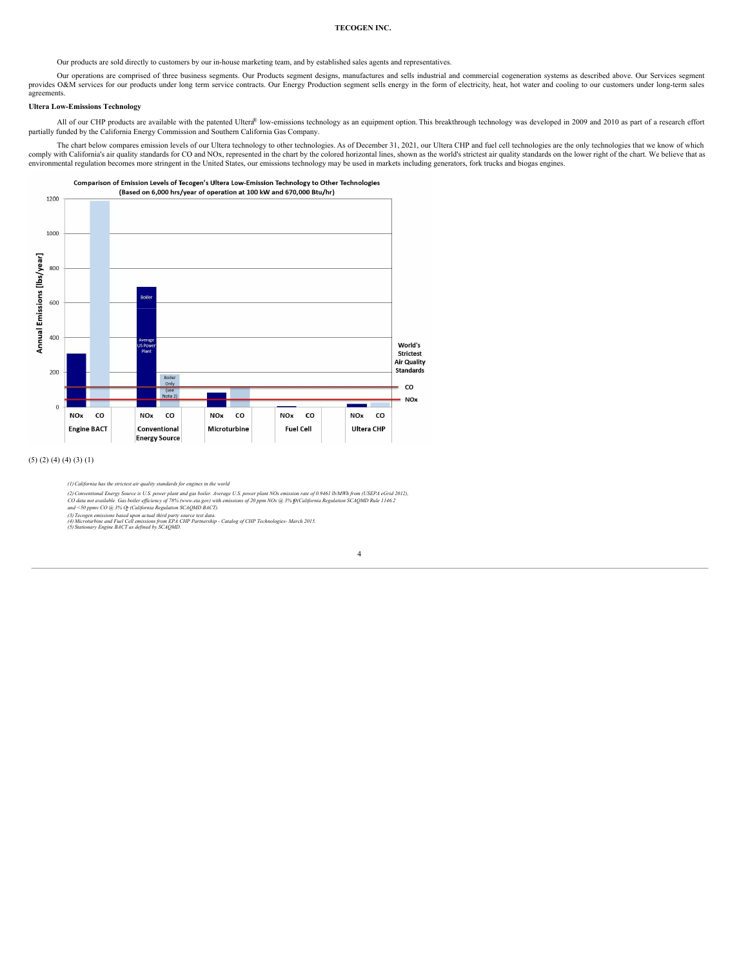Our products are sold directly to customers by our in-house marketing team, and by established sales agents and representatives.

Our operations are comprised of three business segments. Our Products segment designs, manufactures and sells industrial and commercial cogeneration systems as described above. Our Services segment provides O&M services for our products under long term service contracts. Our Energy Production segment sells energy in the form of electricity, heat, hot water and cooling to our customers under long-term sales agreements.

# **Ultera Low-Emissions Technology**

All of our CHP products are available with the patented Ultera® low-emissions technology as an equipment option. This breakthrough technology was developed in 2009 and 2010 as part of a research effort partially funded by the California Energy Commission and Southern California Gas Company.

The chart below compares emission levels of our Ultera technology to other technologies. As of December 31, 2021, our Ultera CHP and fuel cell technologies are the only technologies that we know of which<br>comply with Califo environmental regulation becomes more stringent in the United States, our emissions technology may be used in markets including generators, fork trucks and biogas engines.

4

### Comparison of Emission Levels of Tecogen's Ultera Low-Emission Technology to Other Technologies Based on 6,000 hrs/year of operation at 100 kW and 670,000 Btu/hr)



# (5) (2) (4) (4) (3) (1)

*(1) California has the strictest air quality standards for engines in the world*

(2) Conventional Energy Source is U.S. power plant and gas boiler. Average U.S. power plant NOx emission rate of 0.9461 lbMWh from (USEPA eGrid 2012),<br>CO data not available. Gas boiler efficiency of 78% (www.eia.gov) with

i boiler efficiency of 78% (www.eia.gov) with emissions of 20 ppm NOx @ 3% <u>0)</u><br>@ (California Regulation SCAQMD BACT).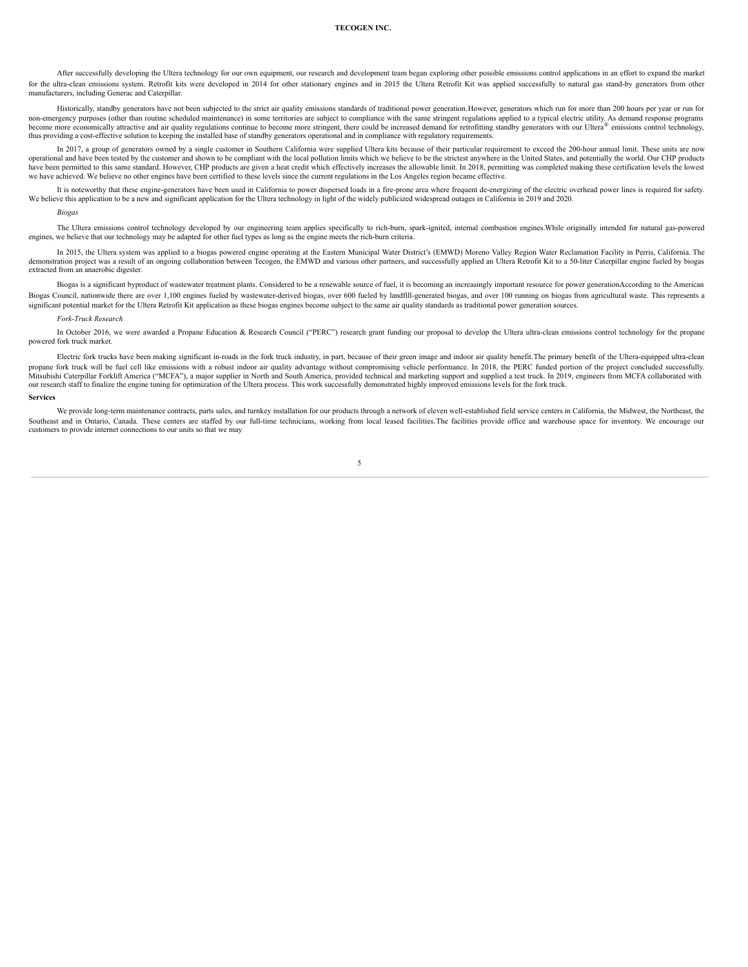After successfully developing the Ultera technology for our own equipment, our research and development team began exploring other possible emissions control applications in an effort to expand the market for the ultra-clean emissions system. Retrofit kits were developed in 2014 for other stationary engines and in 2015 the Ultera Retrofit Kit was applied successfully to natural gas stand-by generators from other manufacturers, including Generac and Caterpillar.

Historically, standby generators have not been subjected to the strict air quality emissions standards of traditional power generation.However, generators which run for more than 200 hours per year or run for non-emergency purposes (other than routine scheduled maintenance) in some territories are subject to compliance with the same stringent regulations applied to a typical electric utility. As demand response programs become more economically attractive and air quality regulations continue to become more stringent, there could be increased demand for retrofitting standby generators with our Ultera® emissions control technology, thus providing a cost-effective solution to keeping the installed base of standby generators operational and in compliance with regulatory requirements.

In 2017, a group of generators owned by a single customer in Southern California were supplied Ultera kits because of their particular requirement to exceed the 200-hour annual limit. These units are now operational and have been tested by the customer and shown to be compliant with the local pollution limits which we believe to be the strictest anywhere in the United States, and potentially the world. Our CHP products have been permitted to this same standard. However, CHP products are given a heat credit which effectively increases the allowable limit. In 2018, permitting was completed making these certification levels the lowest we have achieved. We believe no other engines have been certified to these levels since the current regulations in the Los Angeles region became effective.

It is noteworthy that these engine-generators have been used in California to power dispersed loads in a fire-prone area where frequent de-energizing of the electric overhead power lines is required for safety. We believe this application to be a new and significant application for the Ultera technology in light of the widely publicized widespread outages in California in 2019 and 2020.

# *Biogas*

The Ultera emissions control technology developed by our engineering team applies specifically to rich-burn, spark-ignited, internal combustion engines.While originally intended for natural gas-powered engines, we believe that our technology may be adapted for other fuel types as long as the engine meets the rich-burn criteria.

In 2015, the Ultera system was applied to a biogas powered engine operating at the Eastern Municipal Water District's (EMWD) Moreno Valley Region Water Reclamation Facility in Perris, California. The demonstration project extracted from an anaerobic digester.

Biogas is a significant byproduct of wastewater treatment plants. Considered to be a renewable source of fuel, it is becoming an increasingly important resource for power generation.According to the American Biogas Council, nationwide there are over 1,100 engines fueled by wastewater-derived biogas, over 600 fueled by landfill-generated biogas, and over 100 running on biogas from agricultural waste. This represents a significant potential market for the Ultera Retrofit Kit application as these biogas engines become subject to the same air quality standards as traditional power generation sources.

#### *Fork-Truck Research*

In October 2016, we were awarded a Propane Education & Research Council ("PERC") research grant funding our proposal to develop the Ultera ultra-clean emissions control technology for the propane powered fork truck market.

Electric fork trucks have been making significant in-roads in the fork truck industry, in part, because of their green image and indoor air quality benefit. The primary benefit of the Ultera-equipped ultra-clean propane fork truck will be fuel cell like emissions with a robust indoor air quality advantage without compromising vehicle performance. In 2018, the PERC funded portion of the project concluded successfully. Mitsubishi Caterpillar Forklift America ("MCFA"), a major supplier in North and South America, provided technical and marketing support and supplied a test truck. In 2019, engineers from MCFA collaborated with our research staff to finalize the engine tuning for optimization of the Ultera process. This work successfully demonstrated highly improved emissions levels for the fork truck.

#### **Services**

We provide long-term maintenance contracts, parts sales, and turnkey installation for our products through a network of eleven well-established field service centers in California, the Midwest, the Northeast, the Southeast and in Ontario, Canada. These centers are staffed by our full-time technicians, working from local leased facilities.The facilities provide office and warehouse space for inventory. We encourage our customers to provide internet connections to our units so that we may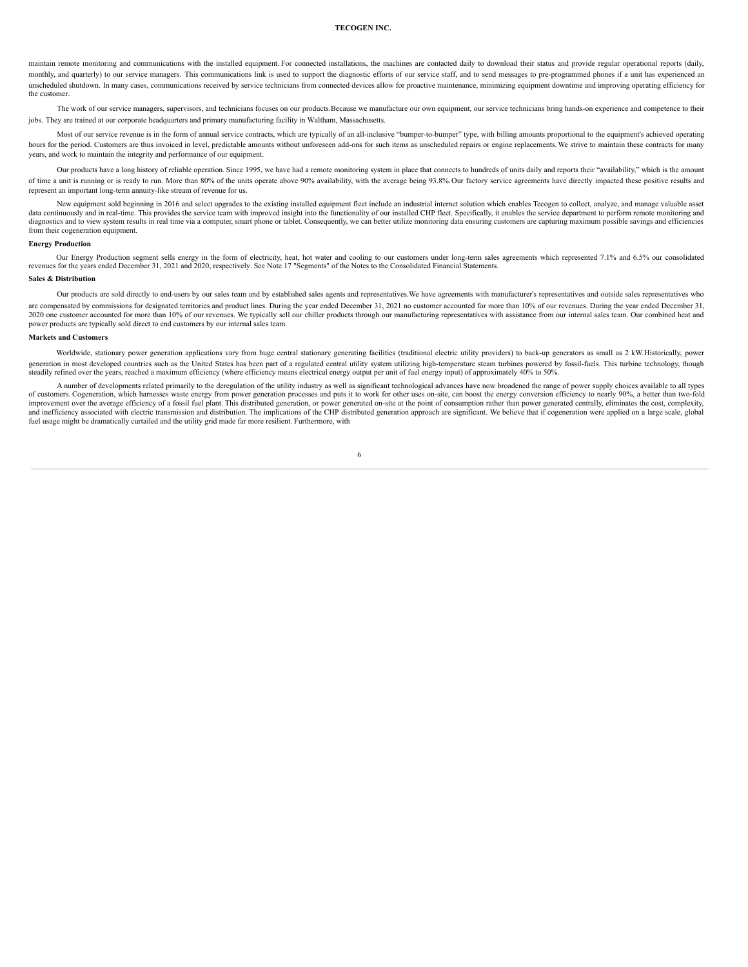maintain remote monitoring and communications with the installed equipment. For connected installations, the machines are contacted daily to download their status and provide regular operational reports (daily, monthly, and quarterly) to our service managers. This communications link is used to support the diagnostic efforts of our service staff, and to send messages to pre-programmed phones if a unit has experienced an unscheduled shutdown. In many cases, communications received by service technicians from connected devices allow for proactive maintenance, minimizing equipment downtime and improving operating efficiency for the customer.

The work of our service managers, supervisors, and technicians focuses on our products.Because we manufacture our own equipment, our service technicians bring hands-on experience and competence to their jobs. They are trained at our corporate headquarters and primary manufacturing facility in Waltham, Massachusetts.

Most of our service revenue is in the form of annual service contracts, which are typically of an all-inclusive "bumper-to-bumper" type, with billing amounts proportional to the equipment's achieved operating hours for the period. Customers are thus invoiced in level, predictable amounts without unforeseen add-ons for such items as unscheduled repairs or engine replacements. We strive to maintain these contracts for many years, and work to maintain the integrity and performance of our equipment.

Our products have a long history of reliable operation. Since 1995, we have had a remote monitoring system in place that connects to hundreds of units daily and reports their "availability," which is the amount of time a unit is running or is ready to run. More than 80% of the units operate above 90% availability, with the average being 93.8%. Our factory service agreements have directly impacted these positive results and represent an important long-term annuity-like stream of revenue for us.

New equipment sold beginning in 2016 and select upgrades to the existing installed equipment fleet include an industrial internet solution which enables Tecogen to collect, analyze, and manage valuable asset data continuously and in real-time. This provides the service team with improved insight into the functionality of our installed CHP fleet. Specifically, it enables the service department to perform remote monitoring and diagnostics and to view system results in real time via a computer, smart phone or tablet. Consequently, we can better utilize monitoring data ensuring customers are capturing maximum possible savings and efficiencies from their cogeneration equipment.

# **Energy Production**

Our Energy Production segment sells energy in the form of electricity, heat, hot water and cooling to our customers under long-term sales agreements which represented 7.1% and 6.5% our consolidated revenues for the years ended December 31, 2021 and 2020, respectively. See Note 17 "Segments" of the Notes to the Consolidated Financial Statements.

# **Sales & Distribution**

Our products are sold directly to end-users by our sales team and by established sales agents and representatives. We have agreements with manufacturer's representatives and outside sales representatives who are compensated by commissions for designated territories and product lines. During the year ended December 31, 2021 no customer accounted for more than 10% of our revenues. During the year ended December 31, 2020 one customer accounted for more than 10% of our revenues. We typically sell our chiller products through our manufacturing representatives with assistance from our internal sales team. Our combined heat and power products are typically sold direct to end customers by our internal sales team.

#### **Markets and Customers**

Worldwide, stationary power generation applications vary from huge central stationary generating facilities (traditional electric utility providers) to back-up generators as small as 2 kW.Historically, power generation in most developed countries such as the United States has been part of a regulated central utility system utilizing high-temperature steam turbines powered by fossil-fuels. This turbine technology, though steadily refined over the years, reached a maximum efficiency (where efficiency means electrical energy output per unit of fuel energy input) of approximately 40% to 50%.

A number of developments related primarily to the deregulation of the utility industry as well as significant technological advances have now broadened the range of power supply choices available to all types of customers. Cogeneration, which harnesses waste energy from power generation processes and puts it to work for other uses on-site, can boost the energy conversion efficiency to nearly 90%, a better than two-fold improvem and inefficiency associated with electric transmission and distribution. The implications of the CHP distributed generation approach are significant. We believe that if cogeneration were applied on a large scale, global fuel usage might be dramatically curtailed and the utility grid made far more resilient. Furthermore, with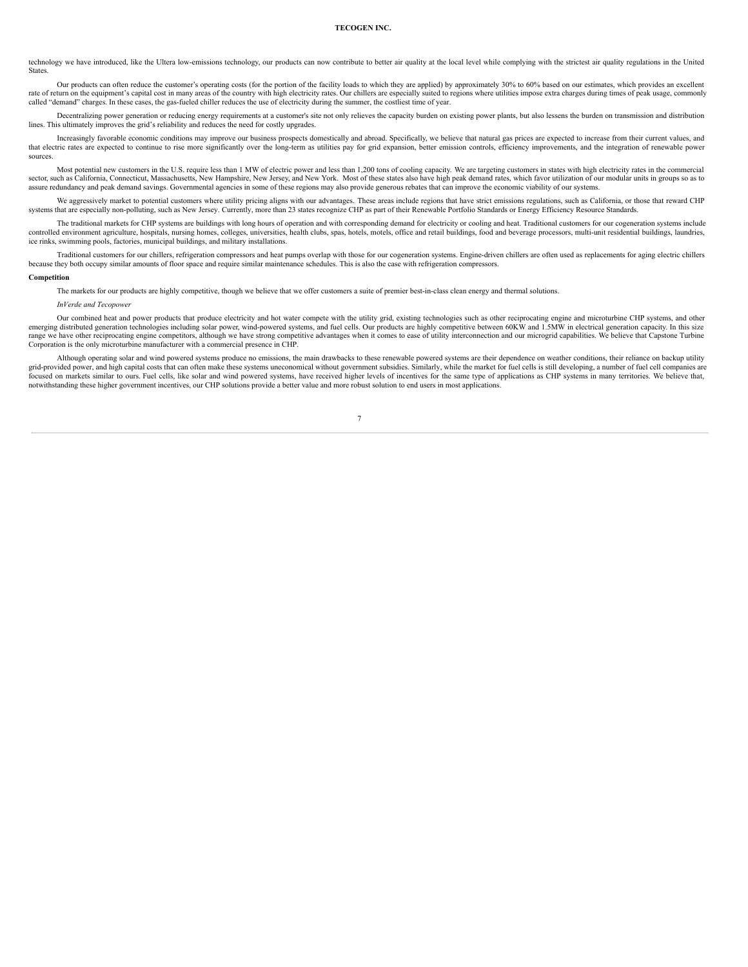technology we have introduced, like the Ultera low-emissions technology, our products can now contribute to better air quality at the local level while complying with the strictest air quality regulations in the United **States** 

Our products can often reduce the customer's operating costs (for the portion of the facility loads to which they are applied) by approximately 30% to 60% based on our estimates, which provides an excellent rate of return on the equipment's capital cost in many areas of the country with high electricity rates. Our chillers are especially suited to regions where utilities impose extra charges during times of peak usage, common called "demand" charges. In these cases, the gas-fueled chiller reduces the use of electricity during the summer, the costliest time of year.

Decentralizing power generation or reducing energy requirements at a customer's site not only relieves the capacity burden on existing power plants, but also lessens the burden on transmission and distribution lines. This ultimately improves the grid's reliability and reduces the need for costly upgrades.

Increasingly favorable economic conditions may improve our business prospects domestically and abroad. Specifically, we believe that natural gas prices are expected to increase from their current values, and that electric rates are expected to continue to rise more significantly over the long-term as utilities pay for grid expansion, better emission controls, efficiency improvements, and the integration of renewable power sources.

Most potential new customers in the U.S. require less than 1 MW of electric power and less than 1,200 tons of cooling capacity. We are targeting customers in states with high electricity rates in the commercial sector, such as California, Connecticut, Massachusetts, New Hampshire, New Jersey, and New York. Most of these states also have high peak demand rates, which favor utilization of our modular units in groups so as to assure redundancy and peak demand savings. Governmental agencies in some of these regions may also provide generous rebates that can improve the economic viability of our systems.

We aggressively market to potential customers where utility pricing aligns with our advantages. These areas include regions that have strict emissions regulations, such as California, or those that reward CHP systems that are especially non-polluting, such as New Jersey. Currently, more than 23 states recognize CHP as part of their Renewable Portfolio Standards or Energy Efficiency Resource Standards.

The traditional markets for CHP systems are buildings with long hours of operation and with corresponding demand for electricity or cooling and heat. Traditional customers for our cogeneration systems include controlled environment agriculture, hospitals, nursing homes, colleges, universities, health clubs, spas, hotels, motels, office and retail buildings, food and beverage processors, multi-unit residential buildings, laundri ice rinks, swimming pools, factories, municipal buildings, and military installations.

Traditional customers for our chillers, refrigeration compressors and heat pumps overlap with those for our cogeneration systems. Engine-driven chillers are often used as replacements for aging electric chillers because they both occupy similar amounts of floor space and require similar maintenance schedules. This is also the case with refrigeration compressors.

# **Competition**

The markets for our products are highly competitive, though we believe that we offer customers a suite of premier best-in-class clean energy and thermal solutions.

#### *InVerde and Tecopower*

Our combined heat and power products that produce electricity and hot water compete with the utility grid, existing technologies such as other reciprocating engine and microturbine CHP systems, and other emerging distributed generation technologies including solar power, wind-powered systems, and fuel cells. Our products are highly competitive between 60KW and 1.5MW in electrical generation capacity. In this size range we have other reciprocating engine competitors, although we have strong competitive advantages when it comes to ease of utility interconnection and our microgrid capabilities. We believe that Capstone Turbine Corporation is the only microturbine manufacturer with a commercial presence in CHP.

Although operating solar and wind powered systems produce no emissions, the main drawbacks to these renewable powered systems are their dependence on weather conditions, their reliance on backup utility grid-provided power, and high capital costs that can often make these systems uneconomical without government subsidies. Similarly, while the market for fuel cells is still developing, a number of fuel cell companies are<br>f notwithstanding these higher government incentives, our CHP solutions provide a better value and more robust solution to end users in most applications.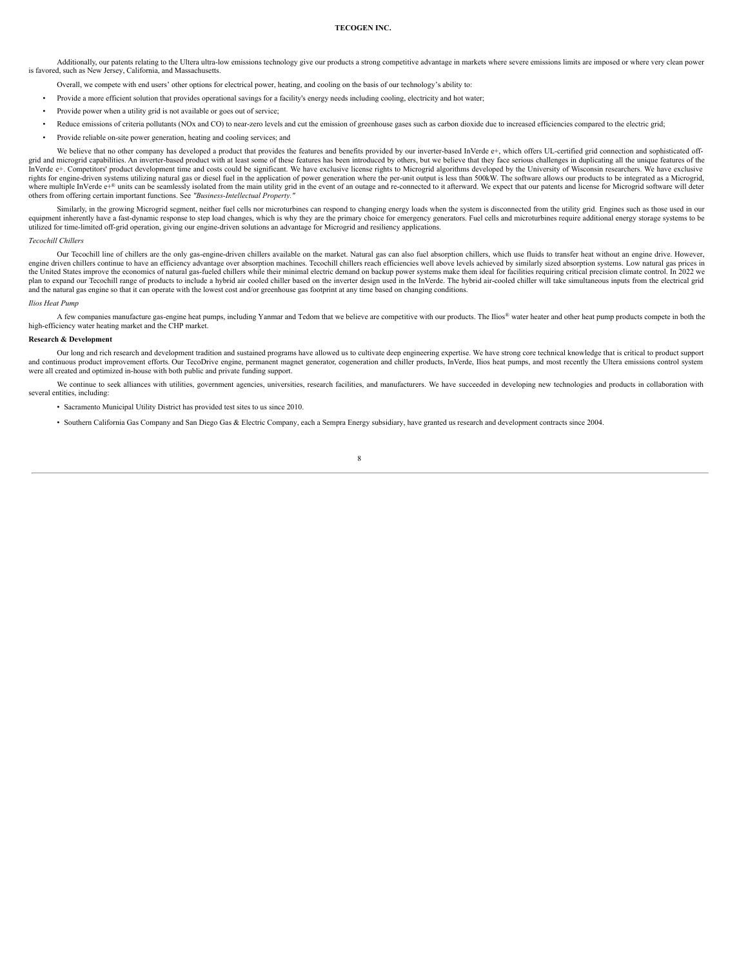Additionally, our patents relating to the Ultera ultra-low emissions technology give our products a strong competitive advantage in markets where severe emissions limits are imposed or where very clean power is favored, such as New Jersey, California, and Massachusetts.

Overall, we compete with end users' other options for electrical power, heating, and cooling on the basis of our technology's ability to:

- Provide a more efficient solution that provides operational savings for a facility's energy needs including cooling, electricity and hot water;
- Provide power when a utility grid is not available or goes out of service;
- Reduce emissions of criteria pollutants (NOx and CO) to near-zero levels and cut the emission of greenhouse gases such as carbon dioxide due to increased efficiencies compared to the electric grid;
- Provide reliable on-site power generation, heating and cooling services; and

We believe that no other company has developed a product that provides the features and benefits provided by our inverter-based InVerde e+, which offers UL-certified grid connection and sophisticated offgrid and microgrid capabilities. An inverter-based product with at least some of these features has been introduced by others, but we believe that they face serious challenges in duplicating all the unique features of the<br> rights for engine-driven systems utilizing natural gas or diesel fuel in the application of power generation where the per-unit output is less than 500kW. The software allows our products to be integrated as a Microgrid, where multiple InVerde  $e^{i\theta}$  units can be seamlessly isolated from the main utility grid in the event of an outage and re-connected to it afterward. We expect that our patents and license for Microgrid software will de others from offering certain important functions. See *"Business-Intellectual Property."*

Similarly, in the growing Microgrid segment, neither fuel cells nor microturbines can respond to changing energy loads when the system is disconnected from the utility grid. Engines such as those used in our equipment inherently have a fast-dynamic response to step load changes, which is why they are the primary choice for emergency generators. Fuel cells and microturbines require additional energy storage systems to be utilized for time-limited off-grid operation, giving our engine-driven solutions an advantage for Microgrid and resiliency applications.

### *Tecochill Chillers*

Our Tecochill line of chillers are the only gas-engine-driven chillers available on the market. Natural gas can also fuel absorption chillers, which use fluids to transfer heat without an engine drive. However, engine driven chillers continue to have an efficiency advantage over absorption machines. Tecochill chillers reach efficiencies well above levels achieved by similarly sized absorption systems. Low natural gas prices in the United States improve the economics of natural gas-fueled chillers while their minimal electric demand on backup power systems make them ideal for facilities requiring critical precision climate control. In 2022 we plan to expand our Tecochill range of products to include a hybrid air cooled chiller based on the inverter design used in the InVerde. The hybrid air-cooled chiller will take simultaneous inputs from the electrical grid<br>a

#### *Ilios Heat Pump*

A few companies manufacture gas-engine heat pumps, including Yanmar and Tedom that we believe are competitive with our products. The Ilios® water heater and other heat pump products compete in both the high-efficiency water heating market and the CHP market.

# **Research & Development**

Our long and rich research and development tradition and sustained programs have allowed us to cultivate deep engineering expertise. We have strong core technical knowledge that is critical to product support and continuous product improvement efforts. Our TecoDrive engine, permanent magnet generator, cogeneration and chiller products, InVerde, Ilios heat pumps, and most recently the Ultera emissions control system were all created and optimized in-house with both public and private funding support.

We continue to seek alliances with utilities, government agencies, universities, research facilities, and manufacturers. We have succeeded in developing new technologies and products in collaboration with several entities, including:

- Sacramento Municipal Utility District has provided test sites to us since 2010.
- Southern California Gas Company and San Diego Gas & Electric Company, each a Sempra Energy subsidiary, have granted us research and development contracts since 2004.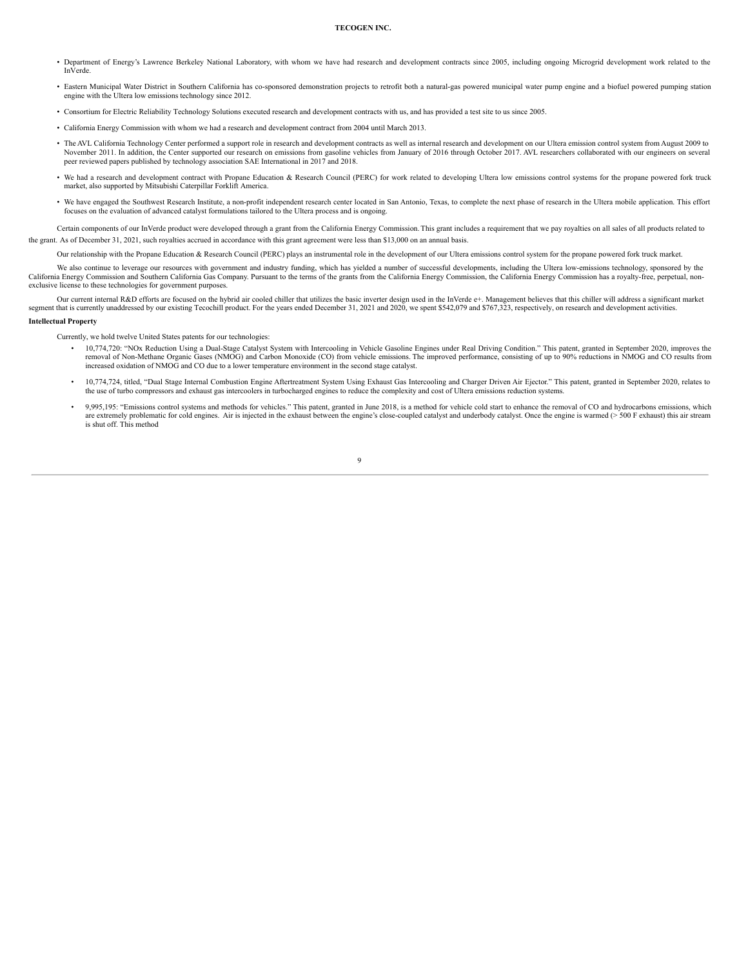- Department of Energy's Lawrence Berkeley National Laboratory, with whom we have had research and development contracts since 2005, including ongoing Microgrid development work related to the InVerde.
- Eastern Municipal Water District in Southern California has co-sponsored demonstration projects to retrofit both a natural-gas powered municipal water pump engine and a biofuel powered pumping station engine with the Ultera low emissions technology since 2012.
- Consortium for Electric Reliability Technology Solutions executed research and development contracts with us, and has provided a test site to us since 2005.
- California Energy Commission with whom we had a research and development contract from 2004 until March 2013.
- The AVL California Technology Center performed a support role in research and development contracts as well as internal research and development on our Ultera emission control system from August 2009 to<br>November 2011. In a peer reviewed papers published by technology association SAE International in 2017 and 2018.
- We had a research and development contract with Propane Education & Research Council (PERC) for work related to developing Ultera low emissions control systems for the propane powered fork truck market, also supported by Mitsubishi Caterpillar Forklift America.
- We have engaged the Southwest Research Institute, a non-profit independent research center located in San Antonio, Texas, to complete the next phase of research in the Ultera mobile application. This effort focuses on the evaluation of advanced catalyst formulations tailored to the Ultera process and is ongoing.

Certain components of our InVerde product were developed through a grant from the California Energy Commission. This grant includes a requirement that we pay royalties on all sales of all products related to the grant. As of December 31, 2021, such royalties accrued in accordance with this grant agreement were less than \$13,000 on an annual basis.

Our relationship with the Propane Education & Research Council (PERC) plays an instrumental role in the development of our Ultera emissions control system for the propane powered fork truck market.

We also continue to leverage our resources with government and industry funding, which has yielded a number of successful developments, including the Ultera low-emissions technology, sponsored by the California Energy Commission and Southern California Gas Company. Pursuant to the terms of the grants from the California Energy Commission, the California Energy Commission has a royalty-free, perpetual, nonexclusive license to these technologies for government purposes.

Our current internal R&D efforts are focused on the hybrid air cooled chiller that utilizes the basic inverter design used in the InVerde e+. Management believes that this chiller will address a significant market segment that is currently unaddressed by our existing Tecochill product. For the years ended December 31, 2021 and 2020, we spent \$542,079 and \$767,323, respectively, on research and development activities.

# **Intellectual Property**

- Currently, we hold twelve United States patents for our technologies:
	- 10,774,720: "NOx Reduction Using a Dual-Stage Catalyst System with Intercooling in Vehicle Gasoline Engines under Real Driving Condition." This patent, granted in September 2020, improves the removal of Non-Methane Organic Gases (NMOG) and Carbon Monoxide (CO) from vehicle emissions. The improved performance, consisting of up to 90% reductions in NMOG and CO results from increased oxidation of NMOG and CO due to a lower temperature environment in the second stage catalyst.
	- 10,774,724, titled, "Dual Stage Internal Combustion Engine Aftertreatment System Using Exhaust Gas Intercooling and Charger Driven Air Ejector." This patent, granted in September 2020, relates to the use of turbo compressors and exhaust gas intercoolers in turbocharged engines to reduce the complexity and cost of Ultera emissions reduction systems.
	- 9,995,195: "Emissions control systems and methods for vehicles." This patent, granted in June 2018, is a method for vehicle cold start to enhance the removal of CO and hydrocarbons emissions, which are extremely problematic for cold engines. Air is injected in the exhaust between the engine's close-coupled catalyst and underbody catalyst. Once the engine is warmed (> 500 F exhaust) this air stream is shut off. This method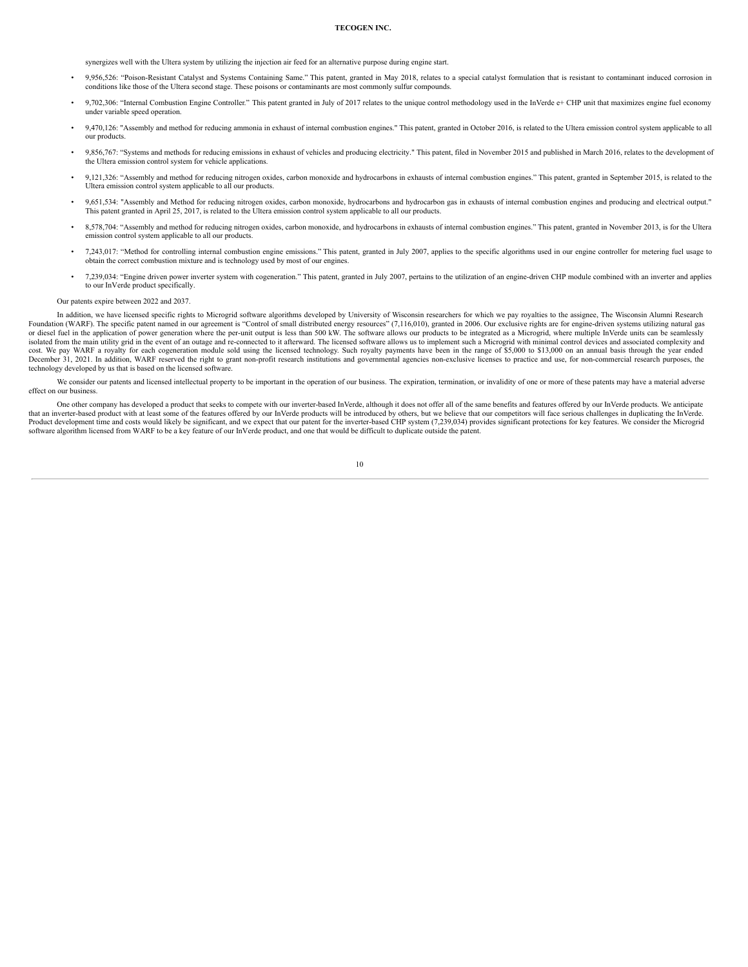synergizes well with the Ultera system by utilizing the injection air feed for an alternative purpose during engine start.

- 9,956,526: "Poison-Resistant Catalyst and Systems Containing Same." This patent, granted in May 2018, relates to a special catalyst formulation that is resistant to contaminant induced corrosion in conditions like those of the Ultera second stage. These poisons or contaminants are most commonly sulfur compounds.
- 9,702,306: "Internal Combustion Engine Controller." This patent granted in July of 2017 relates to the unique control methodology used in the InVerde e+ CHP unit that maximizes engine fuel economy under variable speed operation.
- 9,470,126: "Assembly and method for reducing ammonia in exhaust of internal combustion engines." This patent, granted in October 2016, is related to the Ultera emission control system applicable to all our products.
- 9,856,767: "Systems and methods for reducing emissions in exhaust of vehicles and producing electricity." This patent, filed in November 2015 and published in March 2016, relates to the development of the Ultera emission control system for vehicle applications.
- 9,121,326: "Assembly and method for reducing nitrogen oxides, carbon monoxide and hydrocarbons in exhausts of internal combustion engines." This patent, granted in September 2015, is related to the Ultera emission control system applicable to all our products.
- 9,651,534: "Assembly and Method for reducing nitrogen oxides, carbon monoxide, hydrocarbons and hydrocarbon gas in exhausts of internal combustion engines and producing and electrical output."<br>This patent granted in April
- 8,578,704: "Assembly and method for reducing nitrogen oxides, carbon monoxide, and hydrocarbons in exhausts of internal combustion engines." This patent, granted in November 2013, is for the Ultera emission control system applicable to all our products.
- 7,243,017: "Method for controlling internal combustion engine emissions." This patent, granted in July 2007, applies to the specific algorithms used in our engine controller for metering fuel usage to obtain the correct combustion mixture and is technology used by most of our engines.
- 7,239,034: "Engine driven power inverter system with cogeneration." This patent, granted in July 2007, pertains to the utilization of an engine-driven CHP module combined with an inverter and applies to our InVerde product specifically.

Our patents expire between 2022 and 2037.

In addition, we have licensed specific rights to Microgrid software algorithms developed by University of Wisconsin researchers for which we pay royalties to the assignee, The Wisconsin Alumni Research Foundation (WARF). The specific patent named in our agreement is "Control of small distributed energy resources" (7,116,010), granted in 2006. Our exclusive rights are for engine-driven systems utilizing natural gas<br>or die isolated from the main utility grid in the event of an outage and re-connected to it afterward. The licensed software allows us to implement such a Microgrid with minimal control devices and associated complexity and cost. We pay WARF a royalty for each cogeneration module sold using the licensed technology. Such royalty payments have been in the range of \$5,000 to \$13,000 on an annual basis through the year ended December 31, 2021. In addition, WARF reserved the right to grant non-profit research institutions and governmental agencies non-exclusive licenses to practice and use, for non-commercial research purposes, the technology developed by us that is based on the licensed software.

We consider our patents and licensed intellectual property to be important in the operation of our business. The expiration, termination, or invalidity of one or more of these patents may have a material adverse effect on our business.

One other company has developed a product that seeks to compete with our inverter-based InVerde, although it does not offer all of the same benefits and features offered by our InVerde products. We anticipate that an inverter-based product with at least some of the features offered by our InVerde products will be introduced by others, but we believe that our competitors will face serious challenges in duplicating the InVerde. Product development time and costs would likely be significant, and we expect that our patent for the inverter-based CHP system (7,239,034) provides significant protections for key features. We consider the Microgrid software algorithm licensed from WARF to be a key feature of our InVerde product, and one that would be difficult to duplicate outside the patent.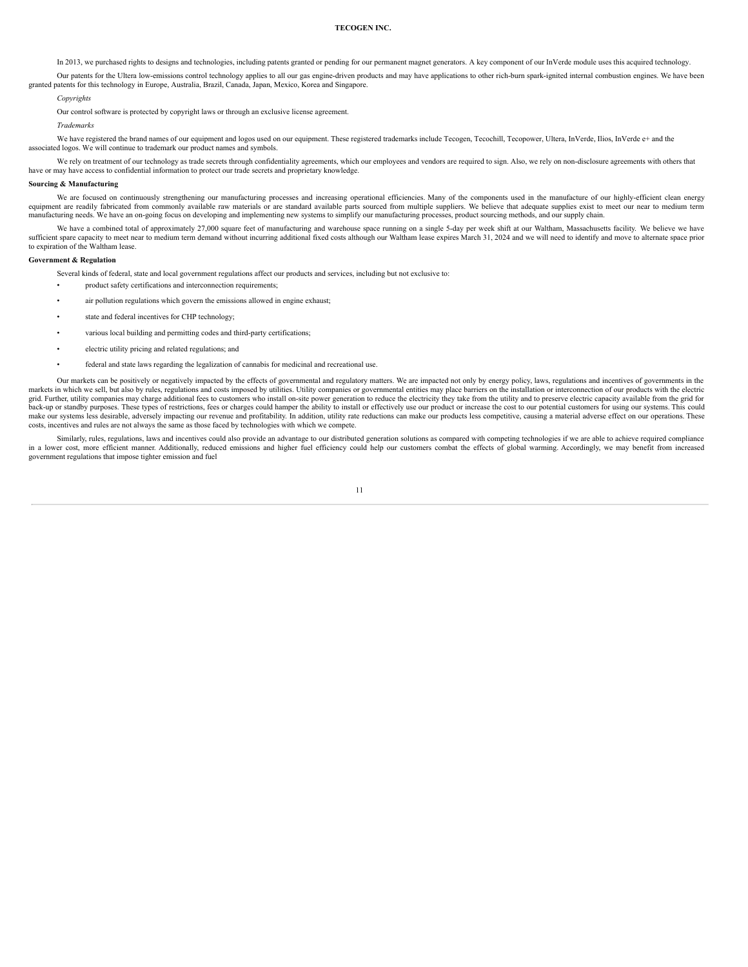In 2013, we purchased rights to designs and technologies, including patents granted or pending for our permanent magnet generators. A key component of our InVerde module uses this acquired technology.

Our patents for the Ultera low-emissions control technology applies to all our gas engine-driven products and may have applications to other rich-burn spark-ignited internal combustion engines. We have been granted patents for this technology in Europe, Australia, Brazil, Canada, Japan, Mexico, Korea and Singapore.

*Copyrights*

Our control software is protected by copyright laws or through an exclusive license agreement.

*Trademarks*

We have registered the brand names of our equipment and logos used on our equipment. These registered trademarks include Tecogen, Tecochill, Tecopower, Ultera, InVerde, Ilios, InVerde e+ and the associated logos. We will continue to trademark our product names and symbols.

We rely on treatment of our technology as trade secrets through confidentiality agreements, which our employees and vendors are required to sign. Also, we rely on non-disclosure agreements with others that have or may have access to confidential information to protect our trade secrets and proprietary knowledge.

#### **Sourcing & Manufacturing**

We are focused on continuously strengthening our manufacturing processes and increasing operational efficiencies. Many of the components used in the manufacture of our highly-efficient clean energy equipment are readily fabricated from commonly available raw materials or are standard available parts sourced from multiple suppliers. We believe that adequate supplies exist to meet our near to medium term manufacturing needs. We have an on-going focus on developing and implementing new systems to simplify our manufacturing processes, product sourcing methods, and our supply chain.

We have a combined total of approximately 27,000 square feet of manufacturing and warehouse space running on a single 5-day per week shift at our Waltham, Massachusetts facility. We believe we have sufficient spare capacit to expiration of the Waltham lease.

# **Government & Regulation**

Several kinds of federal, state and local government regulations affect our products and services, including but not exclusive to:

- product safety certifications and interconnection requirements;
- air pollution regulations which govern the emissions allowed in engine exhaust;
- state and federal incentives for CHP technology;
- various local building and permitting codes and third-party certifications;
- electric utility pricing and related regulations; and
	- federal and state laws regarding the legalization of cannabis for medicinal and recreational use.

Our markets can be positively or negatively impacted by the effects of governmental and regulatory matters. We are impacted not only by energy policy, laws, regulations and incentives of governments in the electric markets grid. Further, utility companies may charge additional fees to customers who install on-site power generation to reduce the electricity they take from the utility and to preserve electric capacity available from the grid for back-up or standby purposes. These types of restrictions, fees or charges could hamper the ability to install or effectively use our product or increase the cost to our potential customers for using our systems. This could costs, incentives and rules are not always the same as those faced by technologies with which we compete.

Similarly, rules, regulations, laws and incentives could also provide an advantage to our distributed generation solutions as compared with competing technologies if we are able to achieve required compliance in a lower cost, more efficient manner. Additionally, reduced emissions and higher fuel efficiency could help our customers combat the effects of global warming. Accordingly, we may benefit from increased government regulations that impose tighter emission and fuel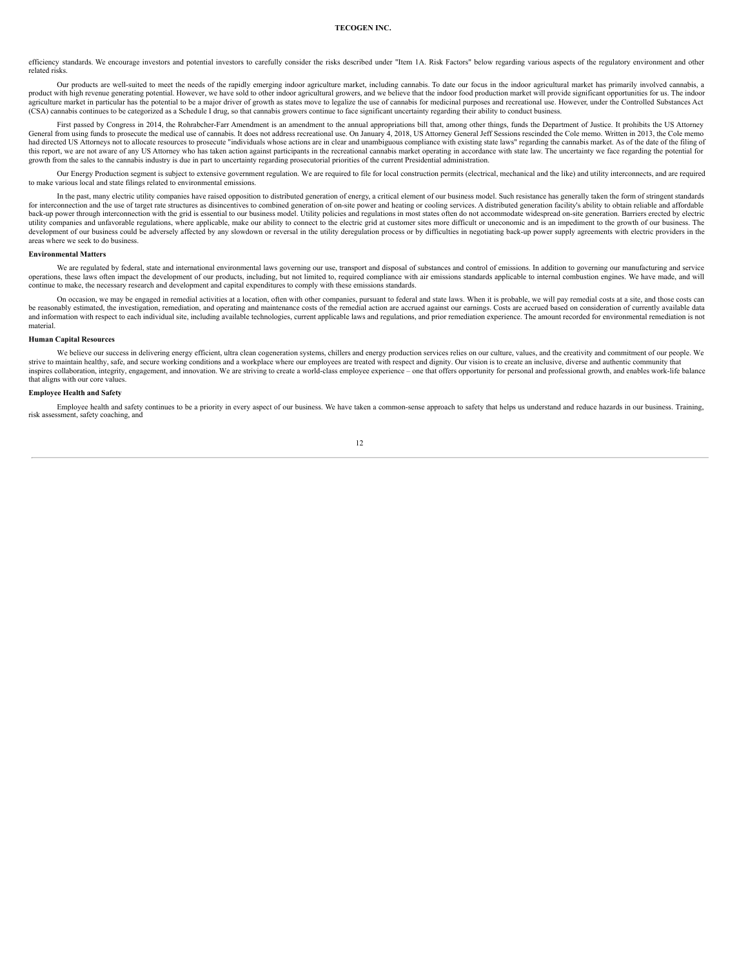efficiency standards. We encourage investors and potential investors to carefully consider the risks described under "Item 1A. Risk Factors" below regarding various aspects of the regulatory environment and other related risk

Our products are well-suited to meet the needs of the rapidly emerging indoor agriculture market, including cannabis. To date our focus in the indoor agricultural market has primarily involved cannabis, a product with high revenue generating potential. However, we have sold to other indoor agricultural growers, and we believe that the indoor food production market will provide significant opportunities for us. The indoor agriculture market in particular has the potential to be a major driver of growth as states move to legalize the use of cannabis for medicinal purposes and recreational use. However, under the Controlled Substances Act (CSA) cannabis continues to be categorized as a Schedule I drug, so that cannabis growers continue to face significant uncertainty regarding their ability to conduct business.

First passed by Congress in 2014, the Rohrabcher-Farr Amendment is an amendment to the annual appropriations bill that, among other things, funds the Department of Justice. It prohibits the US Attorney General from using funds to prosecute the medical use of cannabis. It does not address recreational use. On January 4, 2018, US Attorney General Jeff Sessions rescinded the Cole memo. Written in 2013, the Cole memo. had directed US Attorneys not to allocate resources to prosecute "individuals whose actions are in clear and unambiguous compliance with existing state laws" regarding the cannabis market. As of the date of the filing of this report, we are not aware of any US Attorney who has taken action against participants in the recreational cannabis market operating in accordance with state law. The uncertainty we face regarding the potential for growth from the sales to the cannabis industry is due in part to uncertainty regarding prosecutorial priorities of the current Presidential administration.

Our Energy Production segment is subject to extensive government regulation. We are required to file for local construction permits (electrical, mechanical and the like) and utility interconnects, and are required to make various local and state filings related to environmental emissions.

In the past, many electric utility companies have raised opposition to distributed generation of energy, a critical element of our business model. Such resistance has generally taken the form of stringent standards for interconnection and the use of target rate structures as disincentives to combined generation of on-site power and heating or cooling services. A distributed generation facility's ability to obtain reliable and afforda back-up power through interconnection with the grid is essential to our business model. Utility policies and regulations in most states often do not accommodate widespread on-site generation. Barriers erected by electric utility companies and unfavorable regulations, where applicable, make our ability to connect to the electric grid at customer sites more difficult or uneconomic and is an impediment to the growth of our business. The development of our business could be adversely affected by any slowdown or reversal in the utility deregulation process or by difficulties in negotiating back-up power supply agreements with electric providers in the areas where we seek to do business.

# **Environmental Matters**

We are regulated by federal, state and international environmental laws governing our use, transport and disposal of substances and control of emissions. In addition to governing our manufacturing and service operations, these laws often impact the development of our products, including, but not limited to, required compliance with air emissions standards applicable to internal combustion engines. We have made, and will continue to make, the necessary research and development and capital expenditures to comply with these emissions standards.

On occasion, we may be engaged in remedial activities at a location, often with other companies, pursuant to federal and state laws. When it is probable, we will pay remedial costs at a site, and those costs can be reasonably estimated, the investigation, remediation, and operating and maintenance costs of the remedial action are accrued against our earnings. Costs are accrued based on consideration of currently available data and information with respect to each individual site, including available technologies, current applicable laws and regulations, and prior remediation experience. The amount recorded for environmental remediation is not material

#### **Human Capital Resources**

We believe our success in delivering energy efficient, ultra clean cogeneration systems, chillers and energy production services relies on our culture, values, and the creativity and commitment of our people. We strive to maintain healthy, safe, and secure working conditions and a workplace where our employees are treated with respect and dignity. Our vision is to create an inclusive, diverse and authentic community that inspires collaboration, integrity, engagement, and innovation. We are striving to create a world-class employee experience – one that offers opportunity for personal and professional growth, and enables work-life balance that aligns with our core values.

#### **Employee Health and Safety**

Employee health and safety continues to be a priority in every aspect of our business. We have taken a common-sense approach to safety that helps us understand and reduce hazards in our business. Training, risk assessment, safety coaching, and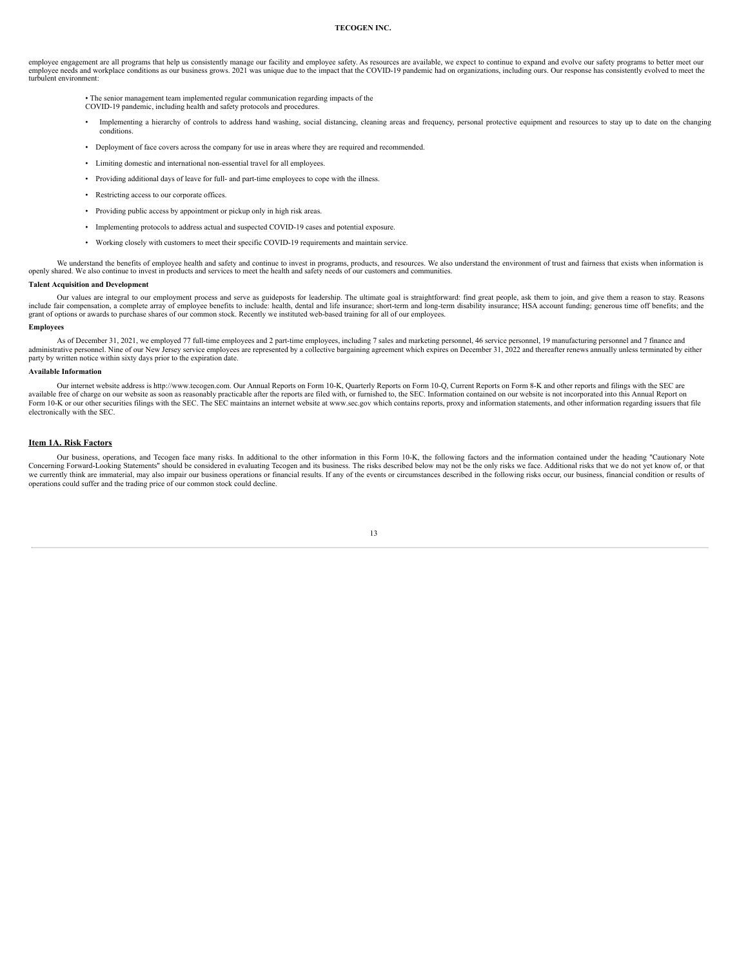employee engagement are all programs that help us consistently manage our facility and employee safety. As resources are available, we expect to continue to expand and evolve our safety programs to better meet our employee employee needs and workplace conditions as our business grows. 2021 was unique due to the impact that the COVID-19 pandemic had on organizations, including ours. Our response has consistently turbulent environment:

• The senior management team implemented regular communication regarding impacts of the COVID-19 pandemic, including health and safety protocols and procedures.

- 
- Implementing a hierarchy of controls to address hand washing, social distancing, cleaning areas and frequency, personal protective equipment and resources to stay up to date on the changing conditions.
- Deployment of face covers across the company for use in areas where they are required and recommended.
- Limiting domestic and international non-essential travel for all employees.
- Providing additional days of leave for full- and part-time employees to cope with the illness.
- Restricting access to our corporate offices.
- Providing public access by appointment or pickup only in high risk areas.
- Implementing protocols to address actual and suspected COVID-19 cases and potential exposure.
- Working closely with customers to meet their specific COVID-19 requirements and maintain service.

We understand the benefits of employee health and safety and continue to invest in programs, products, and resources. We also understand the environment of trust and fairness that exists when information is openly shared.

# **Talent Acquisition and Development**

Our values are integral to our employment process and serve as guideposts for leadership. The ultimate goal is straightforward: find great people, ask them to join, and give them a reason to stay. Reasons include fair comp grant of options or awards to purchase shares of our common stock. Recently we instituted web-based training for all of our employees.

#### **Employees**

As of December 31, 2021, we employed 77 full-time employees and 2 part-time employees, including 7 sales and marketing personnel, 46 service personnel, 19 manufacturing personnel and 7 finance and<br>administrative personnel. party by written notice within sixty days prior to the expiration date.

#### **Available Information**

Our internet website address is http://www.tecogen.com. Our Annual Reports on Form 10-K, Quarterly Reports on Form 10-Q, Current Reports on Form 8-K and other reports and filings with the SEC are available free of charge on our website as soon as reasonably practicable after the reports are filed with, or furnished to, the SEC. Information contained on our website is not incorporated into this Annual Report on<br>Form electronically with the SEC.

# <span id="page-16-0"></span>**Item 1A. Risk Factors**

Our business, operations, and Tecogen face many risks. In additional to the other information in this Form 10-K, the following factors and the information contained under the heading ''Cautionary Note Concerning Forward-Looking Statements" should be considered in evaluating Tecogen and its business. The risks described below may not be the only risks we face. Additional risks that we do not yet know of, or that<br>we curre operations could suffer and the trading price of our common stock could decline.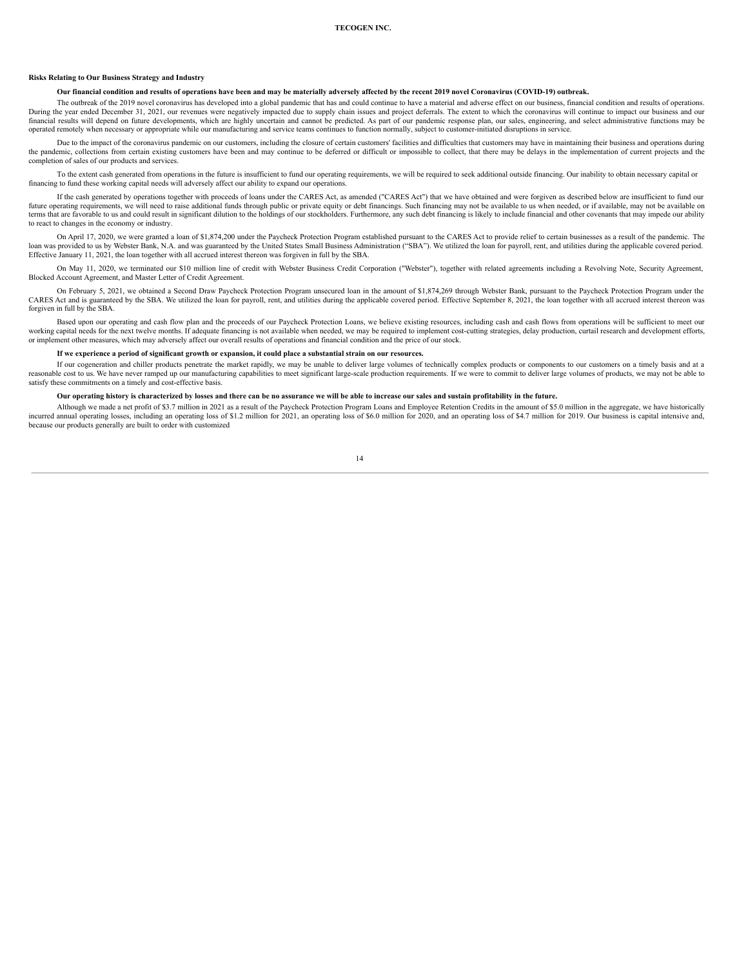### **Risks Relating to Our Business Strategy and Industry**

# Our financial condition and results of operations have been and may be materially adversely affected by the recent 2019 novel Coronavirus (COVID-19) outbreak.

The outbreak of the 2019 novel coronavirus has developed into a global pandemic that has and could continue to have a material and adverse effect on our business, financial condition and results of operations. During the year ended December 31, 2021, our revenues were negatively impacted due to supply chain issues and project deferrals. The extent to which the coronavirus will continue to impact our business and our financial results will depend on future developments, which are highly uncertain and cannot be predicted. As part of our pandemic response plan, our sales, engineering, and select administrative functions may be operated remotely when necessary or appropriate while our manufacturing and service teams continues to function normally, subject to customer-initiated disruptions in service.

Due to the impact of the coronavirus pandemic on our customers, including the closure of certain customers' facilities and difficulties that customers may have in maintaining their business and operations during the pandemic, collections from certain existing customers have been and may continue to be deferred or difficult or impossible to collect, that there may be delays in the implementation of current projects and the completion of sales of our products and services.

To the extent cash generated from operations in the future is insufficient to fund our operating requirements, we will be required to seek additional outside financing. Our inability to obtain necessary capital or financing to fund these working capital needs will adversely affect our ability to expand our operations.

If the cash generated by operations together with proceeds of loans under the CARES Act, as amended ("CARES Act") that we have obtained and were forgiven as described below are insufficient to fund our future operating requirements, we will need to raise additional funds through public or private equity or debt financings. Such financing may not be available to us when needed, or if available, may not be available on terms that are favorable to us and could result in significant dilution to the holdings of our stockholders. Furthermore, any such debt financing is likely to include financial and other covenants that may impede our ability to react to changes in the economy or industry.

On April 17, 2020, we were granted a loan of \$1,874,200 under the Paycheck Protection Program established pursuant to the CARES Act to provide relief to certain businesses as a result of the pandemic. The content party of Effective January 11, 2021, the loan together with all accrued interest thereon was forgiven in full by the SBA.

On May 11, 2020, we terminated our \$10 million line of credit with Webster Business Credit Corporation ("Webster"), together with related agreements including a Revolving Note, Security Agreement, Blocked Account Agreement, and Master Letter of Credit Agreement.

On February 5, 2021, we obtained a Second Draw Paycheck Protection Program unsecured loan in the amount of \$1,874,269 through Webster Bank, pursuant to the Paycheck Protection Program under the CARES Act and is guaranteed by the SBA. We utilized the loan for payroll, rent, and utilities during the applicable covered period. Effective September 8, 2021, the loan together with all accrued interest thereon was forgiven in full by the SBA.

Based upon our operating and cash flow plan and the proceeds of our Paycheck Protection Loans, we believe existing resources, including cash and cash flows from operations will be sufficient to meet our working capital needs for the next twelve months. If adequate financing is not available when needed, we may be required to implement cost-cutting strategies, delay production, curtail research and development efforts, or implement other measures, which may adversely affect our overall results of operations and financial condition and the price of our stock.

# If we experience a period of significant growth or expansion, it could place a substantial strain on our resources.

If our cogeneration and chiller products penetrate the market rapidly, we may be unable to deliver large volumes of technically complex products or components to our customers on a timely basis and at a reasonable cost to us. We have never ramped up our manufacturing capabilities to meet significant large-scale production requirements. If we were to commit to deliver large volumes of products, we may not be able to satisfy these commitments on a timely and cost-effective basis.

# Our operating history is characterized by losses and there can be no assurance we will be able to increase our sales and sustain profitability in the future.

Although we made a net profit of \$3.7 million in 2021 as a result of the Paycheck Protection Program Loans and Employee Retention Credits in the amount of \$5.0 million in the aggregate, we have historically incurred annual because our products generally are built to order with customized

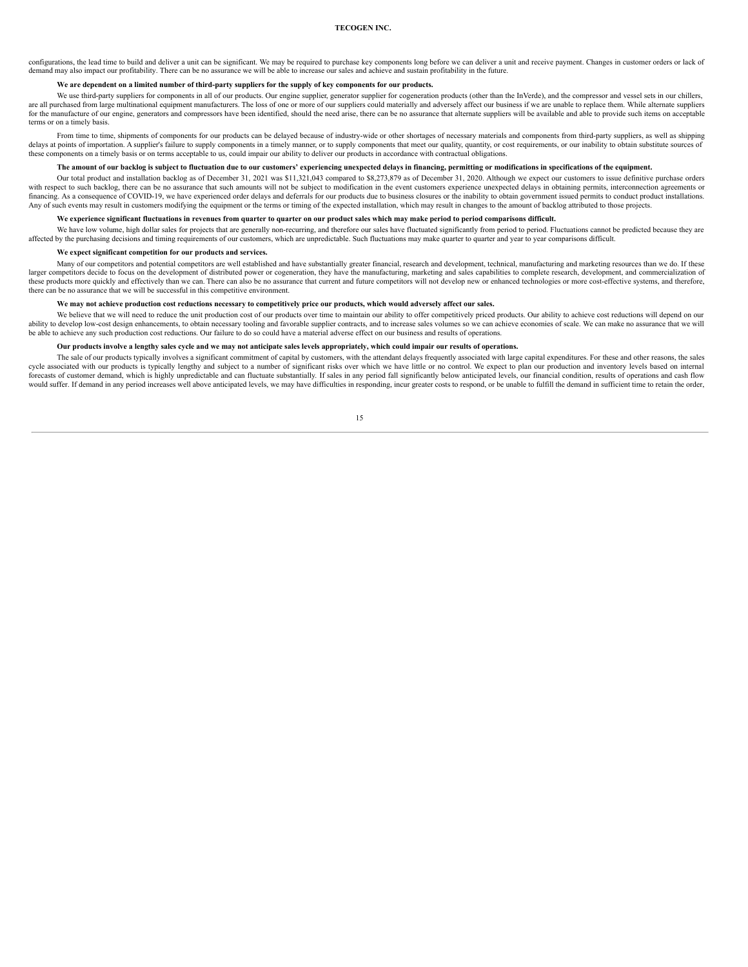configurations, the lead time to build and deliver a unit can be significant. We may be required to purchase key components long before we can deliver a unit and receive payment. Changes in customer orders or lack of demand may also impact our profitability. There can be no assurance we will be able to increase our sales and achieve and sustain profitability in the future.

# We are dependent on a limited number of third-party suppliers for the supply of key components for our products.

We use third-party suppliers for components in all of our products. Our engine supplier, generator supplier for cogeneration products (other than the InVerde), and the compressor and vessel sets in our chillers, are all purchased from large multinational equipment manufacturers. The loss of one or more of our suppliers could materially and adversely affect our business if we are unable to replace them. While alternate suppliers for the manufacture of our engine, generators and compressors have been identified, should the need arise, there can be no assurance that alternate suppliers will be available and able to provide such items on acceptable terms or on a timely basis.

From time to time, shipments of components for our products can be delayed because of industry-wide or other shortages of necessary materials and components from third-party suppliers, as well as shipping delays at points of importation. A supplier's failure to supply components in a timely manner, or to supply components that meet our quality, quantity, or cost requirements, or our inability to obtain substitute sources of these components on a timely basis or on terms acceptable to us, could impair our ability to deliver our products in accordance with contractual obligations.

# The amount of our backlog is subject to fluctuation due to our customers' experiencing unexpected delays in financing, permitting or modifications in specifications of the equipment.

Our total product and installation backlog as of December 31, 2021 was \$11,321,043 compared to \$8,273,879 as of December 31, 2020. Although we expect our customers to issue definitive purchase orders with respect to such b financing. As a consequence of COVID-19, we have experienced order delays and deferrals for our products due to business closures or the inability to obtain government issued permits to conduct product installations. Any of such events may result in customers modifying the equipment or the terms or timing of the expected installation, which may result in changes to the amount of backlog attributed to those projects.

# We experience significant fluctuations in revenues from quarter to quarter on our product sales which may make period to period comparisons difficult.

We have low volume, high dollar sales for projects that are generally non-recurring, and therefore our sales have fluctuated significantly from period to period. Fluctuations cannot be predicted because they are affected by the purchasing decisions and timing requirements of our customers, which are unpredictable. Such fluctuations may make quarter to quarter and year to year comparisons difficult.

#### **We expect significant competition for our products and services.**

Many of our competitors and potential competitors are well established and have substantially greater financial, research and development, technical, manufacturing and marketing resources than we do. If these larger competitors decide to focus on the development of distributed power or cogeneration, they have the manufacturing, marketing and sales capabilities to complete research, development, and commercialization of these products more quickly and effectively than we can. There can also be no assurance that current and future competitors will not develop new or enhanced technologies or more cost-effective systems, and therefore, there can be no assurance that we will be successful in this competitive environment.

# We may not achieve production cost reductions necessary to competitively price our products, which would adversely affect our sales.

We believe that we will need to reduce the unit production cost of our products over time to maintain our ability to offer competitively priced products. Our ability to achieve cost reductions will depend on our ability to develop low-cost design enhancements, to obtain necessary tooling and favorable supplier contracts, and to increase sales volumes so we can achieve economies of scale. We can make no assurance that we will<br>be ab

### Our products involve a lengthy sales cycle and we may not anticipate sales levels appropriately, which could impair our results of operations.

The sale of our products typically involves a significant commitment of capital by customers, with the attendant delays frequently associated with large capital expenditures. For these and other reasons, the sales cycle associated with our products is typically lengthy and subject to a number of significant risks over which we have little or no control. We expect to plan our production and inventory levels based on internal forecasts of customer demand, which is highly unpredictable and can fluctuate substantially. If sales in any period fall significantly below anticipated levels, our financial condition, results of operations and cash flow would suffer. If demand in any period increases well above anticipated levels, we may have difficulties in responding, incur greater costs to respond, or be unable to fulfill the demand in sufficient time to retain the ord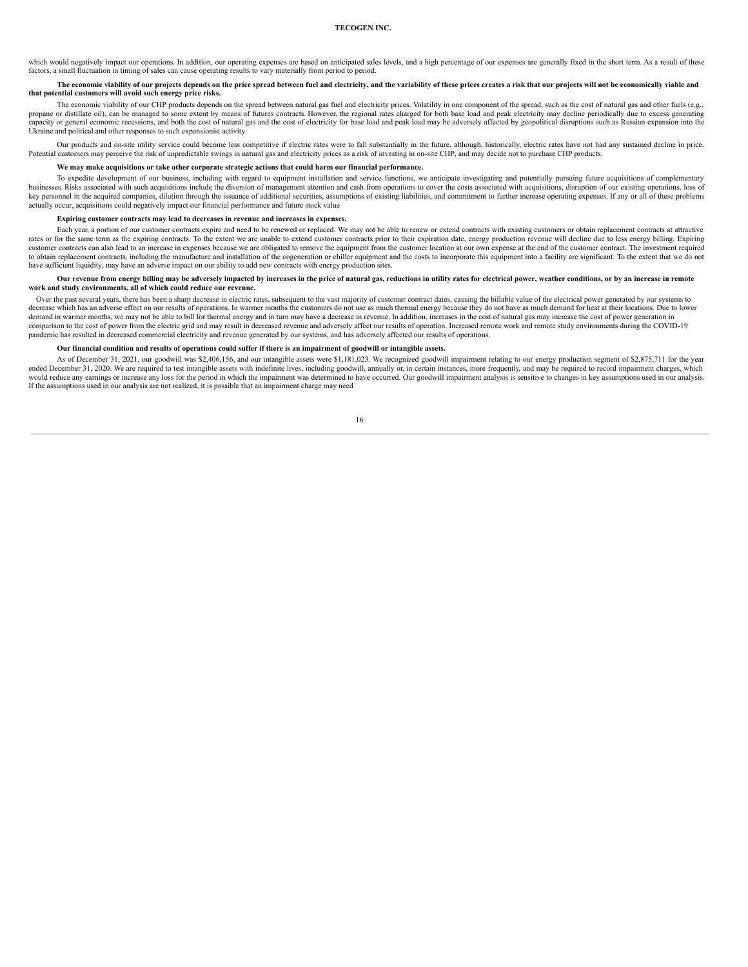which would negatively impact our operations. In addition, our operating expenses are based on anticipated sales levels, and a high percentage of our expenses are generally fixed in the short term. As a result of these factors, a small fluctuation in timing of sales can cause operating results to vary materially from period to period.

The economic viability of our projects depends on the price spread between fuel and electricity, and the variability of these prices creates a risk that our projects will not be economically viable and **that potential customers will avoid such energy price risks.**

The economic viability of our CHP products depends on the spread between natural gas fuel and electricity prices. Volatility in one component of the spread, such as the cost of natural gas and other fuels (e.g., propane or distillate oil), can be managed to some extent by means of futures contracts. However, the regional rates charged for both base load and peak electricity may decline periodically due to excess generating capacity or general economic recessions, and both the cost of natural gas and the cost of electricity for base load and peak load may be adversely affected by geopolitical disruptions such as Russian expansion into the Ukraine and political and other responses to such expansionist activity.

Our products and on-site utility service could become less competitive if electric rates were to fall substantially in the future, although, historically, electric rates have not had any sustained decline in price. Potential customers may perceive the risk of unpredictable swings in natural gas and electricity prices as a risk of investing in on-site CHP, and may decide not to purchase CHP products.

# **We may make acquisitions or take other corporate strategic actions that could harm our financial performance.**

To expedite development of our business, including with regard to equipment installation and service functions, we anticipate investigating and potentially pursuing future acquisitions of complementary businesses. Risks as key personnel in the acquired companies, dilution through the issuance of additional securities, assumptions of existing liabilities, and commitment to further increase operating expenses. If any or all of these problems actually occur, acquisitions could negatively impact our financial performance and future stock value

# **Expiring customer contracts may lead to decreases in revenue and increases in expenses.**

Each year, a portion of our customer contracts expire and need to be renewed or replaced. We may not be able to renew or extend contracts with existing customers or obtain replacement contracts at attractive rates or for the same term as the expiring contracts. To the extent we are unable to extend customer contracts prior to their expiration date, energy production revenue will decline due to less energy billing. Expiring customer contracts can also lead to an increase in expenses because we are obligated to remove the equipment from the customer location at our own expense at the end of the customer contract. The investment required to obtain replacement contracts, including the manufacture and installation of the cogeneration or chiller equipment and the costs to incorporate this equipment into a facility are significant. To the extent that we do not have sufficient liquidity, may have an adverse impact on our ability to add new contracts with energy production sites.

### Our revenue from energy billing may be adversely impacted by increases in the price of natural gas, reductions in utility rates for electrical power, weather conditions, or by an increase in remote **work and study environments, all of which could reduce our revenue.**

Over the past several years, there has been a sharp decrease in electric rates, subsequent to the vast majority of customer contract dates, causing the billable value of the electrical power generated by our systems to decrease which has an adverse effect on our results of operations. In warmer months the customers do not use as much thermal energy because they do not have as much demand for heat at their locations. Due to lower demand in warmer months, we may not be able to bill for thermal energy and in turn may have a decrease in revenue. In addition, increases in the cost of natural gas may increase the cost of power generation in comparison to the cost of power from the electric grid and may result in decreased revenue and adversely affect our results of operation. Increased remote work and remote study environments during the COVID-19 pandemic has resulted in decreased commercial electricity and revenue generated by our systems, and has adversely affected our results of operations.

# Our financial condition and results of operations could suffer if there is an impairment of goodwill or intangible assets.

As of December 31, 2021, our goodwill was \$2,406,156, and our intangible assets were \$1,181,023. We recognized goodwill impairment relating to our energy production segment of \$2,875,711 for the year ended December 31, 2020. We are required to test intangible assets with indefinite lives, including goodwill, annually or, in certain instances, more frequently, and may be required to record impairment charges, which would reduce any earnings or increase any loss for the period in which the impairment was determined to have occurred. Our goodwill impairment analysis is sensitive to changes in key assumptions used in our analysis. If the assumptions used in our analysis are not realized, it is possible that an impairment charge may need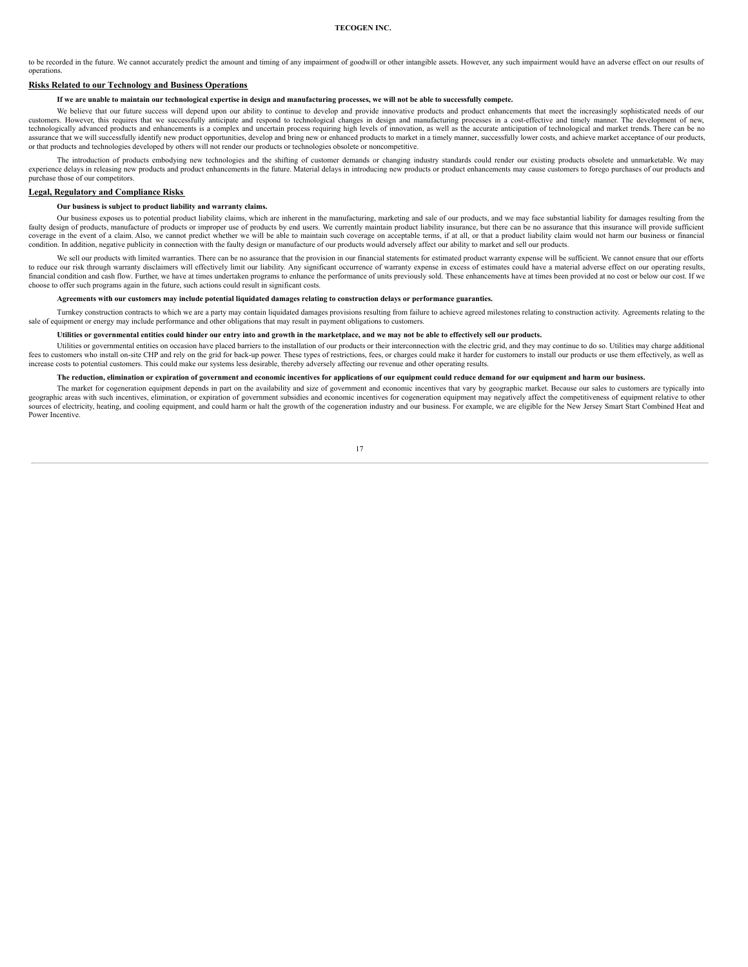to be recorded in the future. We cannot accurately predict the amount and timing of any impairment of goodwill or other intangible assets. However, any such impairment would have an adverse effect on our results of operations.

# **Risks Related to our Technology and Business Operations**

# If we are unable to maintain our technological expertise in design and manufacturing processes, we will not be able to successfully compete.

We believe that our future success will depend upon our ability to continue to develop and provide innovative products and product enhancements that meet the increasingly sophisticated needs of our customers. However, this requires that we successfully anticipate and respond to technological changes in design and manufacturing processes in a cost-effective and timely manner. The development of new, technologically advanced products and enhancements is a complex and uncertain process requiring high levels of innovation, as well as the accurate anticipation of technological and market trends. There can be no assurance that we will successfully identify new product opportunities, develop and bring new or enhanced products to market in a timely manner, successfully lower costs, and achieve market acceptance of our products, or that products and technologies developed by others will not render our products or technologies obsolete or noncompetitive.

The introduction of products embodying new technologies and the shifting of customer demands or changing industry standards could render our existing products obsolete and unmarketable. We may experience delays in releasin purchase those of our competitors.

# **Legal, Regulatory and Compliance Risks**

# **Our business is subject to product liability and warranty claims.**

Our business exposes us to potential product liability claims, which are inherent in the manufacturing, marketing and sale of our products, and we may face substantial liability for damages resulting from the faulty design of products, manufacture of products or improper use of products by end users. We currently maintain product liability insurance, but there can be no assurance that this insurance will provide sufficient cove condition. In addition, negative publicity in connection with the faulty design or manufacture of our products would adversely affect our ability to market and sell our products.

We sell our products with limited warranties. There can be no assurance that the provision in our financial statements for estimated product warranty expense will be sufficient. We cannot ensure that our efforts to reduce our risk through warranty disclaimers will effectively limit our liability. Any significant occurrence of warranty expense in excess of estimates could have a material adverse effect on our operating results, financial condition and cash flow. Further, we have at times undertaken programs to enhance the performance of units previously sold. These enhancements have at times been provided at no cost or below our cost. If we choose to offer such programs again in the future, such actions could result in significant costs.

#### Agreements with our customers may include potential liquidated damages relating to construction delays or performance guaranties.

Turnkey construction contracts to which we are a party may contain liquidated damages provisions resulting from failure to achieve agreed milestones relating to construction activity. Agreements relating to the sale of equipment or energy may include performance and other obligations that may result in payment obligations to customers.

# Utilities or governmental entities could hinder our entry into and growth in the marketplace, and we may not be able to effectively sell our products.

Utilities or governmental entities on occasion have placed barriers to the installation of our products or their interconnection with the electric grid, and they may continue to do so. Utilities may charge additional fees to customers who install on-site CHP and rely on the grid for back-up power. These types of restrictions, fees, or charges could make it harder for customers to install our products or use them effectively, as well as increase costs to potential customers. This could make our systems less desirable, thereby adversely affecting our revenue and other operating results.

# The reduction, elimination or expiration of government and economic incentives for applications of our equipment could reduce demand for our equipment and harm our business.

The market for cogeneration equipment depends in part on the availability and size of government and economic incentives that vary by geographic market. Because our sales to customers are typically into geographic areas with such incentives, elimination, or expiration of government subsidies and economic incentives for cogeneration equipment may negatively affect the competitiveness of equipment relative to other<br>sources Power Incentive.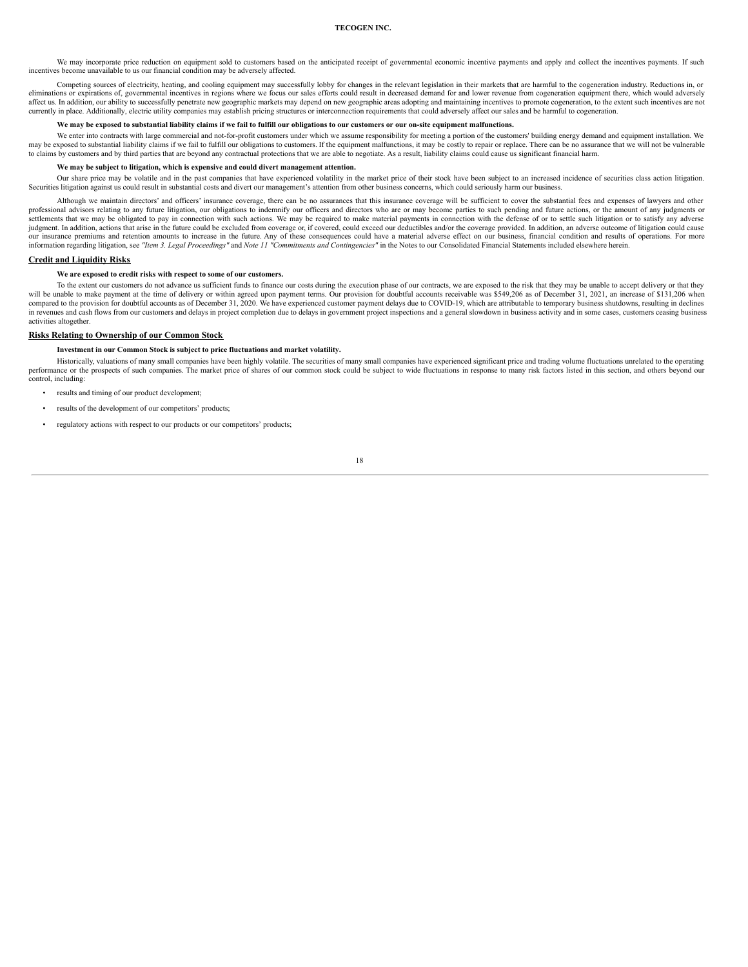We may incorporate price reduction on equipment sold to customers based on the anticipated receipt of governmental economic incentive payments and apply and collect the incentives payments. If such incentives become unavailable to us our financial condition may be adversely affected.

Competing sources of electricity, heating, and cooling equipment may successfully lobby for changes in the relevant legislation in their markets that are harmful to the cogeneration industry. Reductions in, or eliminations or expirations of, governmental incentives in regions where we focus our sales efforts could result in decreased demand for and lower revenue from cogeneration equipment there, which would adversely affect us. In addition, our ability to successfully penetrate new geographic markets may depend on new geographic areas adopting and maintaining incentives to promote cogeneration, to the extent such incentives are not currently in place. Additionally, electric utility companies may establish pricing structures or interconnection requirements that could adversely affect our sales and be harmful to cogeneration.

# We may be exposed to substantial liability claims if we fail to fulfill our obligations to our customers or our on-site equipment malfunctions.

We enter into contracts with large commercial and not-for-profit customers under which we assume responsibility for meeting a portion of the customers' building energy demand and equipment installation. We may be exposed to substantial liability claims if we fail to fulfill our obligations to customers. If the equipment malfunctions, it may be costly to repair or replace. There can be no assurance that we will not be vulnera to claims by customers and by third parties that are beyond any contractual protections that we are able to negotiate. As a result, liability claims could cause us significant financial harm.

# **We may be subject to litigation, which is expensive and could divert management attention.**

Our share price may be volatile and in the past companies that have experienced volatility in the market price of their stock have been subject to an increased incidence of securities class action litigation. Securities litigation against us could result in substantial costs and divert our management's attention from other business concerns, which could seriously harm our business.<br>Securities litigation against us could result

Although we maintain directors' and officers' insurance coverage, there can be no assurances that this insurance coverage will be sufficient to cover the substantial fees and expenses of lawyers and other professional advisors relating to any future litigation, our obligations to indemnify our officers and directors who are or may become parties to such pending and future actions, or the amount of any judgments or settlements that we may be obligated to pay in connection with such actions. We may be required to make material payments in connection with the defense of or to settle such litigation or to satisfy any adverse judgment. In addition, actions that arise in the future could be excluded from coverage or, if covered, could exceed our deductibles and/or the coverage provided. In addition, an adverse outcome of litigation could cause our insurance premiums and retention amounts to increase in the future. Any of these consequences could have a material adverse effect on our business, financial condition and results of operations. For more information regarding litigation, see "Item 3. Legal Proceedings" and Note 11 "Commitments and Contingencies" in the Notes to our Consolidated Financial Statements included elsewhere herein.

# **Credit and Liquidity Risks**

# **We are exposed to credit risks with respect to some of our customers.**

To the extent our customers do not advance us sufficient funds to finance our costs during the execution phase of our contracts, we are exposed to the risk that they may be unable to accept delivery or that they will be un compared to the provision for doubtful accounts as of December 31, 2020. We have experienced customer payment delays due to COVID-19, which are attributable to temporary business shutdowns, resulting in declines in revenues and cash flows from our customers and delays in project completion due to delays in government project inspections and a general slowdown in business activity and in some cases, customers ceasing business activities altogether.

# **Risks Relating to Ownership of our Common Stock**

#### **Investment in our Common Stock is subject to price fluctuations and market volatility.**

Historically, valuations of many small companies have been highly volatile. The securities of many small companies have experienced significant price and trading volume fluctuations unrelated to the operating performance or the prospects of such companies. The market price of shares of our common stock could be subject to wide fluctuations in response to many risk factors listed in this section, and others beyond our control, including:

- results and timing of our product development;
- results of the development of our competitors' products;
- regulatory actions with respect to our products or our competitors' products;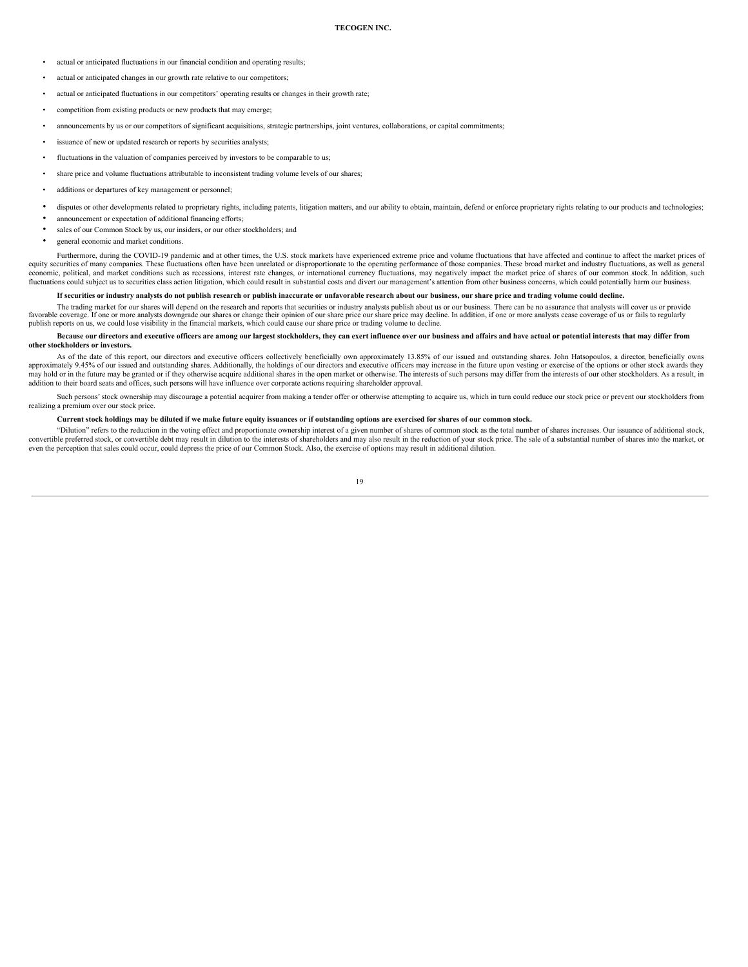- actual or anticipated fluctuations in our financial condition and operating results;
- actual or anticipated changes in our growth rate relative to our competitors;
- actual or anticipated fluctuations in our competitors' operating results or changes in their growth rate;
- competition from existing products or new products that may emerge;
- announcements by us or our competitors of significant acquisitions, strategic partnerships, joint ventures, collaborations, or capital commitments;
- issuance of new or updated research or reports by securities analysts;
- fluctuations in the valuation of companies perceived by investors to be comparable to us;
- share price and volume fluctuations attributable to inconsistent trading volume levels of our shares;
- additions or departures of key management or personnel;
- disputes or other developments related to proprietary rights, including patents, litigation matters, and our ability to obtain, maintain, defend or enforce proprietary rights relating to our products and technologies;
- announcement or expectation of additional financing efforts;
- sales of our Common Stock by us, our insiders, or our other stockholders; and
- general economic and market conditions.

Furthermore, during the COVID-19 pandemic and at other times, the U.S. stock markets have experienced extreme price and volume fluctuations that have affected and continue to affect the market prices of equity securities of many companies. These fluctuations often have been unrelated or disproportionate to the operating performance of those companies. These broad market and industry fluctuations, as well as general economic, political, and market conditions such as recessions, interest rate changes, or international currency fluctuations, may negatively impact the market price of shares of our common stock. In addition, such fluctuations could subject us to securities class action litigation, which could result in substantial costs and divert our management's attention from other business concerns, which could potentially harm our business.

# If securities or industry analysts do not publish research or publish inaccurate or unfavorable research about our business, our share price and trading volume could decline

The trading market for our shares will depend on the research and reports that securities or industry analysts publish about us or our business. There can be no assurance that analysts will cover us or provide favorable coverage. If one or more analysts downgrade our shares or change their opinion of our share price our share price may decline. In addition, if one or more analysts cease coverage of us or fails to regularly publish reports on us, we could lose visibility in the financial markets, which could cause our share price or trading volume to decline.

#### Because our directors and executive officers are among our largest stockholders, they can exert influence over our business and affairs and have actual or potential interests that may differ from **other stockholders or investors.**

As of the date of this report, our directors and executive officers collectively beneficially own approximately 13.85% of our issued and outstanding shares. John Hatsopoulos, a director, beneficially owns approximately 9.45% of our issued and outstanding shares. Additionally, the holdings of our directors and executive officers may increase in the future upon vesting or exercise of the options or other stock awards they may hold or in the future may be granted or if they otherwise acquire additional shares in the open market or otherwise. The interests of such persons may differ from the interests of our other stockholders. As a result, i addition to their board seats and offices, such persons will have influence over corporate actions requiring shareholder approval.

Such persons' stock ownership may discourage a potential acquirer from making a tender offer or otherwise attempting to acquire us, which in turn could reduce our stock price or prevent our stockholders from realizing a premium over our stock price.

# Current stock holdings may be diluted if we make future equity issuances or if outstanding options are exercised for shares of our common stock.

"Dilution" refers to the reduction in the voting effect and proportionate ownership interest of a given number of shares of common stock as the total number of shares increases. Our issuance of additional stock, convertible preferred stock, or convertible debt may result in dilution to the interests of shareholders and may also result in the reduction of your stock price. The sale of a substantial number of shares into the market,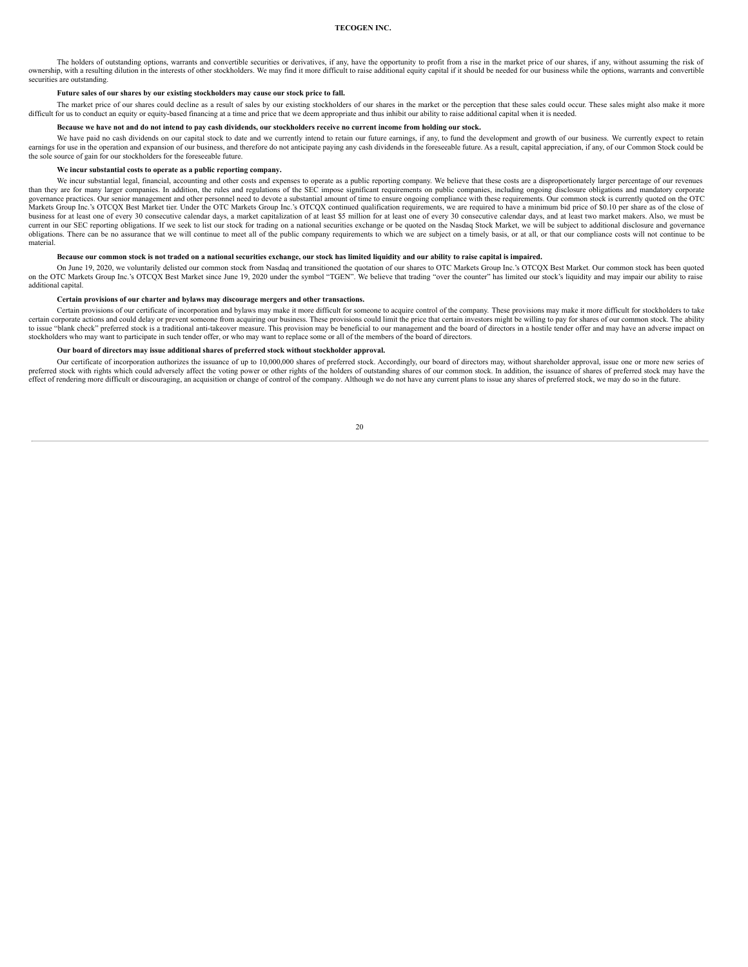The holders of outstanding options, warrants and convertible securities or derivatives, if any, have the opportunity to profit from a rise in the market price of our shares, if any, without assuming the risk of ownership, with a resulting dilution in the interests of other stockholders. We may find it more difficult to raise additional equity capital if it should be needed for our business while the options, warrants and converti securities are outstanding.

# **Future sales of our shares by our existing stockholders may cause our stock price to fall.**

The market price of our shares could decline as a result of sales by our existing stockholders of our shares in the market or the perception that these sales could occur. These sales might also make it more difficult for us to conduct an equity or equity-based financing at a time and price that we deem appropriate and thus inhibit our ability to raise additional capital when it is needed.

#### Because we have not and do not intend to pay cash dividends, our stockholders receive no current income from holding our stock.

We have paid no cash dividends on our capital stock to date and we currently intend to retain our future earnings, if any, to fund the development and growth of our business. We currently expect to retain earnings for use in the operation and expansion of our business, and therefore do not anticipate paying any cash dividends in the foreseeable future. As a result, capital appreciation, if any, of our Common Stock could be the sole source of gain for our stockholders for the foreseeable future.

### **We incur substantial costs to operate as a public reporting company.**

We incur substantial legal, financial, accounting and other costs and expenses to operate as a public reporting company. We believe that these costs are a disproportionately larger percentage of our revenues than they are for many larger companies. In addition, the rules and regulations of the SEC impose significant requirements on public companies, including ongoing disclosure obligations and mandatory corporate overnance practices. Our senior management and other personnel need to devote a substantial amount of time to ensure ongoing compliance with these requirements. Our common stock is currently quoted on the OTC Markets Group Inc.'s OTCQX Best Market tier. Under the OTC Markets Group Inc.'s OTCQX continued qualification requirements, we are required to have a minimum bid price of \$0.10 per share as of the close of business for at least one of every 30 consecutive calendar days, a market capitalization of at least \$5 million for at least one of every 30 consecutive calendar days, and at least two market makers. Also, we must be current in our SEC reporting obligations. If we seek to list our stock for trading on a national securities exchange or be quoted on the Nasdaq Stock Market, we will be subject to additional disclosure and governance obligations. There can be no assurance that we will continue to meet all of the public company requirements to which we are subject on a timely basis, or at all, or that our compliance costs will not continue to be material.

# Because our common stock is not traded on a national securities exchange, our stock has limited liquidity and our ability to raise capital is impaired.

On June 19, 2020, we voluntarily delisted our common stock from Nasdaq and transitioned the quotation of our shares to OTC Markets Group Inc.'s OTCQX Best Market. Our common stock has been quoted on the OTC Markets Group Inc.'s OTCQX Best Market since June 19, 2020 under the symbol "TGEN". We believe that trading "over the counter" has limited our stock's liquidity and may impair our ability to raise additional capital.

# **Certain provisions of our charter and bylaws may discourage mergers and other transactions.**

Certain provisions of our certificate of incorporation and bylaws may make it more difficult for someone to acquire control of the company. These provisions may make it more difficult for stockholders to take certain corporate actions and could delay or prevent someone from acquiring our business. These provisions could limit the price that certain investors might be willing to pay for shares of our common stock. The ability to issue "blank check" preferred stock is a traditional anti-takeover measure. This provision may be beneficial to our management and the board of directors in a hostile tender offer and may have an adverse impact on stockholders who may want to participate in such tender offer, or who may want to replace some or all of the members of the board of directors.

#### **Our board of directors may issue additional shares of preferred stock without stockholder approval.**

Our certificate of incorporation authorizes the issuance of up to 10,000,000 shares of preferred stock. Accordingly, our board of directors may, without shareholder approval, issue one or more new series of preferred stock with rights which could adversely affect the voting power or other rights of the holders of outstanding shares of our common stock. In addition, the issuance of shares of preferred stock may have the effect of rendering more difficult or discouraging, an acquisition or change of control of the company. Although we do not have any current plans to issue any shares of preferred stock, we may do so in the future.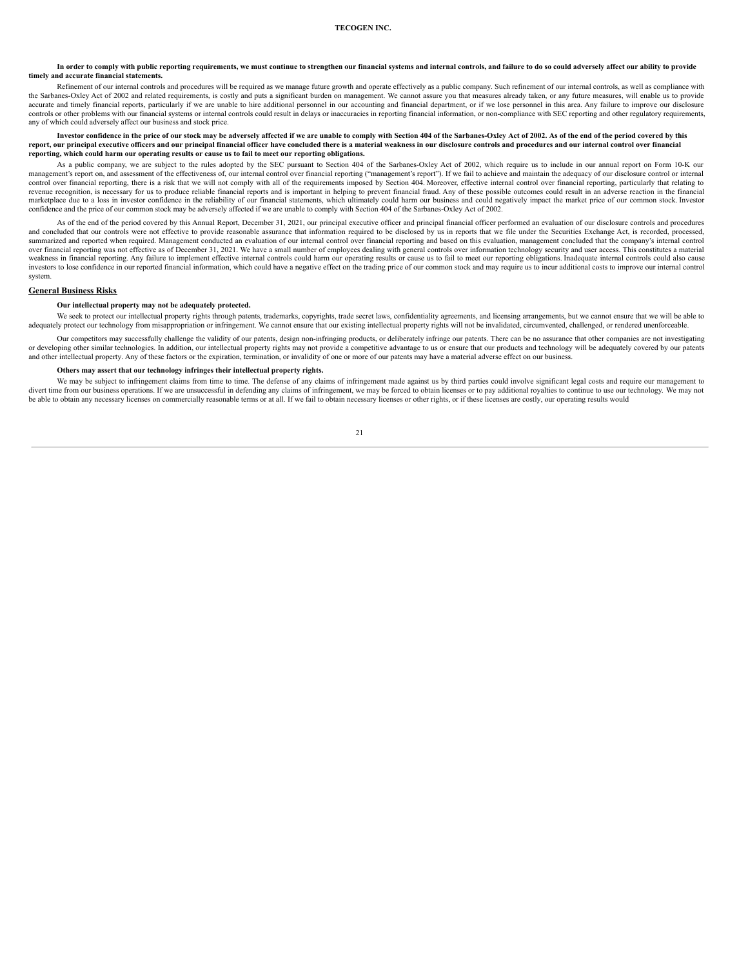# In order to comply with public reporting requirements, we must continue to strengthen our financial systems and internal controls, and failure to do so could adversely affect our ability to provide **timely and accurate financial statements.**

Refinement of our internal controls and procedures will be required as we manage future growth and operate effectively as a public company. Such refinement of our internal controls, as well as compliance with the Sarbanes-Oxley Act of 2002 and related requirements, is costly and puts a significant burden on management. We cannot assure you that measures already taken, or any future measures, will enable us to provide accurate and timely financial reports, particularly if we are unable to hire additional personnel in our accounting and financial department, or if we lose personnel in this area. Any failure to improve our disclosure controls or other problems with our financial systems or internal controls could result in delays or inaccuracies in reporting financial information, or non-compliance with SEC reporting and other regulatory requirements, any of which could adversely affect our business and stock price.

### Investor confidence in the price of our stock may be adversely affected if we are unable to comply with Section 404 of the Sarbanes-Oxley Act of 2002. As of the end of the period covered by this report, our principal executive officers and our principal financial officer have concluded there is a material weakness in our disclosure controls and procedures and our internal control over financial **reporting, which could harm our operating results or cause us to fail to meet our reporting obligations.**

As a public company, we are subject to the rules adopted by the SEC pursuant to Section 404 of the Sarbanes-Oxley Act of 2002, which require us to include in our annual report on Form 10-K our management's report on, and assessment of the effectiveness of, our internal control over financial reporting ("management's report"). If we fail to achieve and maintain the adequacy of our disclosure control or internal control over financial reporting, there is a risk that we will not comply with all of the requirements imposed by Section 404. Moreover, effective internal control over financial reporting, particularly that relating to revenue recognition, is necessary for us to produce reliable financial reports and is important in helping to prevent financial fraud. Any of these possible outcomes could result in an adverse reaction in the financial marketplace due to a loss in investor confidence in the reliability of our financial statements, which ultimately could harm our business and could negatively impact the market price of our common stock. Investor confidence and the price of our common stock may be adversely affected if we are unable to comply with Section 404 of the Sarbanes-Oxley Act of 2002.

As of the end of the period covered by this Annual Report, December 31, 2021, our principal executive officer and principal financial officer performed an evaluation of our disclosure controls and procedures and concluded that our controls were not effective to provide reasonable assurance that information required to be disclosed by us in reports that we file under the Securities Exchange Act, is recorded, processed, summarized and reported when required. Management conducted an evaluation of our internal control over financial reporting and based on this evaluation, management concluded that the company's internal control<br>over financi weakness in financial reporting. Any failure to implement effective internal controls could harm our operating results or cause us to fail to meet our reporting obligations. Inadequate internal controls could also cause investors to lose confidence in our reported financial information, which could have a negative effect on the trading price of our common stock and may require us to incur additional costs to improve our internal control system.

# **General Business Risks**

#### **Our intellectual property may not be adequately protected.**

We seek to protect our intellectual property rights through patents, trademarks, copyrights, trade secret laws, confidentiality agreements, and licensing arrangements, but we cannot ensure that we will be able to adequately protect our technology from misappropriation or infringement. We cannot ensure that our existing intellectual property rights will not be invalidated, circumvented, challenged, or rendered unenforceable.

Our competitors may successfully challenge the validity of our patents, design non-infringing products, or deliberately infringe our patents. There can be no assurance that other companies are not investigating or developing other similar technologies. In addition, our intellectual property rights may not provide a competitive advantage to us or ensure that our products and technology will be adequately covered by our patents and other intellectual property. Any of these factors or the expiration, termination, or invalidity of one or more of our patents may have a material adverse effect on our business.

#### **Others may assert that our technology infringes their intellectual property rights.**

We may be subject to infringement claims from time to time. The defense of any claims of infringement made against us by third parties could involve significant legal costs and require our management to divert time from our business operations. If we are unsuccessful in defending any claims of infringement, we may be forced to obtain licenses or to pay additional royalties to continue to use our technology. We may not be able to obtain any necessary licenses on commercially reasonable terms or at all. If we fail to obtain necessary licenses or other rights, or if these licenses are costly, our operating results would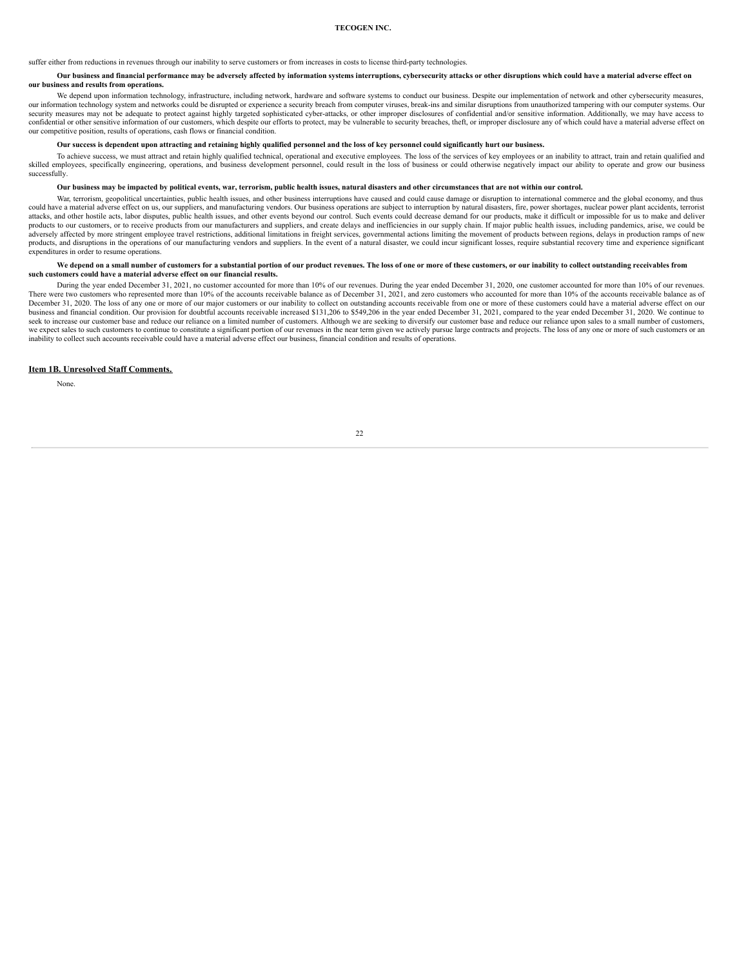suffer either from reductions in revenues through our inability to serve customers or from increases in costs to license third-party technologies.

# Our business and financial performance may be adversely affected by information systems interruptions, cybersecurity attacks or other disruptions which could have a material adverse effect on **our business and results from operations.**

We depend upon information technology, infrastructure, including network, hardware and software systems to conduct our business. Despite our implementation of network and other cybersecurity measures, our information technology system and networks could be disrupted or experience a security breach from computer viruses, break-ins and similar disruptions from unauthorized tampering with our computer systems. Our security measures may not be adequate to protect against highly targeted sophisticated cyber-attacks, or other improper disclosures of confidential and/or sensitive information. Additionally, we may have access to confidential or other sensitive information of our customers, which despite our efforts to protect, may be vulnerable to security breaches, theft, or improper disclosure any of which could have a material adverse effect on our competitive position, results of operations, cash flows or financial condition.

#### Our success is dependent upon attracting and retaining highly qualified personnel and the loss of key personnel could significantly hurt our business.

To achieve success, we must attract and retain highly qualified technical, operational and executive employees. The loss of the services of key employees or an inability to attract, train and retain qualified and skilled employees, specifically engineering, operations, and business development personnel, could result in the loss of business or could otherwise negatively impact our ability to operate and grow our business successfully.

# Our business may be impacted by political events, war, terrorism, public health issues, natural disasters and other circumstances that are not within our control.

War, terrorism, geopolitical uncertainties, public health issues, and other business interruptions have caused and could cause damage or disruption to international commerce and the global economy, and thus could have a material adverse effect on us, our suppliers, and manufacturing vendors. Our business operations are subject to interruption by natural disasters, fire, power shortages, nuclear power plant accidents, terroris attacks, and other hostile acts, labor disputes, public health issues, and other events beyond our control. Such events could decrease demand for our products, make it difficult or impossible for us to make and deliver products to our customers, or to receive products from our manufacturers and suppliers, and create delays and inefficiencies in our supply chain. If major public health issues, including pandemics, arise, we could be adversely affected by more stringent employee travel restrictions, additional limitations in freight services, governmental actions limiting the movement of products between regions, delays in production ramps of new products, and disruptions in the operations of our manufacturing vendors and suppliers. In the event of a natural disaster, we could incur significant losses, require substantial recovery time and experience significant expenditures in order to resume operations.

#### We depend on a small number of customers for a substantial portion of our product revenues. The loss of one or more of these customers, or our inability to collect outstanding receivables from **such customers could have a material adverse effect on our financial results.**

During the year ended December 31, 2021, no customer accounted for more than 10% of our revenues. During the year ended December 31, 2020, one customer accounted for more than 10% of our revenues.<br>There were two customers December 31, 2020. The loss of any one or more of our major customers or our inability to collect on outstanding accounts receivable from one or more of these customers could have a material adverse effect on our business and financial condition. Our provision for doubtful accounts receivable increased \$131,206 to \$549,206 in the year ended December 31, 2021, compared to the year ended December 31, 2020. We continue to seek to increase our customer base and reduce our reliance on a limited number of customers. Although we are seeking to diversify our customer base and reduce our reliance upon sales to a small number of customers, we expect sales to such customers to continue to constitute a significant portion of our revenues in the near term given we actively pursue large contracts and projects. The loss of any one or more of such customers or an inability to collect such accounts receivable could have a material adverse effect our business, financial condition and results of operations.

# <span id="page-25-1"></span><span id="page-25-0"></span>**Item 1B. Unresolved Staff Comments.**

None.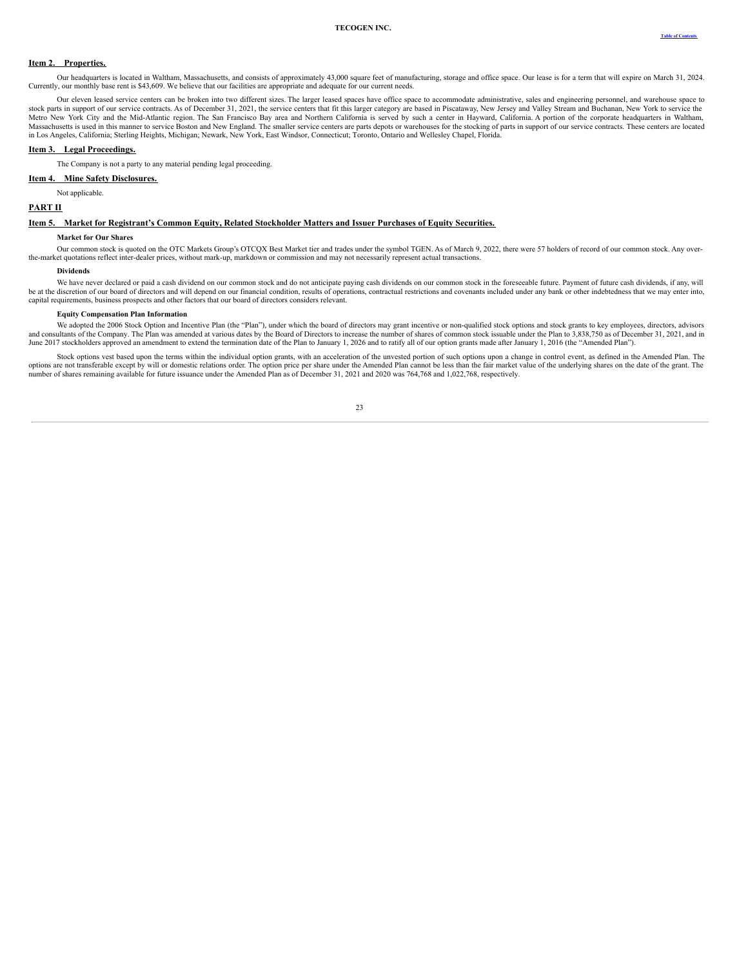#### **Item 2. Properties.**

Our headquarters is located in Waltham, Massachusetts, and consists of approximately 43,000 square feet of manufacturing, storage and office space. Our lease is for a term that will expire on March 31, 2024. Currently, our monthly base rent is \$43,609. We believe that our facilities are appropriate and adequate for our current needs.

Our eleven leased service centers can be broken into two different sizes. The larger leased spaces have office space to accommodate administrative, sales and engineering personnel, and warehouse space to stock parts in support of our service contracts. As of December 31, 2021, the service centers that fit this larger category are based in Piscataway, New Jersey and Valley Stream and Buchanan, New York to service the Metro New York City and the Mid-Atlantic region. The San Francisco Bay area and Northern California is served by such a center in Hayward, California. A portion of the corporate headquarters in Waltham, Massachusetts is used in this manner to service Boston and New England. The smaller service centers are parts depots or warehouses for the stocking of parts in support of our service contracts. These centers are located in Los Angeles, California; Sterling Heights, Michigan; Newark, New York, East Windsor, Connecticut; Toronto, Ontario and Wellesley Chapel, Florida.

### <span id="page-26-0"></span>**Item 3. Legal Proceedings.**

The Company is not a party to any material pending legal proceeding.

# <span id="page-26-1"></span>**Item 4. Mine Safety Disclosures.**

Not applicable.

# <span id="page-26-2"></span>**PART II**

# Item 5. Market for Registrant's Common Equity, Related Stockholder Matters and Issuer Purchases of Equity Securities.

#### **Market for Our Shares**

Our common stock is quoted on the OTC Markets Group's OTCQX Best Market tier and trades under the symbol TGEN. As of March 9, 2022, there were 57 holders of record of our common stock. Any overthe-market quotations reflect inter-dealer prices, without mark-up, markdown or commission and may not necessarily represent actual transactions.

#### **Dividends**

We have never declared or paid a cash dividend on our common stock and do not anticipate paying cash dividends on our common stock in the foreseeable future. Payment of future cash dividends, if any, will be at the discretion of our board of directors and will depend on our financial condition, results of operations, contractual restrictions and covenants included under any bank or other indebtedness that we may enter into, capital requirements, business prospects and other factors that our board of directors considers relevant.

#### **Equity Compensation Plan Information**

We adopted the 2006 Stock Option and Incentive Plan (the "Plan"), under which the board of directors may grant incentive or non-qualified stock options and stock grants to key employees, directors, advisors and consultants of the Company. The Plan was amended at various dates by the Board of Directors to increase the number of shares of common stock issuable under the Plan to 3,838,750 as of December 31, 2021, and in<br>June 201

Stock options vest based upon the terms within the individual option grants, with an acceleration of the unvested portion of such options upon a change in control event, as defined in the Amended Plan. The options are not transferable except by will or domestic relations order. The option price per share under the Amended Plan cannot be less than the fair market value of the underlying shares on the date of the grant. The number of shares remaining available for future issuance under the Amended Plan as of December 31, 2021 and 2020 was 764,768 and 1,022,768, respectively.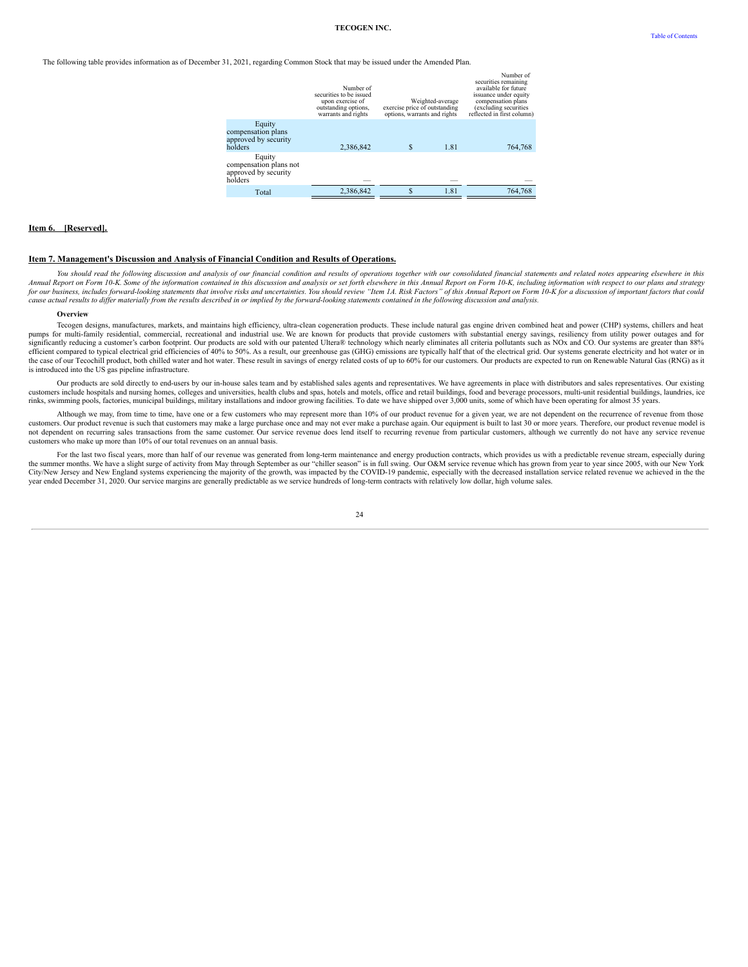The following table provides information as of December 31, 2021, regarding Common Stock that may be issued under the Amended Plan.

|                                                                     | Number of<br>securities to be issued<br>upon exercise of<br>outstanding options,<br>warrants and rights | Number of<br>securities remaining<br>available for future<br>issuance under equity<br>compensation plans<br>Weighted-average<br>(excluding securities<br>exercise price of outstanding<br>options, warrants and rights<br>reflected in first column) |      |         |
|---------------------------------------------------------------------|---------------------------------------------------------------------------------------------------------|------------------------------------------------------------------------------------------------------------------------------------------------------------------------------------------------------------------------------------------------------|------|---------|
| Equity<br>compensation plans<br>approved by security<br>holders     | 2,386,842                                                                                               | \$                                                                                                                                                                                                                                                   | 1.81 | 764,768 |
| Equity<br>compensation plans not<br>approved by security<br>holders |                                                                                                         |                                                                                                                                                                                                                                                      | __   |         |
| Total                                                               | 2.386.842                                                                                               | \$                                                                                                                                                                                                                                                   | 1.81 | 764,768 |

# <span id="page-27-0"></span>**Item 6. [Reserved].**

# <span id="page-27-1"></span>**Item 7. Management's Discussion and Analysis of Financial Condition and Results of Operations.**

You should read the following discussion and analysis of our financial condition and results of operations together with our consolidated financial statements and related notes appearing elsewhere in this Annual Report on Form 10-K. Some of the information contained in this discussion and analysis or set forth elsewhere in this Annual Report on Form 10-K, including information with respect to our plans and strategy<br>for our cause actual results to differ materially from the results described in or implied by the forward-looking statements contained in the following discussion and analysis.

#### **Overview**

Tecogen designs, manufactures, markets, and maintains high efficiency, ultra-clean cogeneration products. These include natural gas engine driven combined heat and power (CHP) systems, chillers and heat pumps for multi-family residential, commercial, recreational and industrial use. We are known for products that provide customers with substantial energy savings, resiliency from utility power outages and for generic and s the case of our Tecochill product, both chilled water and hot water. These result in savings of energy related costs of up to 60% for our customers. Our products are expected to run on Renewable Natural Gas (RNG) as it is introduced into the US gas pipeline infrastructure.

Our products are sold directly to end-users by our in-house sales team and by established sales agents and representatives. We have agreements in place with distributors and sales representatives. Our existing customers include hospitals and nursing homes, colleges and universities, health clubs and spas, hotels and motels, office and retail buildings, food and beverage processors, multi-unit residential buildings, laundries, ice rinks, swimming pools, factories, municipal buildings, military installations and indoor growing facilities. To date we have shipped over 3,000 units, some of which have been operating for almost 35 years.

Although we may, from time to time, have one or a few customers who may represent more than 10% of our product revenue for a given year, we are not dependent on the recurrence of revenue from those customers. Our product revenue is such that customers may make a large purchase once and may not ever make a purchase again. Our equipment is built to last 30 or more years. Therefore, our product revenue model is not dependent on recurring sales transactions from the same customer. Our service revenue does lend itself to recurring revenue from particular customers, although we currently do not have any service revenue customers who make up more than 10% of our total revenues on an annual basis.

For the last two fiscal years, more than half of our revenue was generated from long-term maintenance and energy production contracts, which provides us with a predictable revenue stream, especially during the summer months. We have a slight surge of activity from May through September as our "chiller season" is in full swing. Our O&M service revenue which has grown from year to year since 2005, with our New York City/New Jersey and New England systems experiencing the majority of the growth, was impacted by the COVID-19 pandemic, especially with the decreased installation service related revenue we achieved in the the the the syst

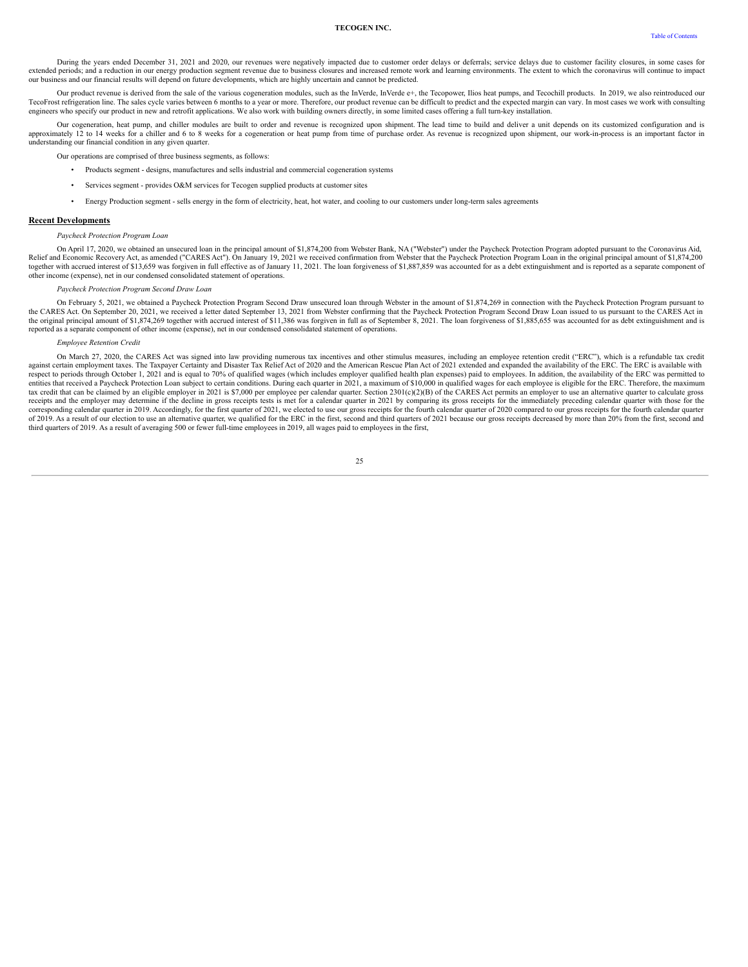During the years ended December 31, 2021 and 2020, our revenues were negatively impacted due to customer order delays or deferrals; service delays due to customer facility closures, in some cases for extended periods; and a reduction in our energy production segment revenue due to business closures and increased remote work and learning environments. The extent to which the coronavirus will continue to impact our business and our financial results will depend on future developments, which are highly uncertain and cannot be predicted.

Our product revenue is derived from the sale of the various cogeneration modules, such as the InVerde, InVerde e+, the Tecopower, Ilios heat pumps, and Tecochill products. In 2019, we also reintroduced our TecoFrost refrigeration line. The sales cycle varies between 6 months to a year or more. Therefore, our product revenue can be difficult to predict and the expected margin can vary. In most cases we work with consulting engineers who specify our product in new and retrofit applications. We also work with building owners directly, in some limited cases offering a full turn-key installation.

Our cogeneration, heat pump, and chiller modules are built to order and revenue is recognized upon shipment. The lead time to build and deliver a unit depends on its customized configuration and is approximately 12 to 14 weeks for a chiller and 6 to 8 weeks for a cogeneration or heat pump from time of purchase order. As revenue is recognized upon shipment, our work-in-process is an important factor in understanding our financial condition in any given quarter.

- Our operations are comprised of three business segments, as follows:
	- Products segment designs, manufactures and sells industrial and commercial cogeneration systems
	- Services segment provides O&M services for Tecogen supplied products at customer sites
	- Energy Production segment sells energy in the form of electricity, heat, hot water, and cooling to our customers under long-term sales agreements

# **Recent Developments**

# *Paycheck Protection Program Loan*

On April 17, 2020, we obtained an unsecured loan in the principal amount of \$1,874,200 from Webster Bank, NA ("Webster") under the Paycheck Protection Program adopted pursuant to the Coronavirus Aid, Relief and Economic Recovery Act, as amended ("CARES Act"). On January 19, 2021 we received confirmation from Webster that the Paycheck Protection Program Loan in the original principal amount of \$1,874,200 together with accrued interest of \$13,659 was forgiven in full effective as of January 11, 2021. The loan forgiveness of \$1,887,859 was accounted for as a debt extinguishment and is reported as a separate component of other income (expense), net in our condensed consolidated statement of operations.

#### *Paycheck Protection Program Second Draw Loan*

On February 5, 2021, we obtained a Paycheck Protection Program Second Draw unsecured loan through Webster in the amount of \$1,874,269 in connection with the Paycheck Protection Program pursuant to the CARES Act. On September 20, 2021, we received a letter dated September 13, 2021 from Webster confirming that the Paycheck Protection Program Second Draw Loan issued to us pursuant to the CARES Act in the original principal amount of \$1,874,269 together with accrued interest of \$11,386 was forgiven in full as of September 8, 2021. The loan forgiveness of \$1,885,655 was accounted for as debt extinguishment and is reported as a separate component of other income (expense), net in our condensed consolidated statement of operations.

#### *Employee Retention Credit*

On March 27, 2020, the CARES Act was signed into law providing numerous tax incentives and other stimulus measures, including an employee retention credit ("ERC"), which is a refundable tax credit against certain employment taxes. The Taxpayer Certainty and Disaster Tax Relief Act of 2020 and the American Rescue Plan Act of 2021 extended and expanded the availability of the ERC. The ERC is available with respect to periods through October 1, 2021 and is equal to 70% of qualified wages (which includes employer qualified health plan expenses) paid to employees. In addition, the availability of the ERC was permitted to entities that received a Paycheck Protection Loan subject to certain conditions. During each quarter in 2021, a maximum of \$10,000 in qualified wages for each employee is eligible for the ERC. Therefore, the maximum tax credit that can be claimed by an eligible employer in 2021 is \$7,000 per employee per calendar quarter. Section 2301(c)(2)(B) of the CARES Act permits an employer to use an alternative quarter to calculate gross receipts and the employer may determine if the decline in gross receipts tests is met for a calendar quarter in 2021 by comparing its gross receipts for the immediately preceding calendar quarter with those for the fourth of 2019. As a result of our election to use an alternative quarter, we qualified for the ERC in the first, second and third quarters of 2021 because our gross receipts decreased by more than 20% from the first, second and third quarters of 2019. As a result of averaging 500 or fewer full-time employees in 2019, all wages paid to employees in the first,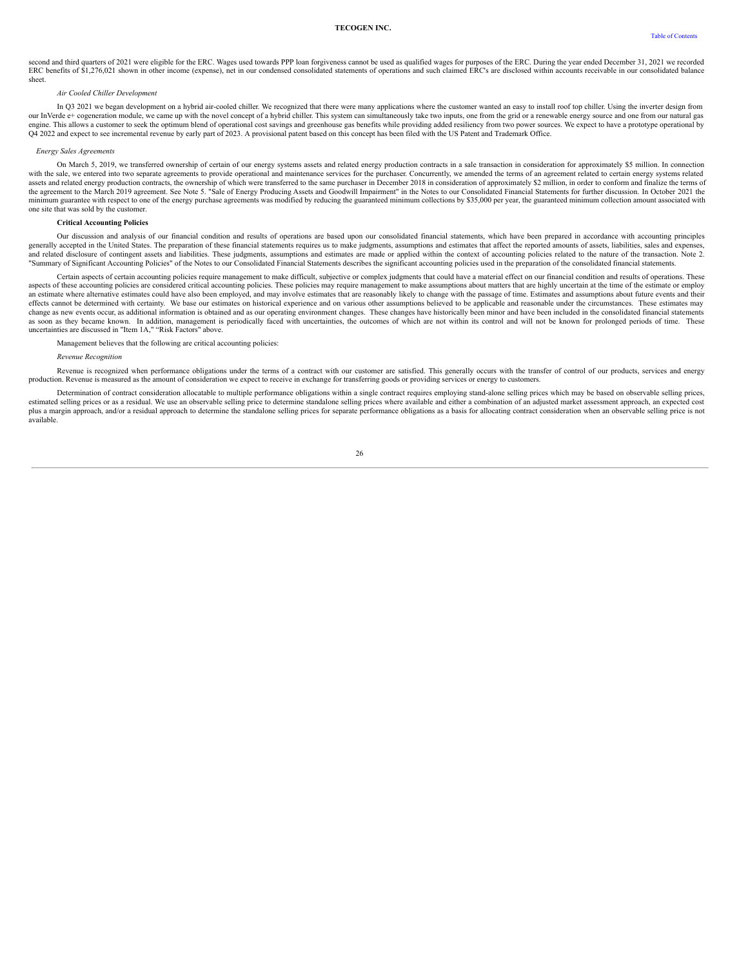second and third quarters of 2021 were eligible for the ERC. Wages used towards PPP loan forgiveness cannot be used as qualified wages for purposes of the ERC. During the year ended December 31, 2021 we recorded ERC benefits of \$1,276,021 shown in other income (expense), net in our condensed consolidated statements of operations and such claimed ERC's are disclosed within accounts receivable in our consolidated balance sheet.

### *Air Cooled Chiller Development*

In Q3 2021 we began development on a hybrid air-cooled chiller. We recognized that there were many applications where the customer wanted an easy to install roof top chiller. Using the inverter design from our InVerde e+ cogeneration module, we came up with the novel concept of a hybrid chiller. This system can simultaneously take two inputs, one from the grid or a renewable energy source and one from our natural gas engine. This allows a customer to seek the optimum blend of operational cost savings and greenhouse gas benefits while providing added resiliency from two power sources. We expect to have a prototype operational by Q4 2022 and expect to see incremental revenue by early part of 2023. A provisional patent based on this concept has been filed with the US Patent and Trademark Office.

#### *Energy Sales Agreements*

On March 5, 2019, we transferred ownership of certain of our energy systems assets and related energy production contracts in a sale transaction in consideration for approximately \$5 million. In connection with the sale, we entered into two separate agreements to provide operational and maintenance services for the purchaser. Concurrently, we amended the terms of an agreement related to certain energy systems related assets the agreement to the March 2019 agreement. See Note 5. "Sale of Energy Producing Assets and Goodwill Impairment" in the Notes to our Consolidated Financial Statements for further discussion. In October 2021 the Notes to ou minimum guarantee with respect to one of the energy purchase agreements was modified by reducing the guaranteed minimum collections by \$35,000 per year, the guaranteed minimum collection amount associated with one site that was sold by the customer.

# **Critical Accounting Policies**

Our discussion and analysis of our financial condition and results of operations are based upon our consolidated financial statements, which have been prepared in accordance with accounting principles generally accepted in the United States. The preparation of these financial statements requires us to make judgments, assumptions and estimates that affect the reported amounts of assets, liabilities, sales and expenses, and related disclosure of contingent assets and liabilities. These judgments, assumptions and estimates are made or applied within the context of accounting policies related to the nature of the transaction. Note 2. "Summary of Significant Accounting Policies" of the Notes to our Consolidated Financial Statements describes the significant accounting policies used in the preparation of the consolidated financial statements.

Certain aspects of certain accounting policies require management to make difficult, subjective or complex judgments that could have a material effect on our financial condition and results of operations. These aspects of these accounting policies are considered critical accounting policies. These policies may require management to make assumptions about matters that are highly uncertain at the time of the estimate or employ an estimate where alternative estimates could have also been employed, and may involve estimates that are reasonably likely to change with the passage of time. Estimates and assumptions about future events and their effects cannot be determined with certainty. We base our estimates on historical experience and on various other assumptions believed to be applicable and reasonable under the circumstances. These estimates may change as new events occur, as additional information is obtained and as our operating environment changes. These changes have historically been minor and have been included in the consolidated financial statements as soon as they became known. In addition, management is periodically faced with uncertainties, the outcomes of which are not within its control and will not be known for prolonged periods of time. These uncertainties are discussed in "Item 1A," "Risk Factors" above.

Management believes that the following are critical accounting policies:

#### *Revenue Recognition*

Revenue is recognized when performance obligations under the terms of a contract with our customer are satisfied. This generally occurs with the transfer of control of our products, services and energy production. Revenue is measured as the amount of consideration we expect to receive in exchange for transferring goods or providing services or energy to customers.

Determination of contract consideration allocatable to multiple performance obligations within a single contract requires employing stand-alone selling prices which may be based on observable selling prices, estimated selling prices or as a residual. We use an observable selling price to determine standalone selling prices where available and either a combination of an adjusted market assessment approach, an expected cost plus a margin approach, and/or a residual approach to determine the standalone selling prices for separate performance obligations as a basis for allocating contract consideration when an observable selling price is not available.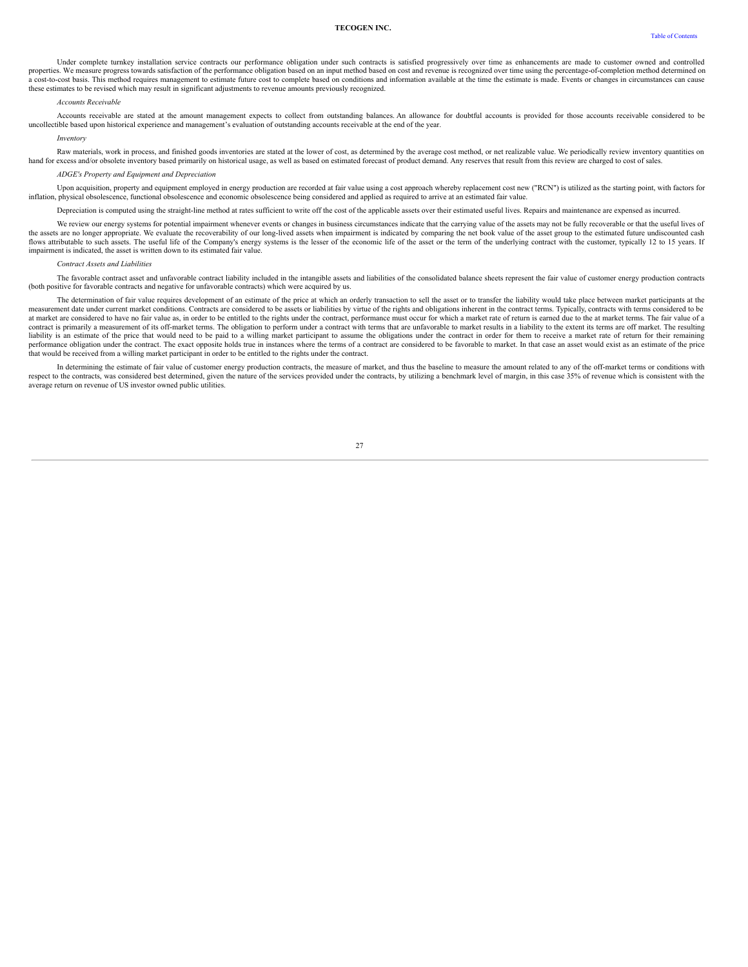Under complete turnkey installation service contracts our performance obligation under such contracts is satisfied progressively over time as enhancements are made to customer owned and controlled properties. We measure progress towards satisfaction of the performance obligation based on an input method based on cost and revenue is recognized over time using the percentage-of-completion method determined on a cost-to-cost basis. This method requires management to estimate future cost to complete based on conditions and information available at the time the estimate is made. Events or changes in circumstances can cause these estimates to be revised which may result in significant adjustments to revenue amounts previously recognized.

### *Accounts Receivable*

Accounts receivable are stated at the amount management expects to collect from outstanding balances. An allowance for doubtful accounts is provided for those accounts receivable considered to be uncollectible based upon historical experience and management's evaluation of outstanding accounts receivable at the end of the year.

#### *Inventory*

Raw materials, work in process, and finished goods inventories are stated at the lower of cost, as determined by the average cost method, or net realizable value. We periodically review inventory quantities on hand for excess and/or obsolete inventory based primarily on historical usage, as well as based on estimated forecast of product demand. Any reserves that result from this review are charged to cost of sales

#### *ADGE's Property and Equipment and Depreciation*

Upon acquisition, property and equipment employed in energy production are recorded at fair value using a cost approach whereby replacement cost new ("RCN") is utilized as the starting point, with factors for inflation, physical obsolescence, functional obsolescence and economic obsolescence being considered and applied as required to arrive at an estimated fair value.

Depreciation is computed using the straight-line method at rates sufficient to write off the cost of the applicable assets over their estimated useful lives. Repairs and maintenance are expensed as incurred.

We review our energy systems for potential impairment whenever events or changes in business circumstances indicate that the carrying value of the assets may not be fully recoverable or that the useful lives of the assets are no longer appropriate. We evaluate the recoverability of our long-lived assets when impairment is indicated by comparing the net book value of the asset group to the estimated future undiscounted cash flows attributable to such assets. The useful life of the Company's energy systems is the lesser of the economic life of the asset or the term of the underlying contract with the customer, typically 12 to 15 years. If impairment is indicated, the asset is written down to its estimated fair value.

#### *Contract Assets and Liabilities*

The favorable contract asset and unfavorable contract liability included in the intangible assets and liabilities of the consolidated balance sheets represent the fair value of customer energy production contracts (both positive for favorable contracts and negative for unfavorable contracts) which were acquired by us.

The determination of fair value requires development of an estimate of the price at which an orderly transaction to sell the asset or to transfer the liability would take place between market participants at the measurement date under current market conditions. Contracts are considered to be assets or liabilities by virtue of the rights and obligations inherent in the contract terms. Typically, contracts with terms considered to be at market are considered to have no fair value as, in order to be entitled to the rights under the contract, performance must occur for which a market rate of return is earned due to the at market terms. The fair value of contract is primarily a measurement of its off-market terms. The obligation to perform under a contract with terms that are unfavorable to market results in a liability to the extent its terms are off market. The resulting liability is an estimate of the price that would need to be paid to a willing market participant to assume the obligations under the contract in order for them to receive a market rate of return for their remaining performance obligation under the contract. The exact opposite holds true in instances where the terms of a contract are considered to be favorable to market. In that case an asset would exist as an estimate of the price that would be received from a willing market participant in order to be entitled to the rights under the contract.

In determining the estimate of fair value of customer energy production contracts, the measure of market, and thus the baseline to measure the amount related to any of the off-market terms or conditions with respect to the contracts, was considered best determined, given the nature of the services provided under the contracts, by utilizing a benchmark level of margin, in this case 35% of revenue which is consistent with the average return on revenue of US investor owned public utilities.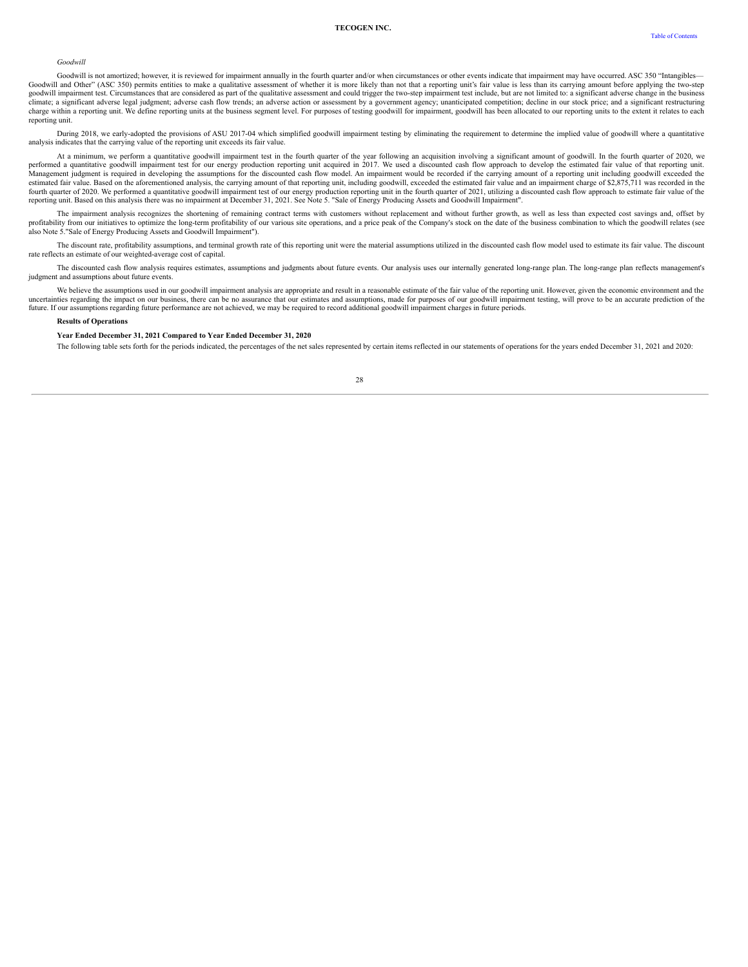### *Goodwill*

Goodwill is not amortized; however, it is reviewed for impairment annually in the fourth quarter and/or when circumstances or other events indicate that impairment may have occurred. ASC 350 "Intangibles— Goodwill and Other" (ASC 350) permits entities to make a qualitative assessment of whether it is more likely than not that a reporting unit's fair value is less than its carrying amount before applying the two-step goodwill impairment test. Circumstances that are considered as part of the qualitative assessment and could trigger the two-step impairment test include, but are not limited to: a significant adverse change in the business climate; a significant adverse legal judgment; adverse cash flow trends; an adverse action or assessment by a government agency; unanticipated competition; decline in our stock price; and a significant restructuring charge within a reporting unit. We define reporting units at the business segment level. For purposes of testing goodwill for impairment, goodwill has been allocated to our reporting units to the extent it relates to each reporting unit.

During 2018, we early-adopted the provisions of ASU 2017-04 which simplified goodwill impairment testing by eliminating the requirement to determine the implied value of goodwill where a quantitative analysis indicates that the carrying value of the reporting unit exceeds its fair value.

At a minimum, we perform a quantitative goodwill impairment test in the fourth quarter of the year following an acquisition involving a significant amount of goodwill. In the fourth quarter of 2020, we performed a quantitative goodwill impairment test for our energy production reporting unit acquired in 2017. We used a discounted cash flow approach to develop the estimated fair value of that reporting unit. Management judgment is required in developing the assumptions for the discounted cash flow model. An impairment would be recorded if the carrying amount of a reporting unit including goodwill exceeded the estimated fair va fourth quarter of 2020. We performed a quantitative goodwill impairment test of our energy production reporting unit in the fourth quarter of 2021, utilizing a discounted cash flow approach to estimate fair value of the reporting unit. Based on this analysis there was no impairment at December 31, 2021. See Note 5. "Sale of Energy Producing Assets and Goodwill Impairment".

The impairment analysis recognizes the shortening of remaining contract terms with customers without replacement and without further growth, as well as less than expected cost savings and, offset by profitability from our also Note 5."Sale of Energy Producing Assets and Goodwill Impairment").

The discount rate, profitability assumptions, and terminal growth rate of this reporting unit were the material assumptions utilized in the discounted cash flow model used to estimate its fair value. The discount rate reflects an estimate of our weighted-average cost of capital.

The discounted cash flow analysis requires estimates, assumptions and judgments about future events. Our analysis uses our internally generated long-range plan. The long-range plan reflects management's judgment and assumptions about future events.

We believe the assumptions used in our goodwill impairment analysis are appropriate and result in a reasonable estimate of the fair value of the reporting unit. However, given the economic environment and the uncertainties regarding the impact on our business, there can be no assurance that our estimates and assumptions, made for purposes of our goodwill impairment testing, will prove to be an accurate prediction of the future. If our assumptions regarding future performance are not achieved, we may be required to record additional goodwill impairment charges in future periods.

# **Results of Operations**

# **Year Ended December 31, 2021 Compared to Year Ended December 31, 2020**

The following table sets forth for the periods indicated, the percentages of the net sales represented by certain items reflected in our statements of operations for the years ended December 31, 2021 and 2020:

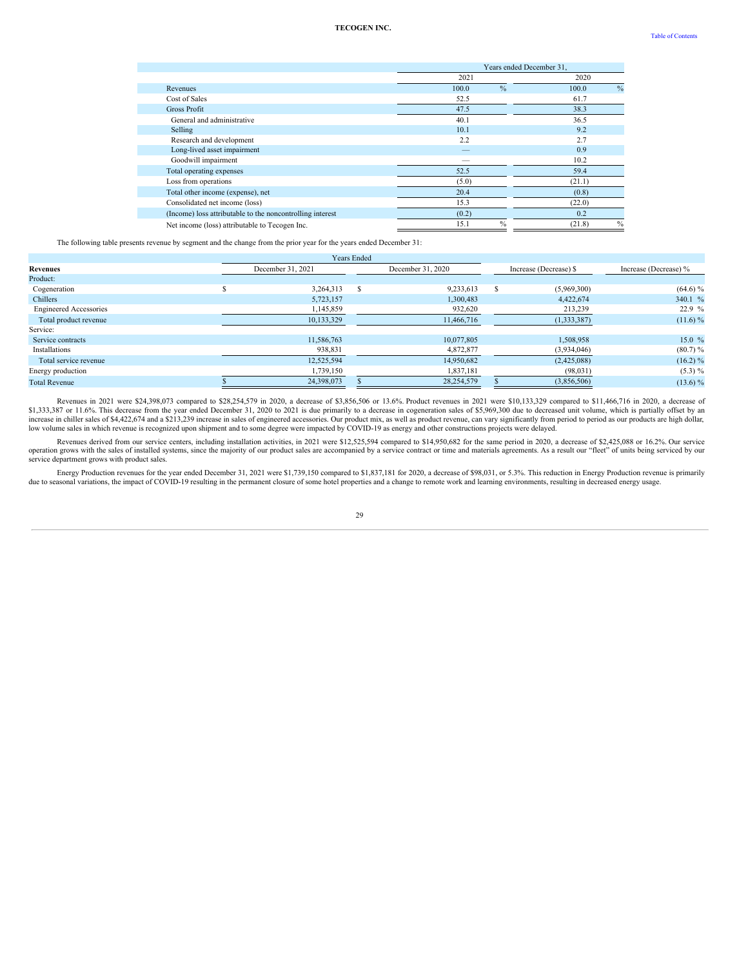|                                                           | Years ended December 31, |                         |  |
|-----------------------------------------------------------|--------------------------|-------------------------|--|
|                                                           | 2021                     | 2020                    |  |
| Revenues                                                  | $\frac{0}{0}$<br>100.0   | $\%$<br>100.0           |  |
| Cost of Sales                                             | 52.5                     | 61.7                    |  |
| Gross Profit                                              | 47.5                     | 38.3                    |  |
| General and administrative                                | 40.1                     | 36.5                    |  |
| Selling                                                   | 10.1                     | 9.2                     |  |
| Research and development                                  | 2.2                      | 2.7                     |  |
| Long-lived asset impairment                               | $\overline{\phantom{a}}$ | 0.9                     |  |
| Goodwill impairment                                       |                          | 10.2                    |  |
| Total operating expenses                                  | 52.5                     | 59.4                    |  |
| Loss from operations                                      | (5.0)                    | (21.1)                  |  |
| Total other income (expense), net                         | 20.4                     | (0.8)                   |  |
| Consolidated net income (loss)                            | 15.3                     | (22.0)                  |  |
| (Income) loss attributable to the noncontrolling interest | (0.2)                    | 0.2                     |  |
| Net income (loss) attributable to Tecogen Inc.            | $\frac{0}{0}$<br>15.1    | $\frac{0}{0}$<br>(21.8) |  |

The following table presents revenue by segment and the change from the prior year for the years ended December 31:

|                               |                   | Years Ended       |                        |                       |
|-------------------------------|-------------------|-------------------|------------------------|-----------------------|
| Revenues                      | December 31, 2021 | December 31, 2020 | Increase (Decrease) \$ | Increase (Decrease) % |
| Product:                      |                   |                   |                        |                       |
| Cogeneration                  | 3,264,313         | 9,233,613<br>S    | (5,969,300)            | $(64.6)$ %            |
| Chillers                      | 5,723,157         | 1,300,483         | 4,422,674              | 340.1 %               |
| <b>Engineered Accessories</b> | 1,145,859         | 932,620           | 213,239                | 22.9 %                |
| Total product revenue         | 10,133,329        | 11,466,716        | (1, 333, 387)          | $(11.6)\%$            |
| Service:                      |                   |                   |                        |                       |
| Service contracts             | 11,586,763        | 10,077,805        | 1,508,958              | 15.0 %                |
| Installations                 | 938,831           | 4,872,877         | (3,934,046)            | $(80.7) \%$           |
| Total service revenue         | 12,525,594        | 14,950,682        | (2,425,088)            | $(16.2)\%$            |
| Energy production             | 1,739,150         | 1,837,181         | (98, 031)              | $(5.3) \%$            |
| <b>Total Revenue</b>          | 24,398,073        | 28,254,579        | (3,856,506)            | (13.6) %              |

Revenues in 2021 were \$24,398,073 compared to \$28,254,579 in 2020, a decrease of \$3,856,506 or 13.6%. Product revenues in 2021 were \$10,133,329 compared to \$11,466,716 in 2020, a decrease of \$1,333,387 or 11.6%. This decrease from the year ended December 31, 2020 to 2021 is due primarily to a decrease in cogeneration sales of \$5,969,300 due to decreased unit volume, which is partially offset by an increase in low volume sales in which revenue is recognized upon shipment and to some degree were impacted by COVID-19 as energy and other constructions projects were delayed.

Revenues derived from our service centers, including installation activities, in 2021 were \$12,525,594 compared to \$14,950,682 for the same period in 2020, a decrease of \$2,425,088 or 16.2%. Our service operation grows with the sales of installed systems, since the majority of our product sales are accompanied by a service contract or time and materials agreements. As a result our "fleet" of units being serviced by our service department grows with product sales.

Energy Production revenues for the year ended December 31, 2021 were \$1,739,150 compared to \$1,837,181 for 2020, a decrease of \$98,031, or 5.3%. This reduction in Energy Production revenue is primarily due to seasonal vari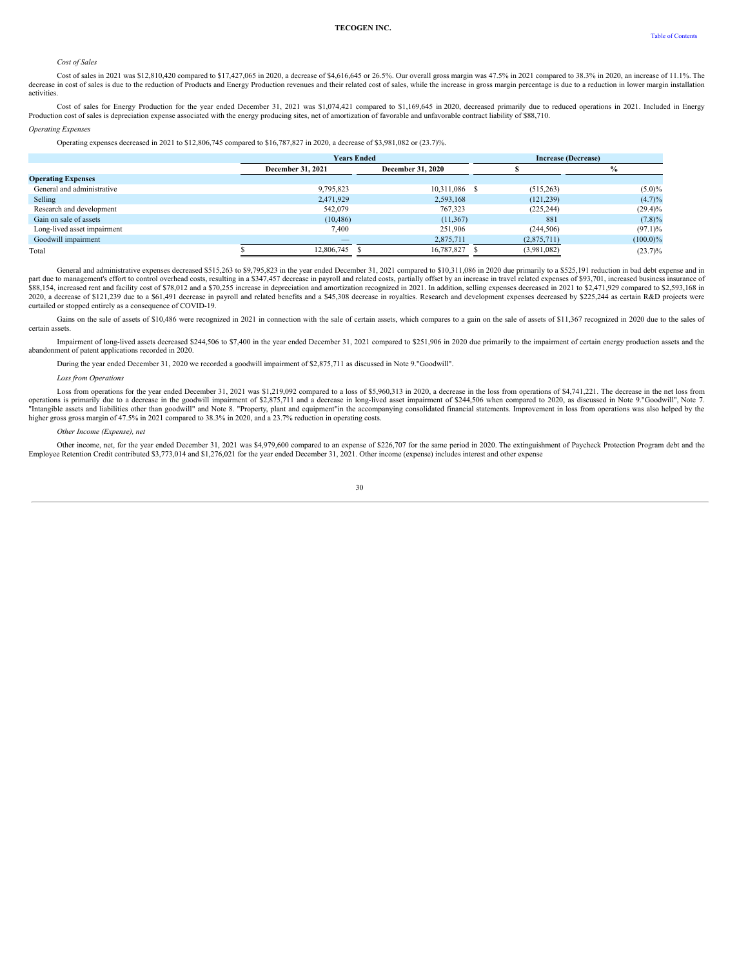# *Cost of Sales*

Cost of sales in 2021 was \$12,810,420 compared to \$17,427,065 in 2020, a decrease of \$4,616,645 or 26.5%. Our overall gross margin was 47.5% in 2021 compared to 38.3% in 2020, an increase of 11.1%. The decrease in cost of sales is due to the reduction of Products and Energy Production revenues and their related cost of sales, while the increase in gross margin percentage is due to a reduction in lower margin installation activities.

Cost of sales for Energy Production for the year ended December 31, 2021 was \$1,074,421 compared to \$1,169,645 in 2020, decreased primarily due to reduced operations in 2021. Included in Energy Production cost of sales is depreciation expense associated with the energy producing sites, net of amortization of favorable and unfavorable contract liability of \$88,710.

*Operating Expenses*

Operating expenses decreased in 2021 to \$12,806,745 compared to \$16,787,827 in 2020, a decrease of \$3,981,082 or (23.7)%.

|                             |                   | <b>Years Ended</b>       | Increase (Decrease) |               |  |
|-----------------------------|-------------------|--------------------------|---------------------|---------------|--|
|                             | December 31, 2021 | <b>December 31, 2020</b> |                     | $\frac{0}{0}$ |  |
| <b>Operating Expenses</b>   |                   |                          |                     |               |  |
| General and administrative  | 9,795,823         | 10,311,086 \$            | (515,263)           | $(5.0)\%$     |  |
| Selling                     | 2.471.929         | 2,593,168                | (121, 239)          | $(4.7)\%$     |  |
| Research and development    | 542,079           | 767,323                  | (225, 244)          | $(29.4)\%$    |  |
| Gain on sale of assets      | (10, 486)         | (11, 367)                | 881                 | $(7.8)\%$     |  |
| Long-lived asset impairment | 7,400             | 251,906                  | (244, 506)          | $(97.1)\%$    |  |
| Goodwill impairment         |                   | 2,875,711                | (2,875,711)         | $(100.0)\%$   |  |
| Total                       | 12,806,745 \$     | 16,787,827               | (3,981,082)         | $(23.7)\%$    |  |

General and administrative expenses decreased \$515,263 to \$9,795,823 in the year ended December 31, 2021 compared to \$10,311,086 in 2020 due primarily to a \$525,191 reduction in bad debt expense and in part due to management's effort to control overhead costs, resulting in a \$347,457 decrease in payroll and related costs, partially offset by an increase in travel related expenses of \$93,701, increased business insurance 2020, a decrease of \$121,239 due to a \$61,491 decrease in payroll and related benefits and a \$45,308 decrease in royalties. Research and development expenses decreased by \$225,244 as certain R&D projects were curtailed or stopped entirely as a consequence of COVID-19.

Gains on the sale of assets of \$10,486 were recognized in 2021 in connection with the sale of certain assets, which compares to a gain on the sale of assets of \$11,367 recognized in 2020 due to the sales of certain assets.

Impairment of long-lived assets decreased \$244,506 to \$7,400 in the year ended December 31, 2021 compared to \$251,906 in 2020 due primarily to the impairment of certain energy production assets and the abandonment of patent applications recorded in 2020.

During the year ended December 31, 2020 we recorded a goodwill impairment of \$2,875,711 as discussed in Note 9."Goodwill".

*Loss from Operations*

Loss from operations for the year ended December 31, 2021 was \$1,219,092 compared to a loss of \$5,960,313 in 2020, a decrease in the loss from operations of \$4,741,221. The decrease in the net loss from operations is primarily due to a decrease in the goodwill impairment of \$2,875,711 and a decrease in long-lived asset impairment of \$244,506 when compared to 2020, as discussed in Note 9."Goodwill", Note 7. "Intangible assets and liabilities other than goodwill" and Note 8. "Property, plant and equipment"in the accompanying consolidated financial statements. Improvement in loss from operations was also helped by the higher gross gross margin of 47.5% in 2021 compared to 38.3% in 2020, and a 23.7% reduction in operating costs.

#### *Other Income (Expense), net*

Other income, net, for the year ended December 31, 2021 was \$4,979,600 compared to an expense of \$226,707 for the same period in 2020. The extinguishment of Paycheck Protection Program debt and the Employee Retention Credit contributed \$3,773,014 and \$1,276,021 for the year ended December 31, 2021. Other income (expense) includes interest and other expense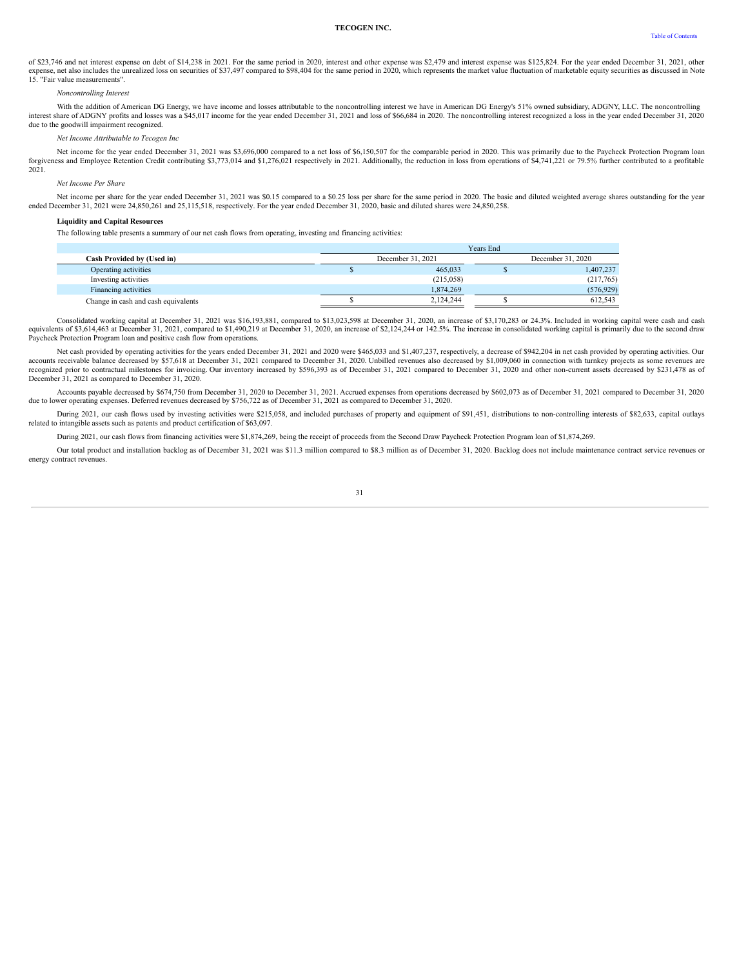of \$23,746 and net interest expense on debt of \$14,238 in 2021. For the same period in 2020, interest and other expense was \$2,479 and interest expense was \$125,824. For the year ended December 31, 2021, other expense, net also includes the unrealized loss on securities of \$37,497 compared to \$98,404 for the same period in 2020, which represents the market value fluctuation of marketable equity securities as discussed in Note 15. "Fair value measurements".

# *Noncontrolling Interest*

With the addition of American DG Energy, we have income and losses attributable to the noncontrolling interest we have in American DG Energy's 51% owned subsidiary, ADGNY, LLC. The noncontrolling interest share of ADGNY profits and losses was a \$45,017 income for the year ended December 31, 2021 and loss of \$66,684 in 2020. The noncontrolling interest recognized a loss in the year ended December 31, 2020 due to the goodwill impairment recognized.

#### *Net Income Attributable to Tecogen Inc*

Net income for the year ended December 31, 2021 was \$3,696,000 compared to a net loss of \$6,150,507 for the comparable period in 2020. This was primarily due to the Paycheck Protection Program loan forgiveness and Employee Retention Credit contributing \$3,773,014 and \$1,276,021 respectively in 2021. Additionally, the reduction in loss from operations of \$4,741,221 or 79.5% further contributed to a profitable 2021.

#### *Net Income Per Share*

Net income per share for the year ended December 31, 2021 was \$0.15 compared to a \$0.25 loss per share for the same period in 2020. The basic and diluted weighted average shares outstanding for the year ended December 31, 2021 were 24,850,261 and 25,115,518, respectively. For the year ended December 31, 2020, basic and diluted shares were 24,850,258.

# **Liquidity and Capital Resources**

The following table presents a summary of our net cash flows from operating, investing and financing activities:

|                                     | Years End         |  |                   |  |
|-------------------------------------|-------------------|--|-------------------|--|
| Cash Provided by (Used in)          | December 31, 2021 |  | December 31, 2020 |  |
| Operating activities                | 465,033           |  | 1,407,237         |  |
| Investing activities                | (215,058)         |  | (217,765)         |  |
| Financing activities                | 1,874,269         |  | (576, 929)        |  |
| Change in cash and cash equivalents | 2.124.244         |  | 612,543           |  |

Consolidated working capital at December 31, 2021 was \$16,193,881, compared to \$13,023,598 at December 31, 2020, an increase of \$3,170,283 or 24.3%. Included in working capital were cash and cash and cash and sample paircu Paycheck Protection Program loan and positive cash flow from operations.

Net cash provided by operating activities for the years ended December 31, 2021 and 2020 were \$465,033 and \$1,407,237, respectively, a decrease of \$942,204 in net cash provided by operating activities. Our accounts receivable balance decreased by \$57,618 at December 31, 2021 compared to December 31, 2020. Unbilled revenues also decreased by \$1,009,060 in connection with turnkey projects as some revenues are recognized prior to contractual milestones for invoicing. Our inventory increased by \$596,393 as of December 31, 2021 compared to December 31, 2020 and other non-current assets decreased by \$231,478 as of December 31, 2021 as compared to December 31, 2020.

Accounts payable decreased by \$674,750 from December 31, 2020 to December 31, 2021. Accrued expenses from operations decreased by \$602,073 as of December 31, 2021 compared to December 31, 2020 due to lower operating expenses. Deferred revenues decreased by \$756,722 as of December 31, 2021 as compared to December 31, 2020.

During 2021, our cash flows used by investing activities were \$215,058, and included purchases of property and equipment of \$91,451, distributions to non-controlling interests of \$82,633, capital outlays related to intangible assets such as patents and product certification of \$63,097.

During 2021, our cash flows from financing activities were \$1,874,269, being the receipt of proceeds from the Second Draw Paycheck Protection Program loan of \$1,874,269.

Our total product and installation backlog as of December 31, 2021 was \$11.3 million compared to \$8.3 million as of December 31, 2020. Backlog does not include maintenance contract service revenues or energy contract revenues.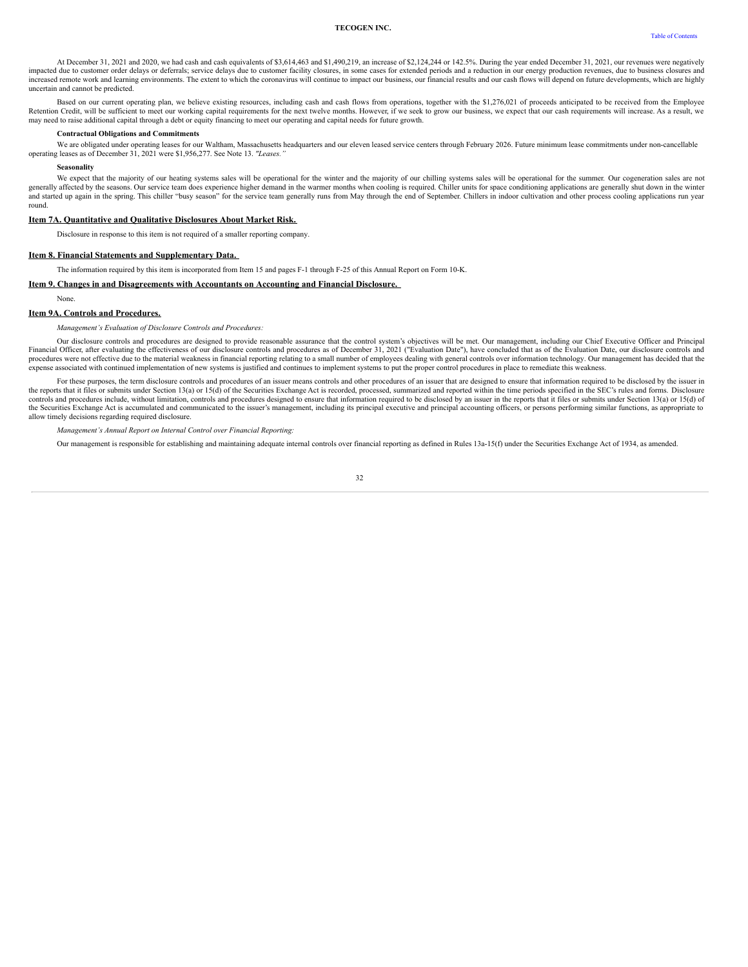At December 31, 2021 and 2020, we had cash and cash equivalents of \$3,614,463 and \$1,490,219, an increase of \$2,124,244 or 142.5%. During the year ended December 31, 2021, our revenues were negatively impacted due to customer order delays or deferrals; service delays due to customer facility closures, in some cases for extended periods and a reduction in our energy production revenues, due to business closures and increased remote work and learning environments. The extent to which the coronavirus will continue to impact our business, our financial results and our cash flows will depend on future developments, which are highly uncertain and cannot be predicted.

Based on our current operating plan, we believe existing resources, including cash and cash flows from operations, together with the \$1,276,021 of proceeds anticipated to be received from the Employee Retention Credit, will be sufficient to meet our working capital requirements for the next twelve months. However, if we seek to grow our business, we expect that our cash requirements will increase. As a result, we may need to raise additional capital through a debt or equity financing to meet our operating and capital needs for future growth.

#### **Contractual Obligations and Commitments**

We are obligated under operating leases for our Waltham, Massachusetts headquarters and our eleven leased service centers through February 2026. Future minimum lease commitments under non-cancellable operating leases as of December 31, 2021 were \$1,956,277. See Note 13. *"Leases."*

**Seasonality**

We expect that the majority of our heating systems sales will be operational for the winter and the majority of our chilling systems sales will be operational for the summer. Our cogeneration sales are not generally affect and started up again in the spring. This chiller "busy season" for the service team generally runs from May through the end of September. Chillers in indoor cultivation and other process cooling applications run year round.

# <span id="page-35-0"></span>**Item 7A. Quantitative and Qualitative Disclosures About Market Risk.**

Disclosure in response to this item is not required of a smaller reporting company.

#### <span id="page-35-1"></span>**Item 8. Financial Statements and Supplementary Data.**

The information required by this item is incorporated from Item 15 and pages F-1 through F-25 of this Annual Report on Form 10-K.

# <span id="page-35-2"></span>**Item 9. Changes in and Disagreements with Accountants on Accounting and Financial Disclosure.**

None.

# <span id="page-35-3"></span>**Item 9A. Controls and Procedures.**

# *Management's Evaluation of Disclosure Controls and Procedures:*

Our disclosure controls and procedures are designed to provide reasonable assurance that the control system's objectives will be met. Our management, including our Chief Executive Officer and Principal Financial Officer, after evaluating the effectiveness of our disclosure controls and procedures as of December 31, 2021 ("Evaluation Date"), have concluded that as of the Evaluation Date, our disclosure controls and procedures were not effective due to the material weakness in financial reporting relating to a small number of employees dealing with general controls over information technology. Our management has decided that the expense associated with continued implementation of new systems is justified and continues to implement systems to put the proper control procedures in place to remediate this weakness.

For these purposes, the term disclosure controls and procedures of an issuer means controls and other procedures of an issuer that are designed to ensure that information required to be disclosed by the issuer in the reports that it files or submits under Section 13(a) or 15(d) of the Securities Exchange Act is recorded, processed, summarized and reported within the time periods specified in the SEC's rules and forms. Disclosure controls and procedures include, without limitation, controls and procedures designed to ensure that information required to be disclosed by an issuer in the reports that it files or submits under Section 13(a) or 15(d) of the Securities Exchange Act is accumulated and communicated to the issuer's management, including its principal executive and principal accounting officers, or persons performing similar functions, as appropriate to allow timely decisions regarding required disclosure.

*Management's Annual Report on Internal Control over Financial Reporting:*

Our management is responsible for establishing and maintaining adequate internal controls over financial reporting as defined in Rules 13a-15(f) under the Securities Exchange Act of 1934, as amended.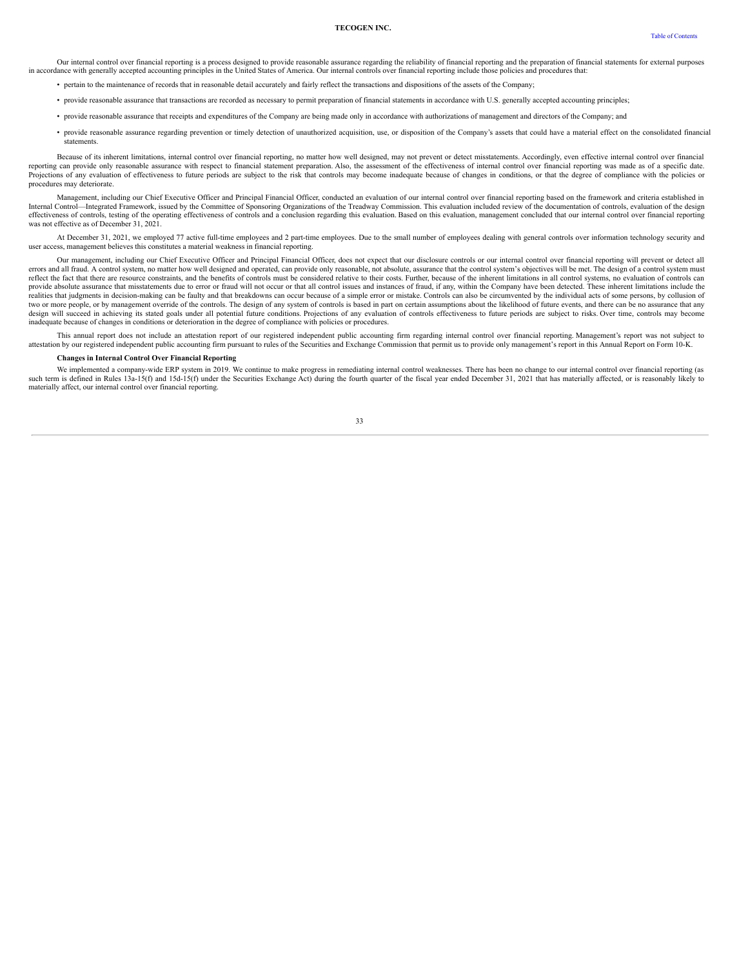Our internal control over financial reporting is a process designed to provide reasonable assurance regarding the reliability of financial reporting and the preparation of financial statements for external purposes in accordance with generally accepted accounting principles in the United States of America. Our internal controls over financial reporting include those policies and procedures that:

- pertain to the maintenance of records that in reasonable detail accurately and fairly reflect the transactions and dispositions of the assets of the Company;
- provide reasonable assurance that transactions are recorded as necessary to permit preparation of financial statements in accordance with U.S. generally accepted accounting principles;
- provide reasonable assurance that receipts and expenditures of the Company are being made only in accordance with authorizations of management and directors of the Company; and
- provide reasonable assurance regarding prevention or timely detection of unauthorized acquisition, use, or disposition of the Company's assets that could have a material effect on the consolidated financial statements.

Because of its inherent limitations, internal control over financial reporting, no matter how well designed, may not prevent or detect misstatements. Accordingly, even effective internal control over financial reporting can provide only reasonable assurance with respect to financial statement preparation. Also, the assessment of the effectiveness of internal control over financial reporting was made as of a specific date. Projections of any evaluation of effectiveness to future periods are subject to the risk that controls may become inadequate because of changes in conditions, or that the degree of compliance with the policies or procedures may deteriorate.

Management, including our Chief Executive Officer and Principal Financial Officer, conducted an evaluation of our internal control over financial reporting based on the framework and criteria established in Internal Control—Integrated Framework, issued by the Committee of Sponsoring Organizations of the Treadway Commission. This evaluation included review of the documentation of controls, evaluation of the design effectiveness of controls, testing of the operating effectiveness of controls and a conclusion regarding this evaluation. Based on this evaluation, management concluded that our internal control over financial reporting was not effective as of December 31, 2021.

At December 31, 2021, we employed 77 active full-time employees and 2 part-time employees. Due to the small number of employees dealing with general controls over information technology security and user access, management believes this constitutes a material weakness in financial reporting.

Our management, including our Chief Executive Officer and Principal Financial Officer, does not expect that our disclosure controls or our internal control over financial reporting will prevent or detect all errors and all fraud. A control system, no matter how well designed and operated, can provide only reasonable, not absolute, assurance that the control system's objectives will be met. The design of a control system must<br>r provide absolute assurance that misstatements due to error or fraud will not occur or that all control issues and instances of fraud, if any, within the Company have been detected. These inherent limitations include the realities that judgments in decision-making can be faulty and that breakdowns can occur because of a simple error or mistake. Controls can also be circumvented by the individual acts of some persons, by collusion of two or more people, or by management override of the controls. The design of any system of controls is based in part on certain assumptions about the likelihood of future events, and there can be no assurance that any design will succeed in achieving its stated goals under all potential future conditions. Projections of any evaluation of controls effectiveness to future periods are subject to risks. Over time, controls may become inadequate because of changes in conditions or deterioration in the degree of compliance with policies or procedures.

This annual report does not include an attestation report of our registered independent public accounting firm regarding internal control over financial reporting. Management's report was not subject to attestation by our registered independent public accounting firm pursuant to rules of the Securities and Exchange Commission that permit us to provide only management's report in this Annual Report on Form 10-K.

# **Changes in Internal Control Over Financial Reporting**

We implemented a company-wide ERP system in 2019. We continue to make progress in remediating internal control weaknesses. There has been no change to our internal control over financial reporting (as uch term is defined i materially affect, our internal control over financial reporting.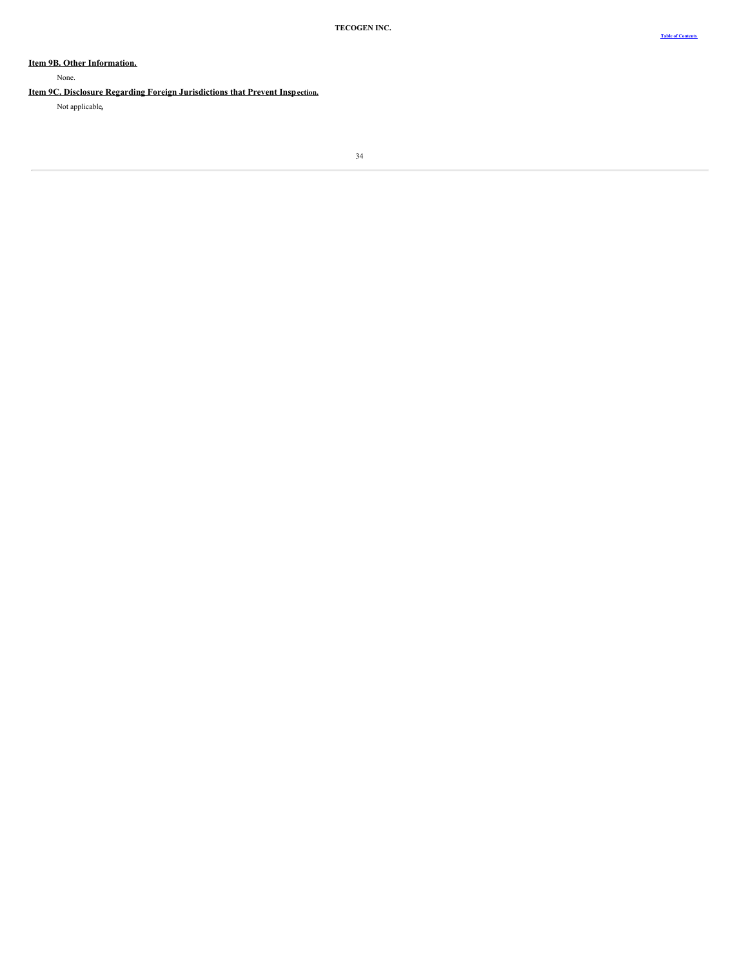# **Item 9B. Other Information.**

None.

# **Item 9C. Disclosure Regarding Foreign Jurisdictions that Prevent Inspection.**

Not applicable**.**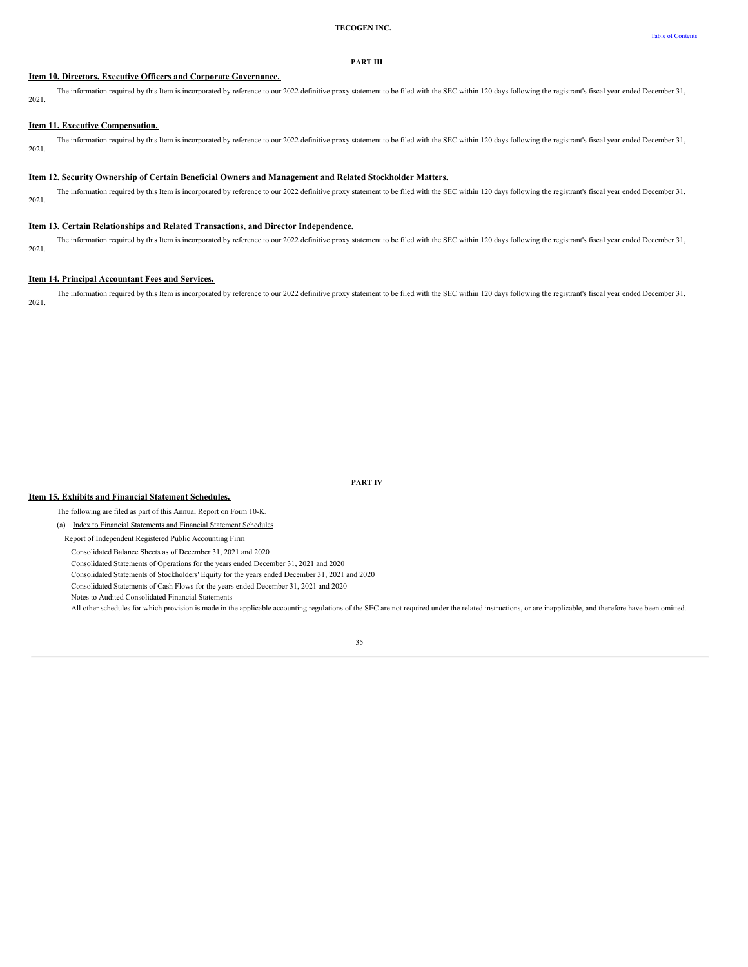# **PART III**

# **Item 10. Directors, Executive Officers and Corporate Governance.**

The information required by this Item is incorporated by reference to our 2022 definitive proxy statement to be filed with the SEC within 120 days following the registrant's fiscal year ended December 31, 2021.

# **Item 11. Executive Compensation.**

The information required by this Item is incorporated by reference to our 2022 definitive proxy statement to be filed with the SEC within 120 days following the registrant's fiscal year ended December 31, 2021.

# **Item 12. Security Ownership of Certain Beneficial Owners and Management and Related Stockholder Matters.**

The information required by this Item is incorporated by reference to our 2022 definitive proxy statement to be filed with the SEC within 120 days following the registrant's fiscal year ended December 31, 2021.

# **Item 13. Certain Relationships and Related Transactions, and Director Independence.**

The information required by this Item is incorporated by reference to our 2022 definitive proxy statement to be filed with the SEC within 120 days following the registrant's fiscal year ended December 31, 2021.

# **Item 14. Principal Accountant Fees and Services.**

The information required by this Item is incorporated by reference to our 2022 definitive proxy statement to be filed with the SEC within 120 days following the registrant's fiscal year ended December 31, 2021.

# **Item 15. Exhibits and Financial Statement Schedules.**

The following are filed as part of this Annual Report on Form 10-K.

(a) Index to Financial Statements and Financial Statement Schedules

Report of Independent Registered Public Accounting Firm

Consolidated Balance Sheets as of December 31, 2021 and 2020

Consolidated Statements of Operations for the years ended December 31, 2021 and 2020

Consolidated Statements of Stockholders' Equity for the years ended December 31, 2021 and 2020

Consolidated Statements of Cash Flows for the years ended December 31, 2021 and 2020

Notes to Audited Consolidated Financial Statements

All other schedules for which provision is made in the applicable accounting regulations of the SEC are not required under the related instructions, or are inapplicable, and therefore have been omitted.



**PART IV**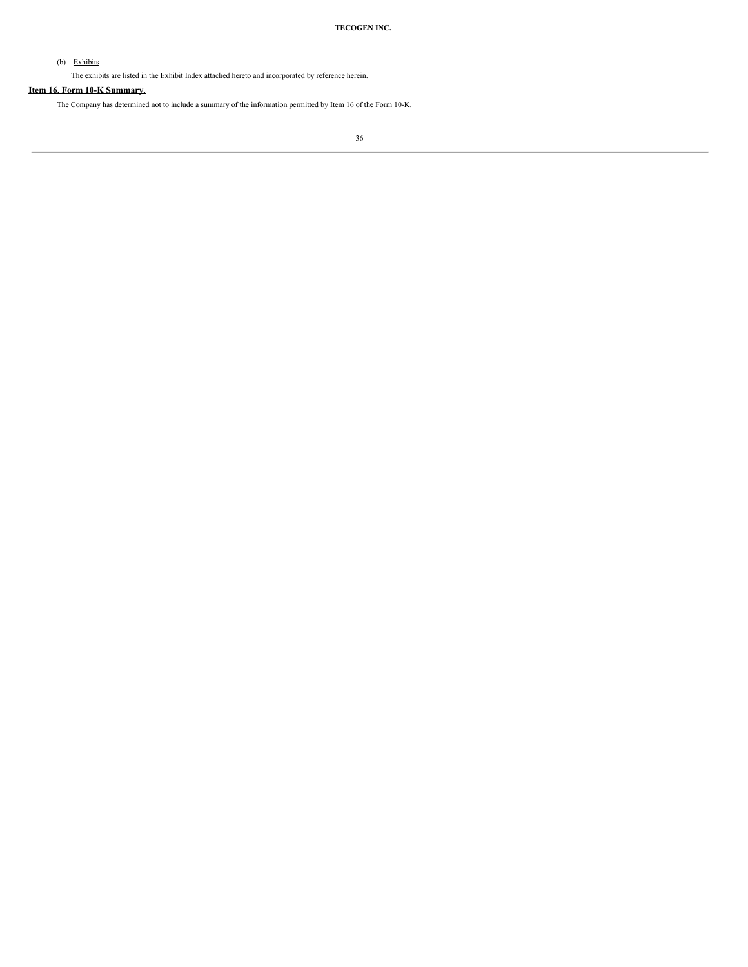# (b) Exhibits

The exhibits are listed in the Exhibit Index attached hereto and incorporated by reference herein.

# **Item 16. Form 10-K Summary.**

The Company has determined not to include a summary of the information permitted by Item 16 of the Form 10-K.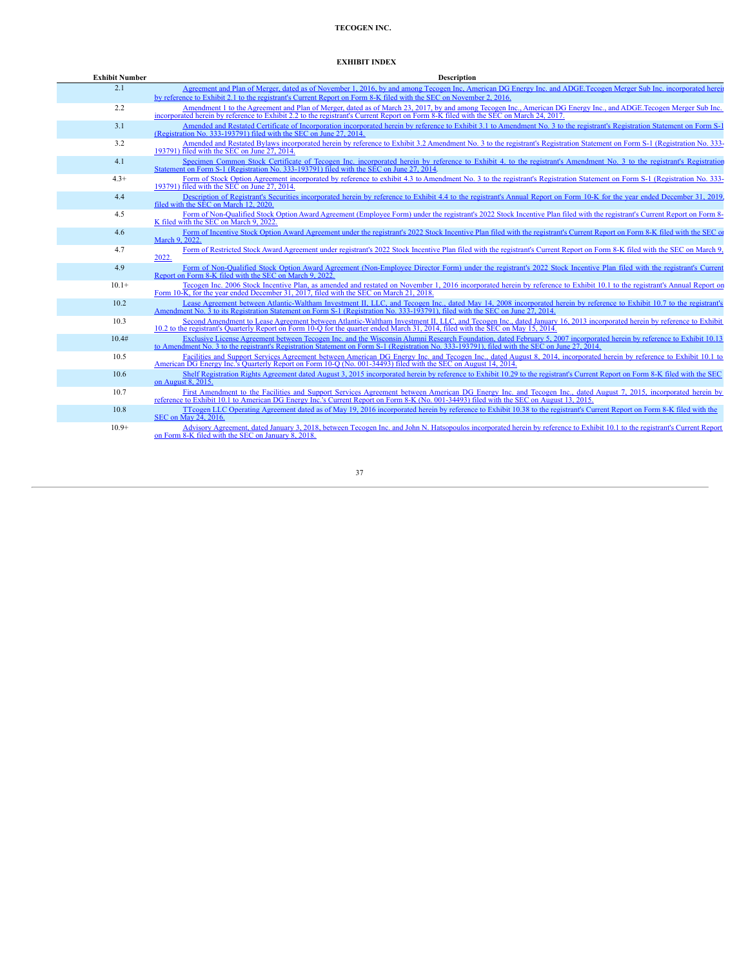# **EXHIBIT INDEX**

| <b>Exhibit Number</b> | <b>Description</b>                                                                                                                                                                                                                                                                                                       |
|-----------------------|--------------------------------------------------------------------------------------------------------------------------------------------------------------------------------------------------------------------------------------------------------------------------------------------------------------------------|
| 2.1                   | Agreement and Plan of Merger, dated as of November 1, 2016, by and among Tecogen Inc. American DG Energy Inc. and ADGE. Tecogen Merger Sub Inc. incorporated hereir<br>by reference to Exhibit 2.1 to the registrant's Current Report on Form 8-K filed with the SEC on November 2, 2016.                                |
| 2.2                   | Amendment 1 to the Agreement and Plan of Merger, dated as of March 23, 2017, by and among Tecogen Inc., American DG Energy Inc., and ADGE. Tecogen Merger Sub Inc.<br>incorporated herein by reference to Exhibit 2.2 to the registrant's Current Report on Form 8-K filed with the SEC on March 24, 2017.               |
| 3.1                   | Amended and Restated Certificate of Incorporation incorporated herein by reference to Exhibit 3.1 to Amendment No. 3 to the registrant's Registration Statement on Form S-1<br>(Registration No. 333-193791) filed with the SEC on June 27, 2014.                                                                        |
| 3.2                   | Amended and Restated Bylaws incorporated herein by reference to Exhibit 3.2 Amendment No. 3 to the registrant's Registration Statement on Form S-1 (Registration No. 333-<br>193791) filed with the SEC on June 27, 2014.                                                                                                |
| 4.1                   | Specimen Common Stock Certificate of Tecogen Inc. incorporated herein by reference to Exhibit 4, to the registrant's Amendment No. 3 to the registrant's Registration<br>Statement on Form S-1 (Registration No. 333-193791) filed with the SEC on June 27, 2014.                                                        |
| $4.3+$                | Form of Stock Option Agreement incorporated by reference to exhibit 4.3 to Amendment No. 3 to the registrant's Registration Statement on Form S-1 (Registration No. 333-<br>193791) filed with the SEC on June 27, 2014.                                                                                                 |
| 4.4                   | Description of Registrant's Securities incorporated herein by reference to Exhibit 4.4 to the registrant's Annual Report on Form 10-K for the year ended December 31, 2019.<br>filed with the SEC on March 12, 2020.                                                                                                     |
| 4.5                   | Form of Non-Oualified Stock Option Award Agreement (Employee Form) under the registrant's 2022 Stock Incentive Plan filed with the registrant's Current Report on Form 8-<br>K filed with the SEC on March 9, 2022                                                                                                       |
| 4.6                   | Form of Incentive Stock Option Award Agreement under the registrant's 2022 Stock Incentive Plan filed with the registrant's Current Report on Form 8-K filed with the SEC or<br>March 9, 2022.                                                                                                                           |
| 4.7                   | Form of Restricted Stock Award Agreement under registrant's 2022 Stock Incentive Plan filed with the registrant's Current Report on Form 8-K filed with the SEC on March 9.<br>2022.                                                                                                                                     |
| 4.9                   | Form of Non-Qualified Stock Option Award Agreement (Non-Employee Director Form) under the registrant's 2022 Stock Incentive Plan filed with the registrant's Current<br>Report on Form 8-K filed with the SEC on March 9, 2022.                                                                                          |
| $10.1+$               | Tecogen Inc. 2006 Stock Incentive Plan, as amended and restated on November 1, 2016 incorporated herein by reference to Exhibit 10.1 to the registrant's Annual Report on<br>Form 10-K, for the year ended December 31, 2017, filed with the SEC on March 21, 2018.                                                      |
| 10.2                  | Lease Agreement between Atlantic-Waltham Investment II, LLC, and Tecogen Inc., dated May 14, 2008 incorporated herein by reference to Exhibit 10.7 to the registrant's<br>Amendment No. 3 to its Registration Statement on Form S-1 (Registration No. 333-193791), filed with the SEC on June 27, 2014.                  |
| 10.3                  | Second Amendment to Lease Agreement between Atlantic-Waltham Investment II, LLC, and Tecogen Inc., dated January 16, 2013 incorporated herein by reference to Exhibit<br>10.2 to the registrant's Quarterly Report on Form 10-O for the quarter ended March 31, 2014, filed with the SEC on May 15, 2014.                |
| 10.4#                 | Exclusive License Agreement between Tecogen Inc. and the Wisconsin Alumni Research Foundation, dated February 5, 2007 incorporated herein by reference to Exhibit 10.13<br>to Amendment No. 3 to the registrant's Registration Statement on Form S-1 (Registration No. 333-193791), filed with the SEC on June 27, 2014. |
| 10.5                  | Facilities and Support Services Agreement between American DG Energy Inc. and Tecogen Inc., dated August 8, 2014, incorporated herein by reference to Exhibit 10.1 to<br>American DG Energy Inc. <sup>7</sup> s Quarterly Report on Form 10-Q (No. 001-34493) filed with the SEC on August 14, 2014.                     |
| 10.6                  | Shelf Registration Rights Agreement dated August 3, 2015 incorporated herein by reference to Exhibit 10.29 to the registrant's Current Report on Form 8-K filed with the SEC<br>on August 8, 2015.                                                                                                                       |
| 10.7                  | First Amendment to the Facilities and Support Services Agreement between American DG Energy Inc. and Tecogen Inc., dated August 7, 2015, incorporated herein by<br>reference to Exhibit 10.1 to American DG Energy Inc.'s Current Report on Form 8-K (No. 001-34493) filed with the SEC on August 13, 2015.              |
| 10.8                  | TTcogen LLC Operating Agreement dated as of May 19, 2016 incorporated herein by reference to Exhibit 10.38 to the registrant's Current Report on Form 8-K filed with the<br>SEC on May 24, 2016.                                                                                                                         |
| $10.9+$               | Advisory Agreement, dated January 3, 2018, between Tecogen Inc. and John N. Hatsopoulos incorporated herein by reference to Exhibit 10.1 to the registrant's Current Report<br>on Form 8-K filed with the SEC on January 8, 2018.                                                                                        |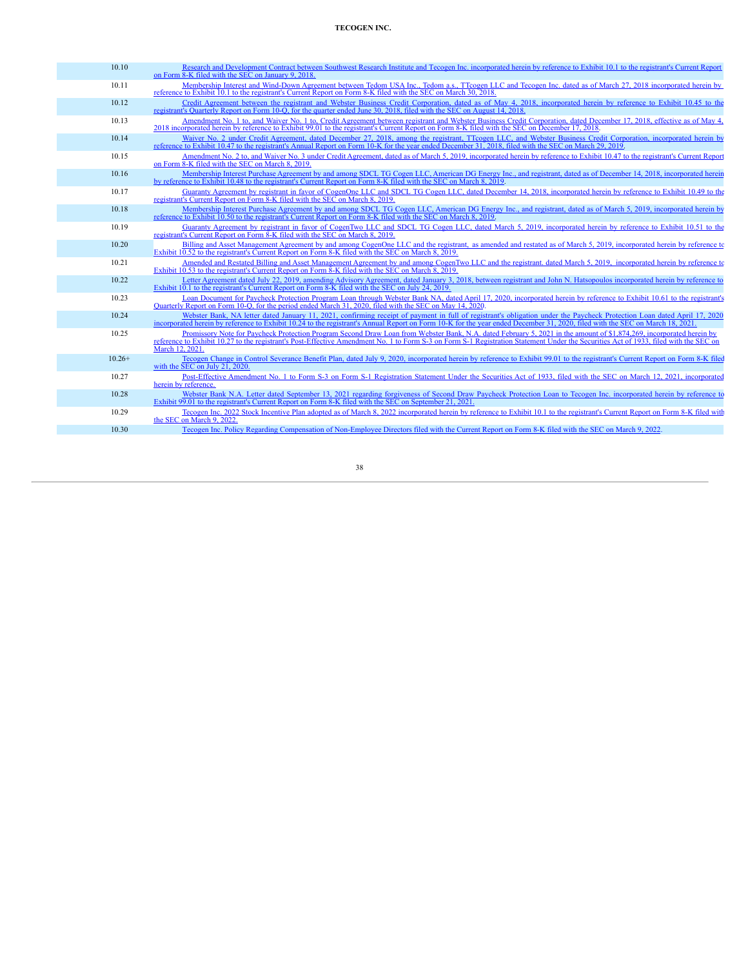| 10.10    | Research and Development Contract between Southwest Research Institute and Tecogen Inc. incorporated herein by reference to Exhibit 10.1 to the registrant's Current Report<br>on Form 8-K filed with the SEC on January 9, 2018.                                                                                                                                               |
|----------|---------------------------------------------------------------------------------------------------------------------------------------------------------------------------------------------------------------------------------------------------------------------------------------------------------------------------------------------------------------------------------|
| 10.11    | Membership Interest and Wind-Down Agreement between Tedom USA Inc., Tedom a.s., TTcogen LLC and Tecogen Inc. dated as of March 27, 2018 incorporated herein by<br>reference to Exhibit 10.1 to the registrant's Current Report on Form 8-K filed with the SEC on March 30, 2018.                                                                                                |
| 10.12    | Credit Agreement between the registrant and Webster Business Credit Corporation, dated as of May 4, 2018, incorporated herein by reference to Exhibit 10.45 to the<br>registrant's Quarterly Report on Form 10-Q, for the quarter ended June 30, 2018, filed with the SEC on August 14, 2018.                                                                                   |
| 10.13    | Amendment No. 1 to, and Waiver No. 1 to, Credit Agreement between registrant and Webster Business Credit Corporation, dated December 17, 2018, effective as of May 4,<br>2018 incorporated herein by reference to Exhibit 99.01 to the registrant's Current Report on Form 8-K filed with the SEC on December 17, 2018                                                          |
| 10.14    | Waiver No. 2 under Credit Agreement, dated December 27, 2018, among the registrant, TTcogen LLC, and Webster Business Credit Corporation, incorporated herein by<br>reference to Exhibit 10.47 to the registrant's Annual Report on Form 10-K for the year ended December 31, 2018, filed with the SEC on March 29, 2019.                                                       |
| 10.15    | Amendment No. 2 to, and Waiver No. 3 under Credit Agreement, dated as of March 5, 2019, incorporated herein by reference to Exhibit 10.47 to the registrant's Current Report<br>on Form 8-K filed with the SEC on March 8, 2019.                                                                                                                                                |
| 10.16    | Membership Interest Purchase Agreement by and among SDCL TG Cogen LLC, American DG Energy Inc., and registrant, dated as of December 14, 2018, incorporated herein<br>by reference to Exhibit 10.48 to the registrant's Current Report on Form 8-K filed with the SEC on March 8, 2019.                                                                                         |
| 10.17    | Guaranty Agreement by registrant in favor of CogenOne LLC and SDCL TG Cogen LLC, dated December 14, 2018, incorporated herein by reference to Exhibit 10.49 to the<br>registrant's Current Report on Form 8-K filed with the SEC on March 8, 2019.                                                                                                                              |
| 10.18    | Membership Interest Purchase Agreement by and among SDCL TG Cogen LLC. American DG Energy Inc., and registrant, dated as of March 5, 2019, incorporated herein by<br>reference to Exhibit 10.50 to the registrant's Current Report on Form 8-K filed with the SEC on March 8, 2019.                                                                                             |
| 10.19    | Guaranty Agreement by registrant in favor of CogenTwo LLC and SDCL TG Cogen LLC, dated March 5, 2019, incorporated herein by reference to Exhibit 10.51 to the<br>registrant's Current Report on Form 8-K filed with the SEC on March 8, 2019.                                                                                                                                  |
| 10.20    | Billing and Asset Management Agreement by and among CogenOne LLC and the registrant, as amended and restated as of March 5, 2019, incorporated herein by reference to<br>Exhibit 10.52 to the registrant's Current Report on Form 8-K filed with the SEC on March 8, 2019.                                                                                                      |
| 10.21    | Amended and Restated Billing and Asset Management Agreement by and among CogenTwo LLC and the registrant, dated March 5, 2019, incorporated herein by reference to<br>Exhibit $10.53$ to the registrant's Current Report on Form $\overline{8}$ -K filed with the SEC on March $\overline{8}$ , $2019$ .                                                                        |
| 10.22    | Letter Agreement dated July 22, 2019, amending Advisory Agreement, dated January 3, 2018, between registrant and John N. Hatsopoulos incorporated herein by reference to<br>Exhibit 10.1 to the registrant's Current Report on Form 8-K filed with the SEC on July 24, 2019.                                                                                                    |
| 10.23    | Loan Document for Paycheck Protection Program Loan through Webster Bank NA, dated April 17, 2020, incorporated herein by reference to Exhibit 10.61 to the registrant's<br>Ouarterly Report on Form 10-O, for the period ended March 31, 2020, filed with the SEC on May 14, 2020.                                                                                              |
| 10.24    | Webster Bank, NA letter dated January 11, 2021, confirming receipt of payment in full of registrant's obligation under the Paycheck Protection Loan dated April 17, 2020<br>incorporated herein by reference to Exhibit 10.24 to the registrant's Annual Report on Form 10-K for the year ended December 31, 2020, filed with the SEC on March 18, 2021.                        |
| 10.25    | Promissory Note for Paycheck Protection Program Second Draw Loan from Webster Bank, N.A. dated February 5, 2021 in the amount of \$1,874,269, incorporated herein by<br>reference to Exhibit 10.27 to the registrant's Post-Effective Amendment No. 1 to Form S-3 on Form S-1 Registration Statement Under the Securities Act of 1933, filed with the SEC on<br>March 12, 2021. |
| $10.26+$ | Tecogen Change in Control Severance Benefit Plan, dated July 9, 2020, incorporated herein by reference to Exhibit 99.01 to the registrant's Current Report on Form 8-K filed<br>with the SEC on July 21, 2020.                                                                                                                                                                  |
| 10.27    | Post-Effective Amendment No. 1 to Form S-3 on Form S-1 Registration Statement Under the Securities Act of 1933, filed with the SEC on March 12, 2021, incorporated<br>herein by reference.                                                                                                                                                                                      |
| 10.28    | Webster Bank N.A. Letter dated September 13, 2021 regarding forgiveness of Second Draw Paycheck Protection Loan to Tecogen Inc. incorporated herein by reference to<br>Exhibit 99.01 to the registrant's Current Report on Form 8-K filed with the SEC on September 21, 2021.                                                                                                   |
| 10.29    | Tecogen Inc. 2022 Stock Incentive Plan adopted as of March 8, 2022 incorporated herein by reference to Exhibit 10.1 to the registrant's Current Report on Form 8-K filed with<br>the SEC on March 9, 2022                                                                                                                                                                       |
| 10.30    | Tecogen Inc. Policy Regarding Compensation of Non-Employee Directors filed with the Current Report on Form 8-K filed with the SEC on March 9, 2022.                                                                                                                                                                                                                             |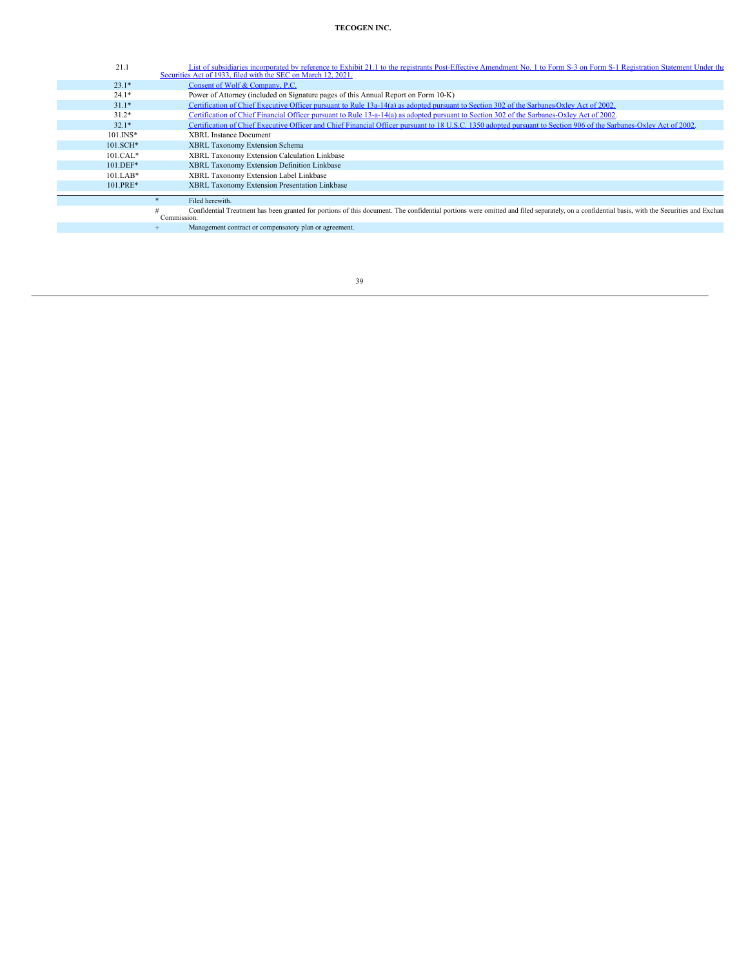| 21.1         | List of subsidiaries incorporated by reference to Exhibit 21.1 to the registrants Post-Effective Amendment No. 1 to Form S-3 on Form S-1 Registration Statement Under the<br>Securities Act of 1933, filed with the SEC on March 12, 2021. |
|--------------|--------------------------------------------------------------------------------------------------------------------------------------------------------------------------------------------------------------------------------------------|
| $23.1*$      | Consent of Wolf & Company, P.C.                                                                                                                                                                                                            |
| $24.1*$      | Power of Attorney (included on Signature pages of this Annual Report on Form 10-K)                                                                                                                                                         |
| $31.1*$      | Certification of Chief Executive Officer pursuant to Rule 13a-14(a) as adopted pursuant to Section 302 of the Sarbanes-Oxley Act of 2002.                                                                                                  |
| $31.2*$      | Certification of Chief Financial Officer pursuant to Rule 13-a-14(a) as adopted pursuant to Section 302 of the Sarbanes-Oxley Act of 2002.                                                                                                 |
| $32.1*$      | Certification of Chief Executive Officer and Chief Financial Officer pursuant to 18 U.S.C. 1350 adopted pursuant to Section 906 of the Sarbanes-Oxley Act of 2002.                                                                         |
| $101$ . INS* | <b>XBRL</b> Instance Document                                                                                                                                                                                                              |
| $101.SCH*$   | XBRL Taxonomy Extension Schema                                                                                                                                                                                                             |
| $101.CAL*$   | XBRL Taxonomy Extension Calculation Linkbase                                                                                                                                                                                               |
| $101.$ DEF*  | XBRL Taxonomy Extension Definition Linkbase                                                                                                                                                                                                |
| $101.LAB*$   | XBRL Taxonomy Extension Label Linkbase                                                                                                                                                                                                     |
| 101.PRE*     | XBRL Taxonomy Extension Presentation Linkbase                                                                                                                                                                                              |
|              |                                                                                                                                                                                                                                            |
|              | Filed herewith.                                                                                                                                                                                                                            |
|              | Confidential Treatment has been granted for portions of this document. The confidential portions were omitted and filed separately, on a confidential basis, with the Securities and Exchan<br>Commission.                                 |
|              | Management contract or compensatory plan or agreement.                                                                                                                                                                                     |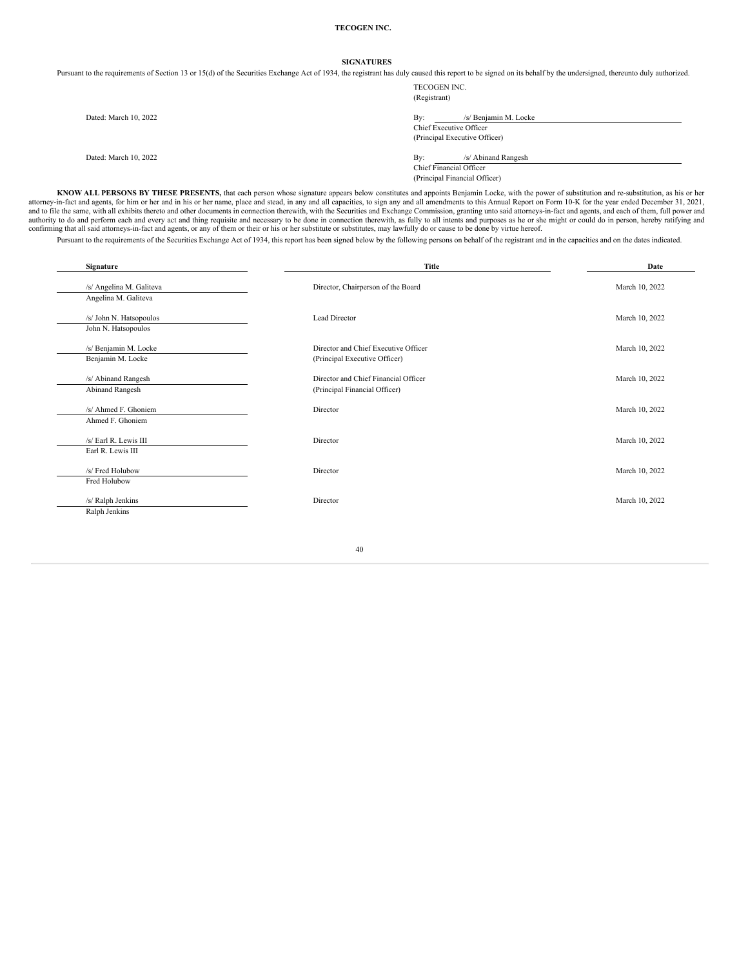# **SIGNATURES**

Pursuant to the requirements of Section 13 or 15(d) of the Securities Exchange Act of 1934, the registrant has duly caused this report to be signed on its behalf by the undersigned, thereunto duly authorized.

TECOGEN INC.

|                       | .<br>(Registrant)                                                                        |  |
|-----------------------|------------------------------------------------------------------------------------------|--|
| Dated: March 10, 2022 | /s/ Benjamin M. Locke<br>By:<br>Chief Executive Officer<br>(Principal Executive Officer) |  |
| Dated: March 10, 2022 | /s/ Abinand Rangesh<br>By:<br>Chief Financial Officer<br>(Principal Financial Officer)   |  |

KNOW ALL PERSONS BY THESE PRESENTS, that each person whose signature appears below constitutes and appoints Benjamin Locke, with the power of substitution and re-substitution, as his or her attorney-in-fact and agents, for him or her and in his or her name, place and stead, in any and all capacities, to sign any and all amendments to this Annual Report on Form 10-K for the year ended December 31, 2021,<br>and to

Pursuant to the requirements of the Securities Exchange Act of 1934, this report has been signed below by the following persons on behalf of the registrant and in the capacities and on the dates indicated.

<span id="page-43-0"></span>

| Signature                                        | <b>Title</b>                                                          | Date           |
|--------------------------------------------------|-----------------------------------------------------------------------|----------------|
| /s/ Angelina M. Galiteva<br>Angelina M. Galiteva | Director, Chairperson of the Board                                    | March 10, 2022 |
| /s/ John N. Hatsopoulos<br>John N. Hatsopoulos   | Lead Director                                                         | March 10, 2022 |
| /s/ Benjamin M. Locke<br>Benjamin M. Locke       | Director and Chief Executive Officer<br>(Principal Executive Officer) | March 10, 2022 |
| /s/ Abinand Rangesh<br>Abinand Rangesh           | Director and Chief Financial Officer<br>(Principal Financial Officer) | March 10, 2022 |
| /s/ Ahmed F. Ghoniem<br>Ahmed F. Ghoniem         | Director                                                              | March 10, 2022 |
| /s/ Earl R. Lewis III<br>Earl R. Lewis III       | Director                                                              | March 10, 2022 |
| /s/ Fred Holubow<br>Fred Holubow                 | Director                                                              | March 10, 2022 |
| /s/ Ralph Jenkins<br>Ralph Jenkins               | Director                                                              | March 10, 2022 |
|                                                  |                                                                       |                |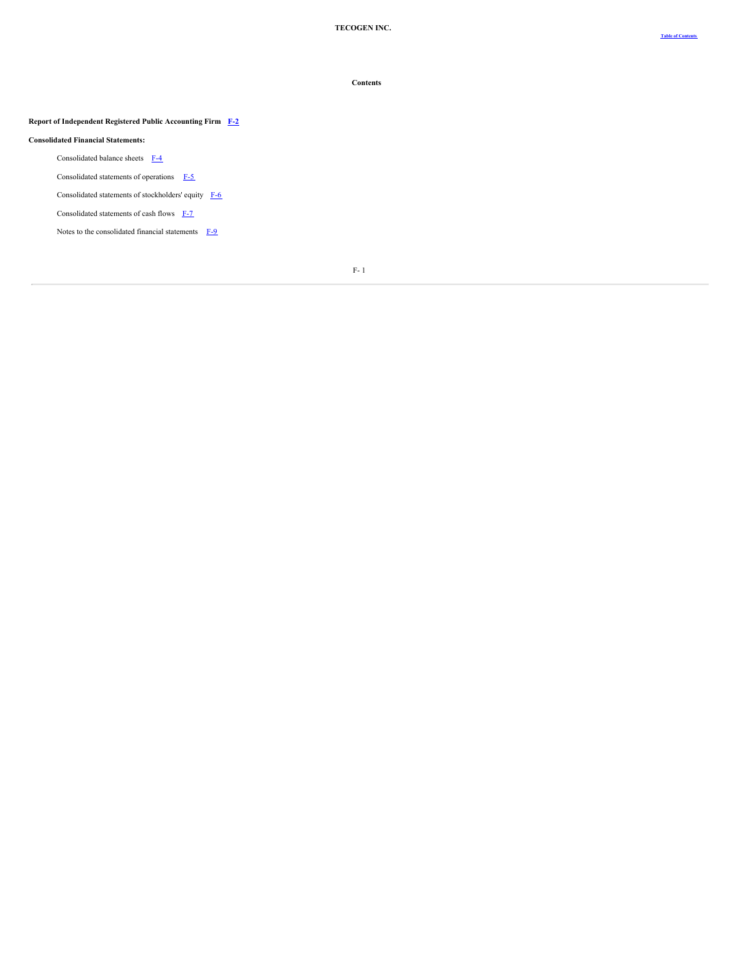**Contents**

# **Report of Independent Registered Public Accounting Firm [F-2](#page-44-0)**

**Consolidated Financial Statements:**

Consolidated balance sheets [F-4](#page-45-0)

Consolidated statements of operations  $F-5$ 

Consolidated statements of stockholders' equity  $F-6$ 

Consolidated statements of cash flows  $F-7$ 

<span id="page-44-0"></span>Notes to the consolidated financial statements  $F-9$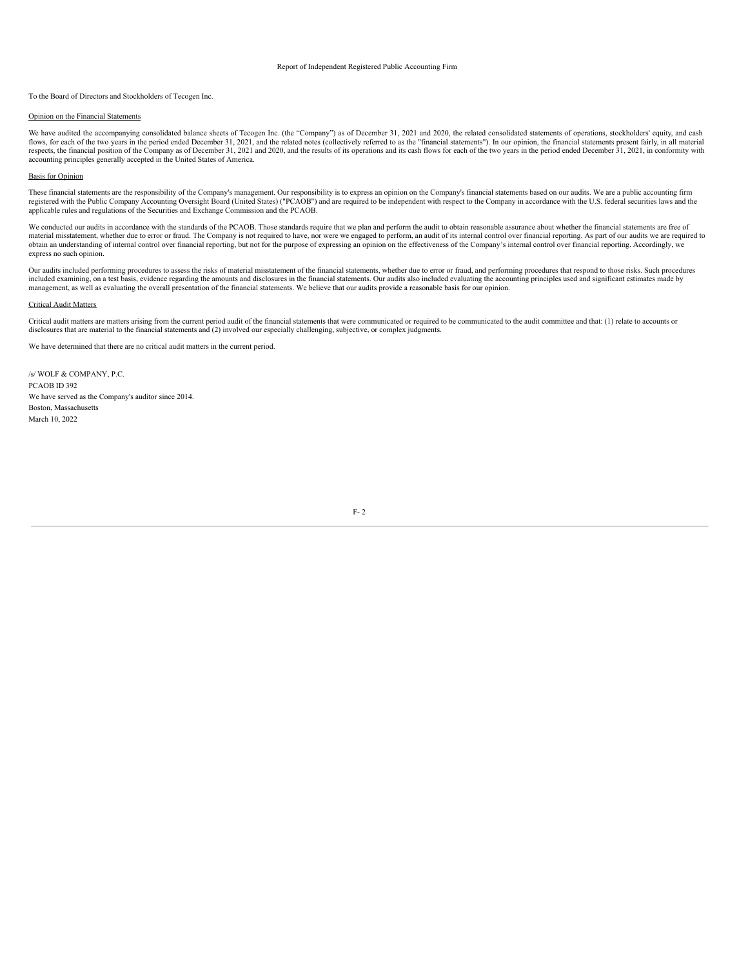To the Board of Directors and Stockholders of Tecogen Inc.

# Opinion on the Financial Statements

We have audited the accompanying consolidated balance sheets of Tecogen Inc. (the "Company") as of December 31, 2021 and 2020, the related consolidated statements of operations, stockholders' equity, and cash flows, for each of the two years in the period ended December 31, 2021, and the related notes (collectively referred to as the "financial statements"). In our opinion, the financial statements present fairly, in all materi respects, the financial position of the Company as of December 31, 2021 and 2020, and the results of its operations and its cash flows for each of the two years in the period ended December 31, 2021, in conformity with accounting principles generally accepted in the United States of America.

# Basis for Opinion

These financial statements are the responsibility of the Company's management. Our responsibility is to express an opinion on the Company's financial statements based on our audits. We are a public accounting firm<br>register applicable rules and regulations of the Securities and Exchange Commission and the PCAOB.

We conducted our audits in accordance with the standards of the PCAOB. Those standards require that we plan and perform the audit to obtain reasonable assurance about whether the financial statements are free of material m obtain an understanding of internal control over financial reporting, but not for the purpose of expressing an opinion on the effectiveness of the Company's internal control over financial reporting. Accordingly, we express no such opinion.

Our audits included performing procedures to assess the risks of material misstatement of the financial statements, whether due to error or fraud, and performing procedures that respond to those risks. Such procedures included examining, on a test basis, evidence regarding the amounts and disclosures in the financial statements. Our audits also included evaluating the accounting principles used and significant estimates made by manageme

#### Critical Audit Matters

Critical audit matters are matters arising from the current period audit of the financial statements that were communicated or required to be communicated to the audit committee and that: (1) relate to accounts or disclosures that are material to the financial statements and (2) involved our especially challenging, subjective, or complex judgments.

We have determined that there are no critical audit matters in the current period.

<span id="page-45-0"></span>/s/ WOLF & COMPANY, P.C. PCAOB ID 392 We have served as the Company's auditor since 2014. Boston, Massachusetts March 10, 2022

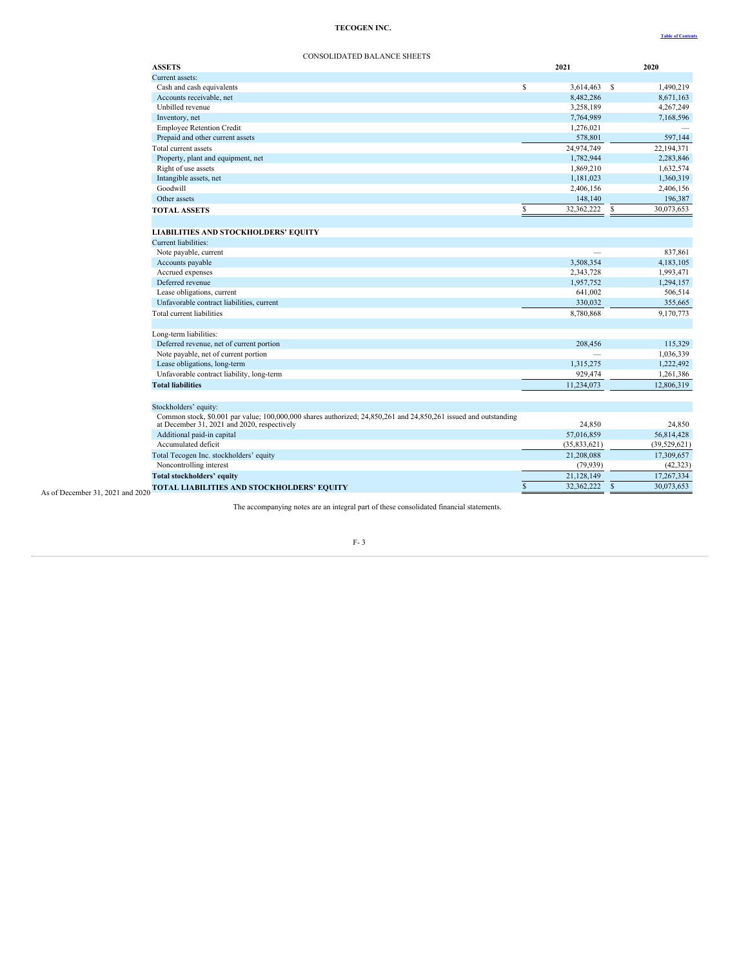| <b>CONSOLIDATED BALANCE SHEETS</b>          |                 |   |            |
|---------------------------------------------|-----------------|---|------------|
| <b>ASSETS</b>                               | 2021            |   | 2020       |
| Current assets:                             |                 |   |            |
| Cash and cash equivalents                   | \$<br>3,614,463 | S | 1,490,219  |
| Accounts receivable, net                    | 8,482,286       |   | 8,671,163  |
| Unbilled revenue                            | 3,258,189       |   | 4,267,249  |
| Inventory, net                              | 7,764,989       |   | 7,168,596  |
| Employee Retention Credit                   | 1,276,021       |   |            |
| Prepaid and other current assets            | 578,801         |   | 597,144    |
| Total current assets                        | 24,974,749      |   | 22,194,371 |
| Property, plant and equipment, net          | 1,782,944       |   | 2,283,846  |
| Right of use assets                         | 1,869,210       |   | 1,632,574  |
| Intangible assets, net                      | 1,181,023       |   | 1,360,319  |
| Goodwill                                    | 2,406,156       |   | 2,406,156  |
| Other assets                                | 148,140         |   | 196,387    |
| <b>TOTAL ASSETS</b>                         | 32,362,222      |   | 30,073,653 |
|                                             |                 |   |            |
| <b>LIABILITIES AND STOCKHOLDERS' EQUITY</b> |                 |   |            |
| Current liabilities:                        |                 |   |            |

|                                  | Note payable, current                                                                                            |              | 837,861      |
|----------------------------------|------------------------------------------------------------------------------------------------------------------|--------------|--------------|
|                                  | Accounts payable                                                                                                 | 3,508,354    | 4,183,105    |
|                                  | Accrued expenses                                                                                                 | 2,343,728    | 1,993,471    |
|                                  | Deferred revenue                                                                                                 | 1,957,752    | 1,294,157    |
|                                  | Lease obligations, current                                                                                       | 641,002      | 506,514      |
|                                  | Unfavorable contract liabilities, current                                                                        | 330,032      | 355,665      |
|                                  | Total current liabilities                                                                                        | 8,780,868    | 9,170,773    |
|                                  |                                                                                                                  |              |              |
|                                  | Long-term liabilities:                                                                                           |              |              |
|                                  | Deferred revenue, net of current portion                                                                         | 208,456      | 115,329      |
|                                  | Note payable, net of current portion                                                                             |              | 1,036,339    |
|                                  | Lease obligations, long-term                                                                                     | 1,315,275    | 1,222,492    |
|                                  | Unfavorable contract liability, long-term                                                                        | 929,474      | 1,261,386    |
|                                  | <b>Total liabilities</b>                                                                                         | 11,234,073   | 12,806,319   |
|                                  |                                                                                                                  |              |              |
|                                  | Stockholders' equity:                                                                                            |              |              |
|                                  | Common stock, \$0.001 par value; 100,000,000 shares authorized; 24,850,261 and 24,850,261 issued and outstanding |              |              |
|                                  | at December 31, 2021 and 2020, respectively                                                                      | 24,850       | 24,850       |
|                                  | Additional paid-in capital                                                                                       | 57,016,859   | 56,814,428   |
|                                  | Accumulated deficit                                                                                              | (35,833,621) | (39,529,621) |
|                                  | Total Tecogen Inc. stockholders' equity                                                                          | 21,208,088   | 17,309,657   |
|                                  | Noncontrolling interest                                                                                          | (79, 939)    | (42, 323)    |
|                                  | Total stockholders' equity                                                                                       | 21,128,149   | 17,267,334   |
| As of December 31, 2021 and 2020 | TOTAL LIABILITIES AND STOCKHOLDERS' EQUITY                                                                       | 32,362,222   | 30,073,653   |
|                                  |                                                                                                                  |              |              |

<span id="page-46-0"></span>The accompanying notes are an integral part of these consolidated financial statements.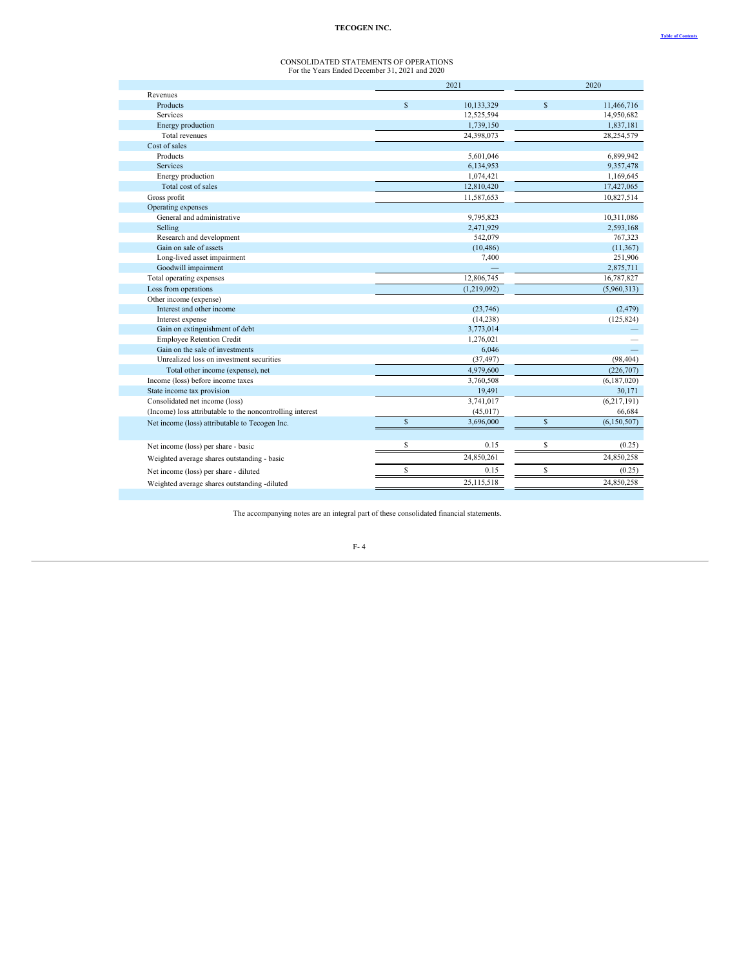# CONSOLIDATED STATEMENTS OF OPERATIONS For the Years Ended December 31, 2021 and 2020

|                                                           | 2021        |             | 2020          |             |
|-----------------------------------------------------------|-------------|-------------|---------------|-------------|
| Revenues                                                  |             |             |               |             |
| Products                                                  | $\mathbf S$ | 10,133,329  | <sup>\$</sup> | 11,466,716  |
| <b>Services</b>                                           |             | 12,525,594  |               | 14,950,682  |
| Energy production                                         |             | 1,739,150   |               | 1,837,181   |
| Total revenues                                            |             | 24,398,073  |               | 28,254,579  |
| Cost of sales                                             |             |             |               |             |
| Products                                                  |             | 5,601,046   |               | 6,899,942   |
| <b>Services</b>                                           |             | 6,134,953   |               | 9,357,478   |
| Energy production                                         |             | 1,074,421   |               | 1,169,645   |
| Total cost of sales                                       |             | 12,810,420  |               | 17,427,065  |
| Gross profit                                              |             | 11,587,653  |               | 10,827,514  |
| Operating expenses                                        |             |             |               |             |
| General and administrative                                |             | 9,795,823   |               | 10,311,086  |
| Selling                                                   |             | 2,471,929   |               | 2,593,168   |
| Research and development                                  |             | 542,079     |               | 767,323     |
| Gain on sale of assets                                    |             | (10, 486)   |               | (11, 367)   |
| Long-lived asset impairment                               |             | 7,400       |               | 251,906     |
| Goodwill impairment                                       |             |             |               | 2,875,711   |
| Total operating expenses                                  |             | 12,806,745  |               | 16,787,827  |
| Loss from operations                                      |             | (1,219,092) |               | (5,960,313) |
| Other income (expense)                                    |             |             |               |             |
| Interest and other income                                 |             | (23,746)    |               | (2, 479)    |
| Interest expense                                          |             | (14, 238)   |               | (125, 824)  |
| Gain on extinguishment of debt                            |             | 3,773,014   |               |             |
| <b>Employee Retention Credit</b>                          |             | 1,276,021   |               |             |
| Gain on the sale of investments                           |             | 6,046       |               |             |
| Unrealized loss on investment securities                  |             | (37, 497)   |               | (98, 404)   |
| Total other income (expense), net                         |             | 4,979,600   |               | (226,707)   |
| Income (loss) before income taxes                         |             | 3,760,508   |               | (6,187,020) |
| State income tax provision                                |             | 19,491      |               | 30,171      |
| Consolidated net income (loss)                            |             | 3,741,017   |               | (6,217,191) |
| (Income) loss attributable to the noncontrolling interest |             | (45, 017)   |               | 66,684      |
| Net income (loss) attributable to Tecogen Inc.            | \$          | 3,696,000   | $\mathbf S$   | (6,150,507) |
|                                                           |             |             |               |             |
| Net income (loss) per share - basic                       | \$          | 0.15        | \$            | (0.25)      |
| Weighted average shares outstanding - basic               |             | 24,850,261  |               | 24,850,258  |
| Net income (loss) per share - diluted                     | \$          | 0.15        | \$            | (0.25)      |
| Weighted average shares outstanding -diluted              |             | 25,115,518  |               | 24,850,258  |

<span id="page-47-0"></span>The accompanying notes are an integral part of these consolidated financial statements.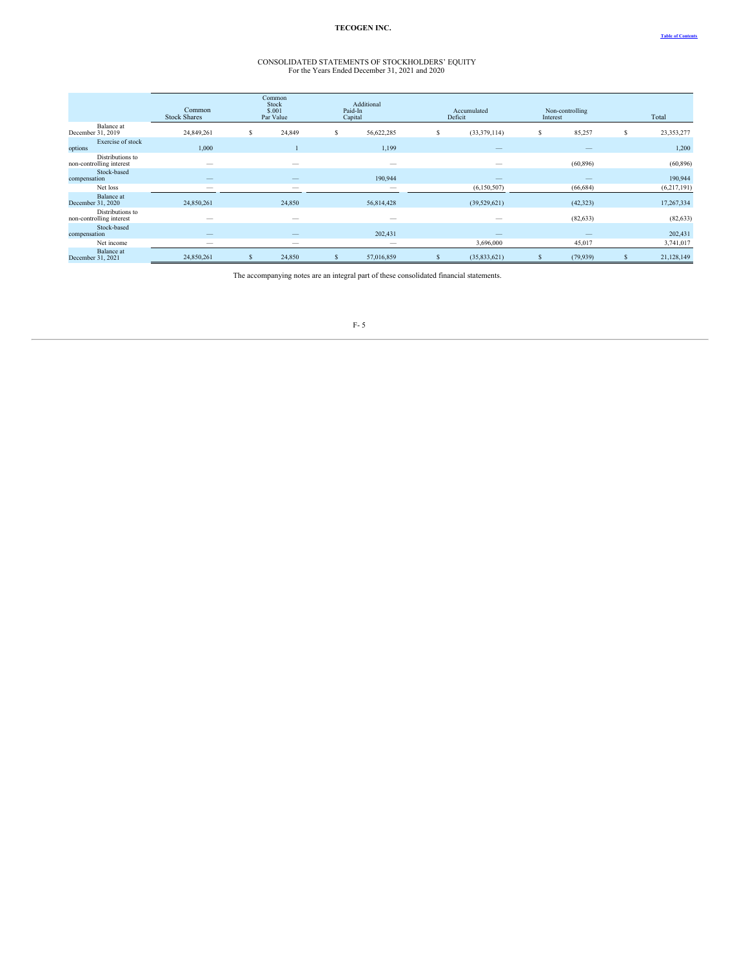# CONSOLIDATED STATEMENTS OF STOCKHOLDERS' EQUITY For the Years Ended December 31, 2021 and 2020

|                                              | Common<br><b>Stock Shares</b> | Common<br>Stock<br>\$.001<br>Par Value |   | Additional<br>Paid-In<br>Capital |   | Accumulated<br>Deficit   |   | Non-controlling<br>Interest |   | Total       |
|----------------------------------------------|-------------------------------|----------------------------------------|---|----------------------------------|---|--------------------------|---|-----------------------------|---|-------------|
| Balance at<br>December 31, 2019              | 24,849,261                    | 24,849                                 | S | 56,622,285                       | s | (33,379,114)             | s | 85,257                      | S | 23,353,277  |
| Exercise of stock<br>options                 | 1,000                         |                                        |   | 1,199                            |   | $\overline{\phantom{m}}$ |   | $\overline{\phantom{a}}$    |   | 1,200       |
| Distributions to<br>non-controlling interest |                               |                                        |   |                                  |   |                          |   | (60, 896)                   |   | (60, 896)   |
| Stock-based<br>compensation                  |                               |                                        |   | 190,944                          |   |                          |   |                             |   | 190,944     |
| Net loss                                     | $\sim$                        |                                        |   | $\overline{\phantom{a}}$         |   | (6,150,507)              |   | (66, 684)                   |   | (6,217,191) |
| Balance at<br>December 31, 2020              | 24,850,261                    | 24,850                                 |   | 56,814,428                       |   | (39,529,621)             |   | (42,323)                    |   | 17,267,334  |
| Distributions to<br>non-controlling interest |                               |                                        |   |                                  |   |                          |   | (82, 633)                   |   | (82, 633)   |
| Stock-based<br>compensation                  | -                             |                                        |   | 202,431                          |   | $\overline{\phantom{a}}$ |   | $\overline{\phantom{a}}$    |   | 202,431     |
| Net income                                   |                               |                                        |   |                                  |   | 3,696,000                |   | 45,017                      |   | 3,741,017   |
| Balance at<br>December 31, 2021              | 24,850,261                    | 24,850                                 |   | 57,016,859                       |   | (35,833,621)             |   | (79, 939)                   |   | 21,128,149  |

<span id="page-48-0"></span>The accompanying notes are an integral part of these consolidated financial statements.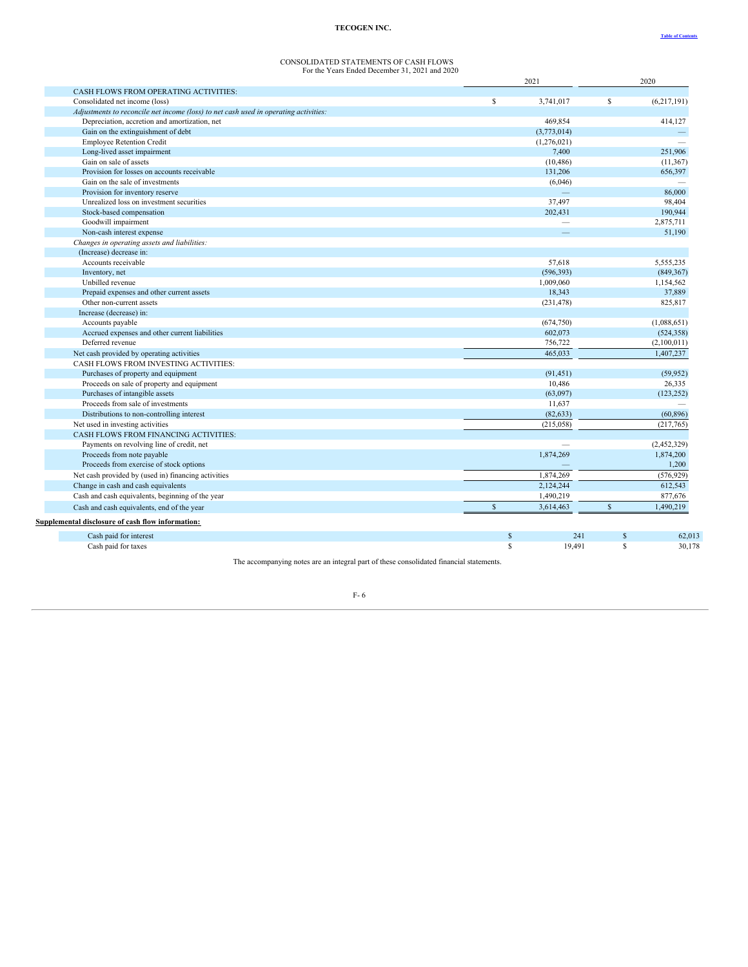# CONSOLIDATED STATEMENTS OF CASH FLOWS For the Years Ended December 31, 2021 and 2020

|                                                                                      |              | 2021        |              | 2020        |
|--------------------------------------------------------------------------------------|--------------|-------------|--------------|-------------|
| CASH FLOWS FROM OPERATING ACTIVITIES:                                                |              |             |              |             |
| Consolidated net income (loss)                                                       | \$           | 3,741,017   | $\mathbf S$  | (6,217,191) |
| Adjustments to reconcile net income (loss) to net cash used in operating activities: |              |             |              |             |
| Depreciation, accretion and amortization, net                                        |              | 469,854     |              | 414,127     |
| Gain on the extinguishment of debt                                                   |              | (3,773,014) |              |             |
| <b>Employee Retention Credit</b>                                                     |              | (1,276,021) |              |             |
| Long-lived asset impairment                                                          |              | 7,400       |              | 251,906     |
| Gain on sale of assets                                                               |              | (10, 486)   |              | (11, 367)   |
| Provision for losses on accounts receivable                                          |              | 131,206     |              | 656,397     |
| Gain on the sale of investments                                                      |              | (6,046)     |              |             |
| Provision for inventory reserve                                                      |              |             |              | 86,000      |
| Unrealized loss on investment securities                                             |              | 37,497      |              | 98,404      |
| Stock-based compensation                                                             |              | 202,431     |              | 190,944     |
| Goodwill impairment                                                                  |              |             |              | 2,875,711   |
| Non-cash interest expense                                                            |              |             |              | 51,190      |
| Changes in operating assets and liabilities:                                         |              |             |              |             |
| (Increase) decrease in:                                                              |              |             |              |             |
| Accounts receivable                                                                  |              | 57.618      |              | 5,555,235   |
| Inventory, net                                                                       |              | (596, 393)  |              | (849, 367)  |
| Unbilled revenue                                                                     |              | 1,009,060   |              | 1,154,562   |
| Prepaid expenses and other current assets                                            |              | 18,343      |              | 37,889      |
| Other non-current assets                                                             |              | (231, 478)  |              | 825,817     |
| Increase (decrease) in:                                                              |              |             |              |             |
| Accounts payable                                                                     |              | (674, 750)  |              | (1,088,651) |
| Accrued expenses and other current liabilities                                       |              | 602,073     |              | (524, 358)  |
| Deferred revenue                                                                     |              |             |              |             |
|                                                                                      |              | 756,722     |              | (2,100,011) |
| Net cash provided by operating activities                                            |              | 465,033     |              | 1,407,237   |
| CASH FLOWS FROM INVESTING ACTIVITIES:                                                |              |             |              |             |
| Purchases of property and equipment                                                  |              | (91, 451)   |              | (59, 952)   |
| Proceeds on sale of property and equipment                                           |              | 10,486      |              | 26,335      |
| Purchases of intangible assets                                                       |              | (63,097)    |              | (123, 252)  |
| Proceeds from sale of investments                                                    |              | 11,637      |              |             |
| Distributions to non-controlling interest                                            |              | (82, 633)   |              | (60, 896)   |
| Net used in investing activities                                                     |              | (215,058)   |              | (217,765)   |
| CASH FLOWS FROM FINANCING ACTIVITIES:                                                |              |             |              |             |
| Payments on revolving line of credit, net                                            |              |             |              | (2,452,329) |
| Proceeds from note payable                                                           |              | 1,874,269   |              | 1,874,200   |
| Proceeds from exercise of stock options                                              |              |             |              | 1,200       |
| Net cash provided by (used in) financing activities                                  |              | 1,874,269   |              | (576, 929)  |
| Change in cash and cash equivalents                                                  |              | 2.124.244   |              | 612,543     |
| Cash and cash equivalents, beginning of the year                                     |              | 1,490,219   |              | 877,676     |
| Cash and cash equivalents, end of the year                                           | \$           | 3,614,463   | $\mathbf S$  | 1,490,219   |
| Supplemental disclosure of cash flow information:                                    |              |             |              |             |
| Cash paid for interest                                                               | \$           | 241         | $\mathsf{s}$ | 62,013      |
| Cash paid for taxes                                                                  | $\mathbf{s}$ | 19,491      | $\mathbb{S}$ | 30,178      |

<span id="page-49-0"></span>The accompanying notes are an integral part of these consolidated financial statements.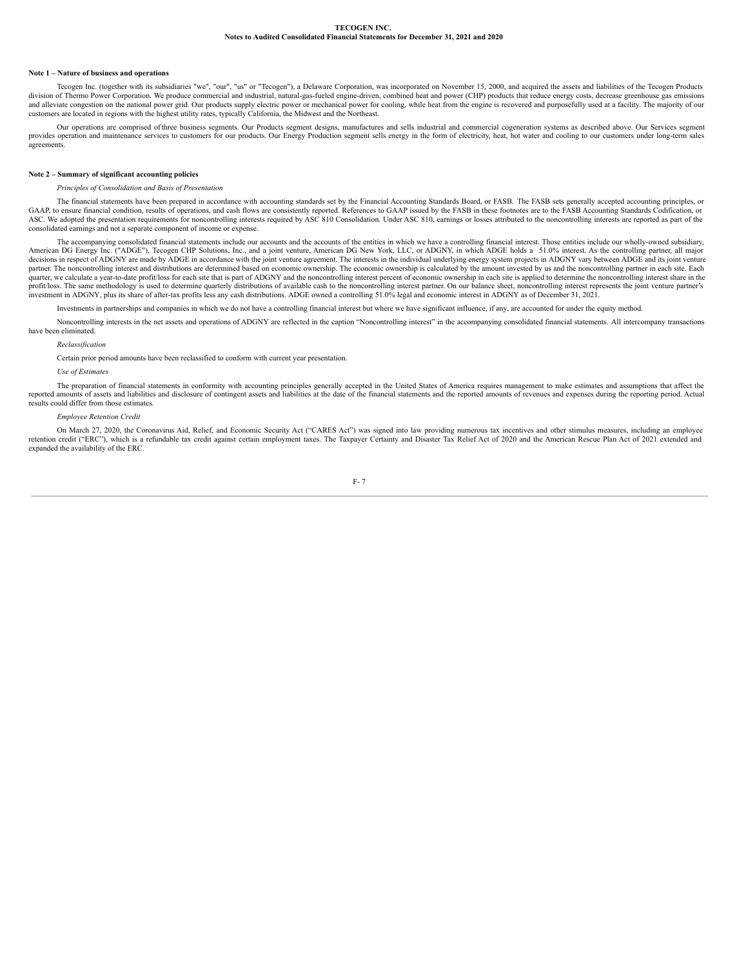#### **Note 1 – Nature of business and operations**

Tecogen Inc. (together with its subsidiaries "we", "our", "us" or "Tecogen"), a Delaware Corporation, was incorporated on November 15, 2000, and acquired the assets and liabilities of the Tecogen Products division of Thermo Power Corporation. We produce commercial and industrial, natural-gas-fueled engine-driven, combined heat and power (CHP) products that reduce energy costs, decrease greenhouse gas emissions and alleviate congestion on the national power grid. Our products supply electric power or mechanical power for cooling, while heat from the engine is recovered and purposefully used at a facility. The majority of our customers are located in regions with the highest utility rates, typically California, the Midwest and the Northeast.

Our operations are comprised ofthree business segments. Our Products segment designs, manufactures and sells industrial and commercial cogeneration systems as described above. Our Services segment provides operation and maintenance services to customers for our products. Our Energy Production segment sells energy in the form of electricity, heat, hot water and cooling to our customers under long-term sales agreements.

# **Note 2 – Summary of significant accounting policies**

#### *Principles of Consolidation and Basis of Presentation*

The financial statements have been prepared in accordance with accounting standards set by the Financial Accounting Standards Board, or FASB. The FASB sets generally accepted accounting principles, or GAAP, to ensure financial condition, results of operations, and cash flows are consistently reported. References to GAAP issued by the FASB in these footnotes are to the FASB Accounting Standards Codification, or ASC. We adopted the presentation requirements for noncontrolling interests required by ASC 810 Consolidation. Under ASC 810, earnings or losses attributed to the noncontrolling interests are reported as part of the consolidated earnings and not a separate component of income or expense.

The accompanying consolidated financial statements include our accounts and the accounts of the entities in which we have a controlling financial interest. Those entities include our wholly-owned subsidiary, American DG Energy Inc. ("ADGE"), Tecogen CHP Solutions, Inc., and a joint venture, American DG New York, LLC, or ADGNY, in which ADGE holds a 51.0% interest. As the controlling partner, all major decisions in respect of ADGNY are made by ADGE in accordance with the joint venture agreement. The interests in the individual underlying energy system projects in ADGNY vary between ADGE and its joint venture partner. The noncontrolling interest and distributions are determined based on economic ownership. The economic ownership is calculated by the amount invested by us and the noncontrolling partner in each site. Each quarter, we calculate a year-to-date profit/loss for each site that is part of ADGNY and the noncontrolling interest percent of economic ownership in each site is applied to determine the noncontrolling interest share in the profit/loss. The same methodology is used to determine quarterly distributions of available cash to the noncontrolling interest partner. On our balance sheet, noncontrolling interest represents the joint venture partner's investment in ADGNY, plus its share of after-tax profits less any cash distributions. ADGE owned a controlling 51.0% legal and economic interest in ADGNY as of December 31, 2021.

Investments in partnerships and companies in which we do not have a controlling financial interest but where we have significant influence, if any, are accounted for under the equity method.

Noncontrolling interests in the net assets and operations of ADGNY are reflected in the caption "Noncontrolling interest" in the accompanying consolidated financial statements. All intercompany transactions have been eliminated.

#### *Reclassification*

Certain prior period amounts have been reclassified to conform with current year presentation.

#### *Use of Estimates*

The preparation of financial statements in conformity with accounting principles generally accepted in the United States of America requires management to make estimates and assumptions that affect the reported amounts of assets and liabilities and disclosure of contingent assets and liabilities at the date of the financial statements and the reported amounts of revenues and expenses during the reporting period. Actual results could differ from those estimates.

#### *Employee Retention Credit*

On March 27, 2020, the Coronavirus Aid, Relief, and Economic Security Act ("CARES Act") was signed into law providing numerous tax incentives and other stimulus measures, including an employee retention credit ("ERC"), which is a refundable tax credit against certain employment taxes. The Taxpayer Certainty and Disaster Tax Relief Act of 2020 and the American Rescue Plan Act of 2021 extended and expanded the availability of the ERC.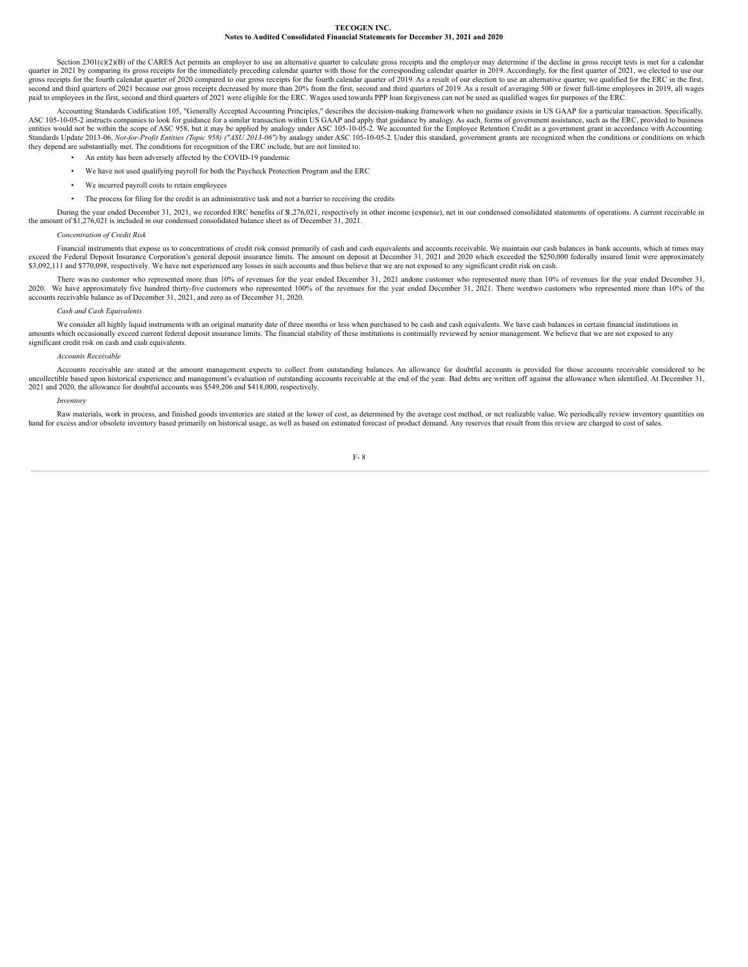Section 2301(c)(2)(B) of the CARES Act permits an employer to use an alternative quarter to calculate gross receipts and the employer may determine if the decline in gross receipt tests is met for a calendar quarter in 2021 by comparing its gross receipts for the immediately preceding calendar quarter with those for the corresponding calendar quarter in 2019. Accordingly, for the first quarter of 2021, we elected to use our gross receipts for the fourth calendar quarter of 2020 compared to our gross receipts for the fourth calendar quarter of 2019. As a result of our election to use an alternative quarter, we qualified for the ERC in the first, second and third quarters of 2021 because our gross receipts decreased by more than 20% from the first, second and third quarters of 2019. As a result of averaging 500 or fewer full-time employees in 2019, all wages paid to employees in the first, second and third quarters of 2021 were eligible for the ERC. Wages used towards PPP loan forgiveness can not be used as qualified wages for purposes of the ERC.

Accounting Standards Codification 105, "Generally Accepted Accounting Principles," describes the decision-making framework when no guidance exists in US GAAP for a particular transaction. Specifically, ASC 105-10-05-2 instructs companies to look for guidance for a similar transaction within US GAAP and apply that guidance by analogy. As such, forms of government assistance, such as the ERC, provided to business entities would not be within the scope of ASC 958, but it may be applied by analogy under ASC 105-10-05-2. We accounted for the Employee Retention Credit as a government grant in accordance with Accounting Standards Update 2013-06, Not-for-Profit Entities (Topic 958) ("ASU 2013-06") by analogy under ASC 105-10-05-2. Under this standard, government grants are recognized when the conditions or conditions on which they depend are substantially met. The conditions for recognition of the ERC include, but are not limited to:

• An entity has been adversely affected by the COVID-19 pandemic

- We have not used qualifying payroll for both the Paycheck Protection Program and the ERC
- We incurred payroll costs to retain employees
- The process for filing for the credit is an administrative task and not a barrier to receiving the credits

During the year ended December 31, 2021, we recorded ERC benefits of \$1,276,021, respectively in other income (expense), net in our condensed consolidated statements of operations. A current receivable in the amount of \$1,276,021 is included in our condensed consolidated balance sheet as of December 31, 2021.

# *Concentration of Credit Risk*

Financial instruments that expose us to concentrations of credit risk consist primarily of cash and cash equivalents and accounts receivable. We maintain our cash balances in bank accounts, which at times may exceed the Federal Deposit Insurance Corporation's general deposit insurance limits. The amount on deposit at December 31, 2021 and 2020 which exceeded the \$250,000 federally insured limit were approximately \$3,092,111 and \$770,098, respectively. We have not experienced any losses in such accounts and thus believe that we are not exposed to any significant credit risk on cash.

There was no customer who represented more than 10% of revenues for the year ended December 31, 2021 andone customer who represented more than 10% of revenues for the year ended December 31, 2020. We have approximately five hundred thirty-five customers who represented 100% of the revenues for the year ended December 31, 2021. There were wo customers who represented more than 10% of the accounts receivable balance as of December 31, 2021, and zero as of December 31, 2020.

#### *Cash and Cash Equivalents*

We consider all highly liquid instruments with an original maturity date of three months or less when purchased to be cash and cash equivalents. We have cash balances in certain financial institutions in amounts which occasionally exceed current federal deposit insurance limits. The financial stability of these institutions is continually reviewed by senior management. We believe that we are not exposed to any significant credit risk on cash and cash equivalents.

#### *Accounts Receivable*

Accounts receivable are stated at the amount management expects to collect from outstanding balances. An allowance for doubtful accounts is provided for those accounts receivable considered to be uncollectible based upon historical experience and management's evaluation of outstanding accounts receivable at the end of the year. Bad debts are written off against the allowance when identified. At December 31, 2021 and 2020, the allowance for doubtful accounts was \$549,206 and \$418,000, respectively.

#### *Inventory*

Raw materials, work in process, and finished goods inventories are stated at the lower of cost, as determined by the average cost method, or net realizable value. We periodically review inventory quantities on hand for excess and/or obsolete inventory based primarily on historical usage, as well as based on estimated forecast of product demand. Any reserves that result from this review are charged to cost of sales.

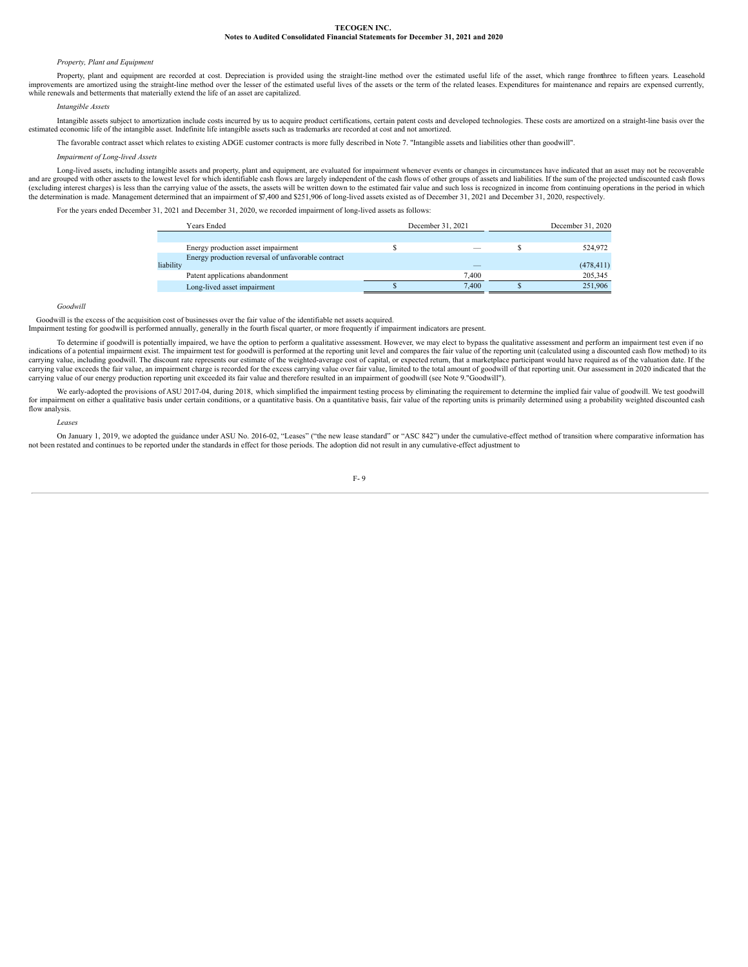# *Property, Plant and Equipment*

Property, plant and equipment are recorded at cost. Depreciation is provided using the straight-line method over the estimated useful life of the asset, which range fromthree to fifteen years. Leasehold improvements are amortized using the straight-line method over the lesser of the estimated useful lives of the assets or the term of the related leases. Expenditures for maintenance and repairs are expensed currently, while renewals and betterments that materially extend the life of an asset are capitalized.

#### *Intangible Assets*

Intangible assets subject to amortization include costs incurred by us to acquire product certifications, certain patent costs and developed technologies. These costs are amortized on a straight-line basis over the estimated economic life of the intangible asset. Indefinite life intangible assets such as trademarks are recorded at cost and not amortized.

The favorable contract asset which relates to existing ADGE customer contracts is more fully described in Note 7. "Intangible assets and liabilities other than goodwill".

#### *Impairment of Long-lived Assets*

Long-lived assets, including intangible assets and property, plant and equipment, are evaluated for impairment whenever events or changes in circumstances have indicated that an asset may not be recoverable and are grouped and are good will contribute the assets will be written down to the estimated fair value and such loss is recognized in income from continuing operations in the period in which (excluding interest charges) is less than the the determination is made. Management determined that an impairment of \$7,400 and \$251,906 of long-lived assets existed as of December 31, 2021 and December 31, 2020, respectively.

For the years ended December 31, 2021 and December 31, 2020, we recorded impairment of long-lived assets as follows:

|           | Years Ended                                        | December 31, 2021        | December 31, 2020 |
|-----------|----------------------------------------------------|--------------------------|-------------------|
|           |                                                    |                          |                   |
|           | Energy production asset impairment                 | $\overline{\phantom{a}}$ | 524,972           |
| liability | Energy production reversal of unfavorable contract | $\overline{\phantom{a}}$ | (478, 411)        |
|           | Patent applications abandonment                    | 7.400                    | 205.345           |
|           | Long-lived asset impairment                        | 7.400                    | 251,906           |

# *Goodwill*

Goodwill is the excess of the acquisition cost of businesses over the fair value of the identifiable net assets acquired.

Impairment testing for goodwill is performed annually, generally in the fourth fiscal quarter, or more frequently if impairment indicators are present.

To determine if goodwill is potentially impaired, we have the option to perform a qualitative assessment. However, we may elect to bypass the qualitative assessment and perform an impairment test even if no indications of a potential impairment exist. The impairment test for goodwill is performed at the reporting unit level and compares the fair value of the reporting unit (calculated using a discounted cash flow method) to i carrying value, including goodwill. The discount rate represents our estimate of the weighted-average cost of capital, or expected return, that a marketplace participant would have required as of the valuation date. If the carrying value exceeds the fair value, an impairment charge is recorded for the excess carrying value over fair value, limited to the total amount of goodwill of that reporting unit. Our assessment in 2020 indicated that t

We early-adopted the provisions of ASU 2017-04, during 2018, which simplified the impairment testing process by eliminating the requirement to determine the implied fair value of goodwill. We test goodwill for impairment on either a qualitative basis under certain conditions, or a quantitative basis. On a quantitative basis, fair value of the reporting units is primarily determined using a probability weighted discounted cas flow analysis.

# *Leases*

On January 1, 2019, we adopted the guidance under ASU No. 2016-02, "Leases" ("the new lease standard" or "ASC 842") under the cumulative-effect method of transition where comparative information has not been restated and continues to be reported under the standards in effect for those periods. The adoption did not result in any cumulative-effect adjustment to

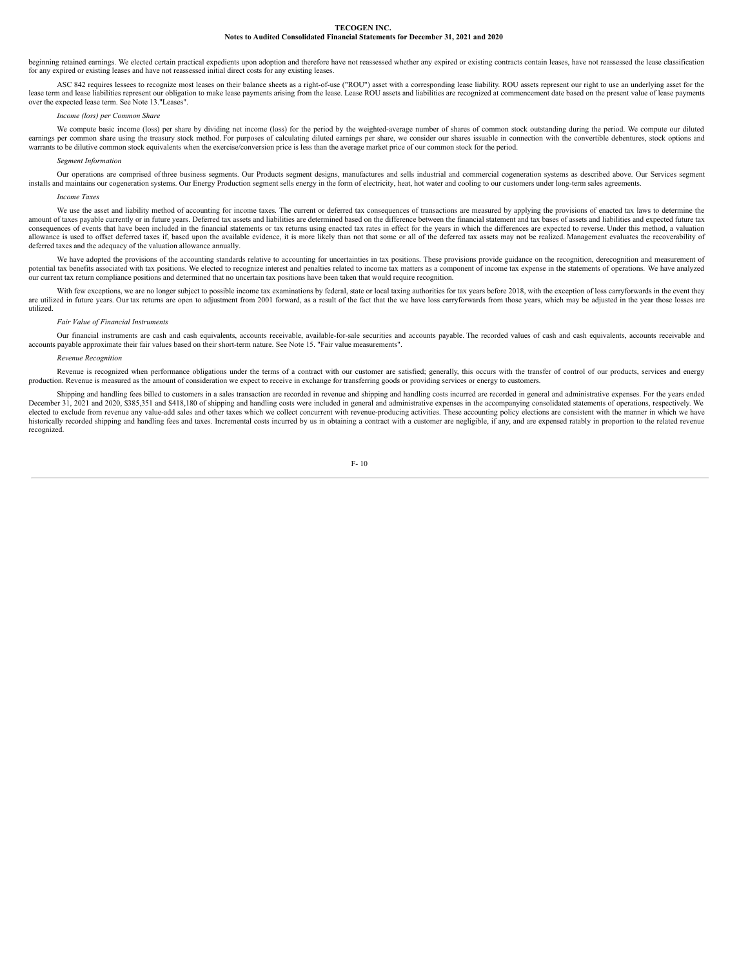beginning retained earnings. We elected certain practical expedients upon adoption and therefore have not reassessed whether any expired or existing contracts contain leases, have not reassessed the lease classification for any expired or existing leases and have not reassessed initial direct costs for any existing leases.

ASC 842 requires lessees to recognize most leases on their balance sheets as a right-of-use ("ROU") asset with a corresponding lease liability. ROU assets represent our right to use an underlying asset for the lease term and lease liabilities represent our obligation to make lease payments arising from the lease. Lease ROU assets and liabilities are recognized at commencement date based on the present value of lease payments over the expected lease term. See Note 13."Leases".

# *Income (loss) per Common Share*

We compute basic income (loss) per share by dividing net income (loss) for the period by the weighted-average number of shares of common stock outstanding during the period. We compute our diluted earnings per common share using the treasury stock method. For purposes of calculating diluted earnings per share, we consider our shares issuable in connection with the convertible debentures, stock options and warrants to be dilutive common stock equivalents when the exercise/conversion price is less than the average market price of our common stock for the period.

#### *Segment Information*

Our operations are comprised of three business segments. Our Products segment designs, manufactures and sells industrial and commercial cogeneration systems as described above. Our Services segment installs and maintains our cogeneration systems. Our Energy Production segment sells energy in the form of electricity, heat, hot water and cooling to our customers under long-term sales agreements.

#### *Income Taxes*

We use the asset and liability method of accounting for income taxes. The current or deferred tax consequences of transactions are measured by applying the provisions of enacted tax laws to determine the amount of taxes payable currently or in future years. Deferred tax assets and liabilities are determined based on the difference between the financial statement and tax bases of assets and liabilities and expected future t consequences of events that have been included in the financial statements or tax returns using enacted tax rates in effect for the years in which the differences are expected to reverse. Under this method, a valuation allowance is used to offset deferred taxes if, based upon the available evidence, it is more likely than not that some or all of the deferred tax assets may not be realized. Management evaluates the recoverability of deferred taxes and the adequacy of the valuation allowance annually.

We have adopted the provisions of the accounting standards relative to accounting for uncertainties in tax positions. These provisions provide guidance on the recognition, derecognition and measurement of potential tax benefits associated with tax positions. We elected to recognize interest and penalties related to income tax matters as a component of income tax expense in the statements of operations. We have analyzed our current tax return compliance positions and determined that no uncertain tax positions have been taken that would require recognition.

With few exceptions, we are no longer subject to possible income tax examinations by federal, state or local taxing authorities for tax years before 2018, with the exception of loss carryforwards in the event they are util utilized.

### *Fair Value of Financial Instruments*

Our financial instruments are cash and cash equivalents, accounts receivable, available-for-sale securities and accounts payable. The recorded values of cash and cash equivalents, accounts receivable and accounts payable approximate their fair values based on their short-term nature. See Note 15. "Fair value measurements".

#### *Revenue Recognition*

Revenue is recognized when performance obligations under the terms of a contract with our customer are satisfied; generally, this occurs with the transfer of control of our products, services and energy production. Revenue is measured as the amount of consideration we expect to receive in exchange for transferring goods or providing services or energy to customers.

Shipping and handling fees billed to customers in a sales transaction are recorded in revenue and shipping and handling costs incurred are recorded in general and administrative expenses. For the years ended<br>December 31, 2 elected to exclude from revenue any value-add sales and other taxes which we collect concurrent with revenue-producing activities. These accounting policy elections are consistent with the manner in which we have historically recorded shipping and handling fees and taxes. Incremental costs incurred by us in obtaining a contract with a customer are negligible, if any, and are expensed ratably in proportion to the related revenue recognized.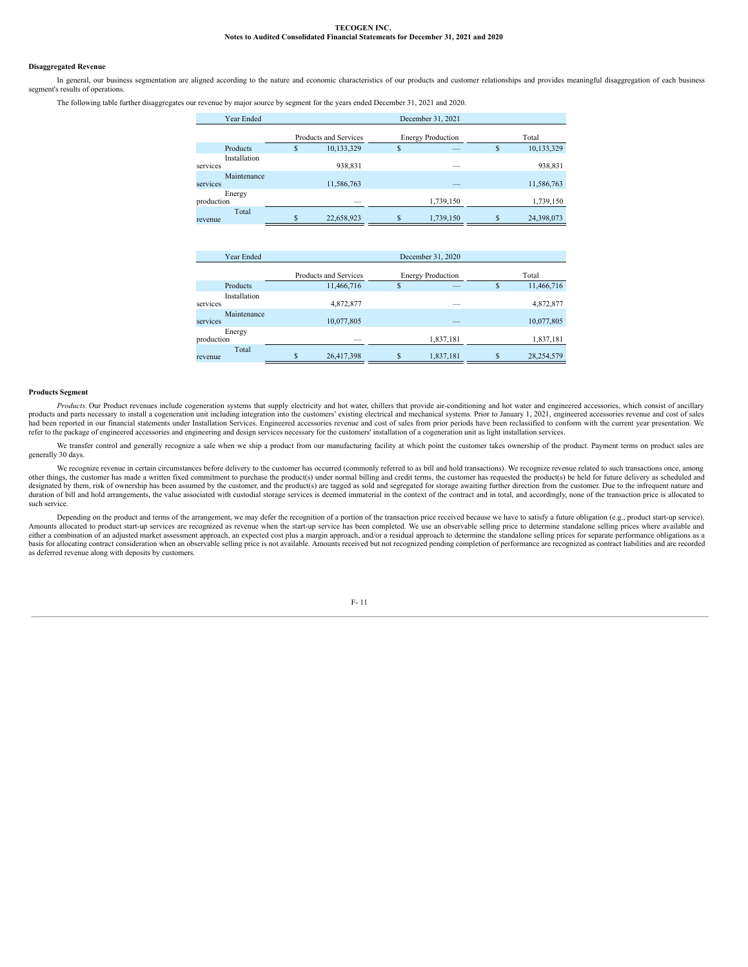# **Disaggregated Revenue**

In general, our business segmentation are aligned according to the nature and economic characteristics of our products and customer relationships and provides meaningful disaggregation of each business segment's results of operations.

The following table further disaggregates our revenue by major source by segment for the years ended December 31, 2021 and 2020.

|            | Year Ended   |   |                          | December 31, 2021 |                          |    |            |  |  |
|------------|--------------|---|--------------------------|-------------------|--------------------------|----|------------|--|--|
|            |              |   | Products and Services    |                   | <b>Energy Production</b> |    | Total      |  |  |
|            | Products     | S | 10,133,329               | \$                | $\overline{\phantom{a}}$ | \$ | 10,133,329 |  |  |
| services   | Installation |   | 938,831                  |                   | _                        |    | 938,831    |  |  |
| services   | Maintenance  |   | 11,586,763               |                   | $\overline{\phantom{a}}$ |    | 11,586,763 |  |  |
| production | Energy       |   | $\overline{\phantom{a}}$ |                   | 1,739,150                |    | 1,739,150  |  |  |
| revenue    | Total        | S | 22,658,923               | \$                | 1,739,150                | \$ | 24,398,073 |  |  |

|            | Year Ended   |   |                       |   | December 31, 2020        |              |            |
|------------|--------------|---|-----------------------|---|--------------------------|--------------|------------|
|            |              |   | Products and Services |   | <b>Energy Production</b> |              | Total      |
|            | Products     |   | 11,466,716            | Ŝ | _                        | \$           | 11,466,716 |
| services   | Installation |   | 4,872,877             |   | __                       |              | 4,872,877  |
| services   | Maintenance  |   | 10,077,805            |   | $\overline{\phantom{a}}$ |              | 10,077,805 |
| production | Energy       |   | _                     |   | 1,837,181                |              | 1,837,181  |
| revenue    | Total        | S | 26,417,398            | S | 1,837,181                | $\mathbf{s}$ | 28,254,579 |

#### **Products Segment**

*Products.* Our Product revenues include cogeneration systems that supply electricity and hot water, chillers that provide air-conditioning and hot water and engineered accessories, which consist of ancillary products and parts necessary to install a cogeneration unit including integration into the customers' existing electrical and mechanical systems. Prior to January 1, 2021, engineered accessories revenue and cost of sales had been reported in our financial statements under Installation Services. Engineered accessories revenue and cost of sales from prior periods have been reclassified to conform with the current year presentation. We refer to the package of engineered accessories and engineering and design services necessary for the customers' installation of a cogeneration unit as light installation services.

We transfer control and generally recognize a sale when we ship a product from our manufacturing facility at which point the customer takes ownership of the product. Payment terms on product sales are generally 30 days.

We recognize revenue in certain circumstances before delivery to the customer has occurred (commonly referred to as bill and hold transactions). We recognize revenue related to such transactions once, among other things, the customer has made a written fixed commitment to purchase the product(s) under normal billing and credit terms, the customer has requested the product(s) be held for future delivery as scheduled and order designated by them, risk of ownership has been assumed by the customer, and the product(s) are tagged as sold and segregated for storage awaiting further direction from the customer. Due to the infrequent nature and duration of bill and hold arrangements, the value associated with custodial storage services is deemed immaterial in the context of the contract and in total, and accordingly, none of the transaction price is allocated to such service.

Depending on the product and terms of the arrangement, we may defer the recognition of a portion of the transaction price received because we have to satisfy a future obligation (e.g., product start-up service). Amounts allocated to product start-up services are recognized as revenue when the start-up service has been completed. We use an observable selling price to determine standalone selling prices where available and either a basis for allocating contract consideration when an observable selling price is not available. Amounts received but not recognized pending completion of performance are recognized as contract liabilities and are recorded as deferred revenue along with deposits by customers.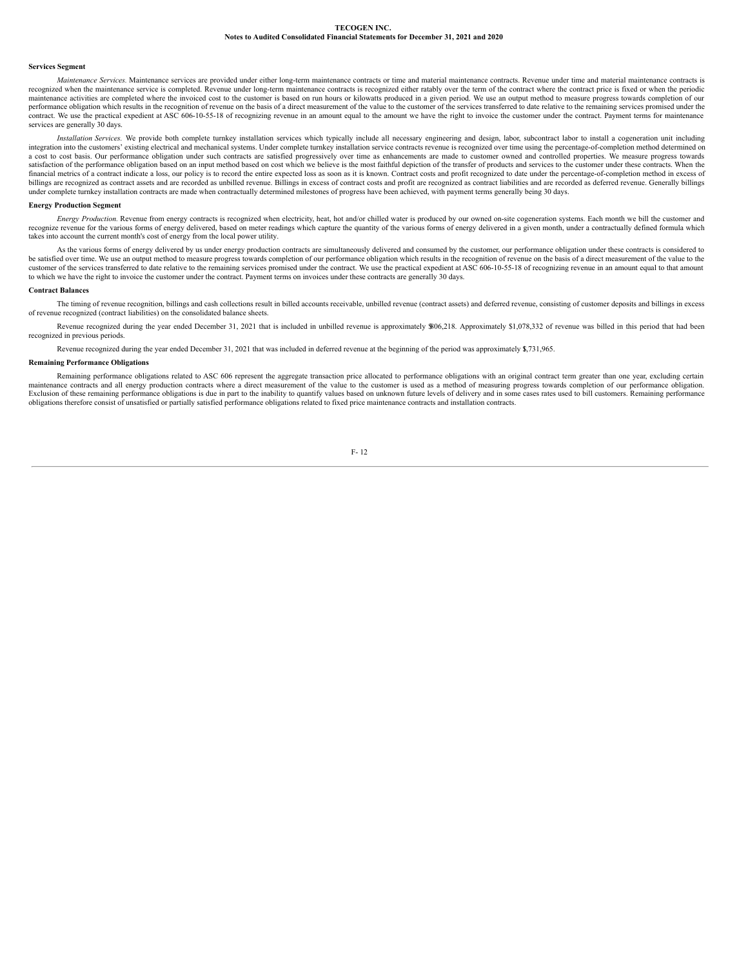# **Services Segment**

*Maintenance Services.* Maintenance services are provided under either long-term maintenance contracts or time and material maintenance contracts. Revenue under time and material maintenance contracts is recognized when the maintenance service is completed. Revenue under long-term maintenance contracts is recognized either ratably over the term of the contract where the contract price is fixed or when the periodic maintenance activities are completed where the invoiced cost to the customer is based on run hours or kilowatts produced in a given period. We use an output method to measure progress towards completion of our performance obligation which results in the recognition of revenue on the basis of a direct measurement of the value to the customer of the services transferred to date relative to the remaining services promised under the contract. We use the practical expedient at ASC 606-10-55-18 of recognizing revenue in an amount equal to the amount we have the right to invoice the customer under the contract. Payment terms for maintenance services are generally 30 days.

*Installation Services.* We provide both complete turnkey installation services which typically include all necessary engineering and design, labor, subcontract labor to install a cogeneration unit including integration into the customers' existing electrical and mechanical systems. Under complete turnkey installation service contracts revenue is recognized over time using the percentage-of-completion method determined on a cost to cost basis. Our performance obligation under such contracts are satisfied progressively over time as enhancements are made to customer owned and controlled properties. We measure progress towards satisfaction of financial metrics of a contract indicate a loss, our policy is to record the entire expected loss as soon as it is known. Contract costs and profit recognized to date under the percentage-of-completion method in excess of billings are recognized as contract assets and are recorded as unbilled revenue. Billings in excess of contract costs and profit are recognized as contract liabilities and are recorded as deferred revenue. Generally billings under complete turnkey installation contracts are made when contractually determined milestones of progress have been achieved, with payment terms generally being 30 days.

# **Energy Production Segment**

*Energy Production.* Revenue from energy contracts is recognized when electricity, heat, hot and/or chilled water is produced by our owned on-site cogeneration systems. Each month we bill the customer and recognize revenue for the various forms of energy delivered, based on meter readings which capture the quantity of the various forms of energy delivered in a given month, under a contractually defined formula which takes into account the current month's cost of energy from the local power utility.

As the various forms of energy delivered by us under energy production contracts are simultaneously delivered and consumed by the customer, our performance obligation under these contracts is considered to be satisfied over time. We use an output method to measure progress towards completion of our performance obligation which results in the recognition of revenue on the basis of a direct measurement of the value to the cust to which we have the right to invoice the customer under the contract. Payment terms on invoices under these contracts are generally 30 days.

#### **Contract Balances**

The timing of revenue recognition, billings and cash collections result in billed accounts receivable, unbilled revenue (contract assets) and deferred revenue, consisting of customer deposits and billings in excess of reve

Revenue recognized during the year ended December 31, 2021 that is included in unbilled revenue is approximately \$06,218. Approximately \$1,078,332 of revenue was billed in this period that had been recognized in previous periods.

Revenue recognized during the year ended December 31, 2021 that was included in deferred revenue at the beginning of the period was approximately \$,731,965.

#### **Remaining Performance Obligations**

Remaining performance obligations related to ASC 606 represent the aggregate transaction price allocated to performance obligations with an original contract term greater than one year, excluding certain maintenance contracts and all energy production contracts where a direct measurement of the value to the customer is used as a method of measuring progress towards completion of our performance obligation. Exclusion of these remaining performance obligations is due in part to the inability to quantify values based on unknown future levels of delivery and in some cases rates used to bill customers. Remaining performance obligations therefore consist of unsatisfied or partially satisfied performance obligations related to fixed price maintenance contracts and installation contracts.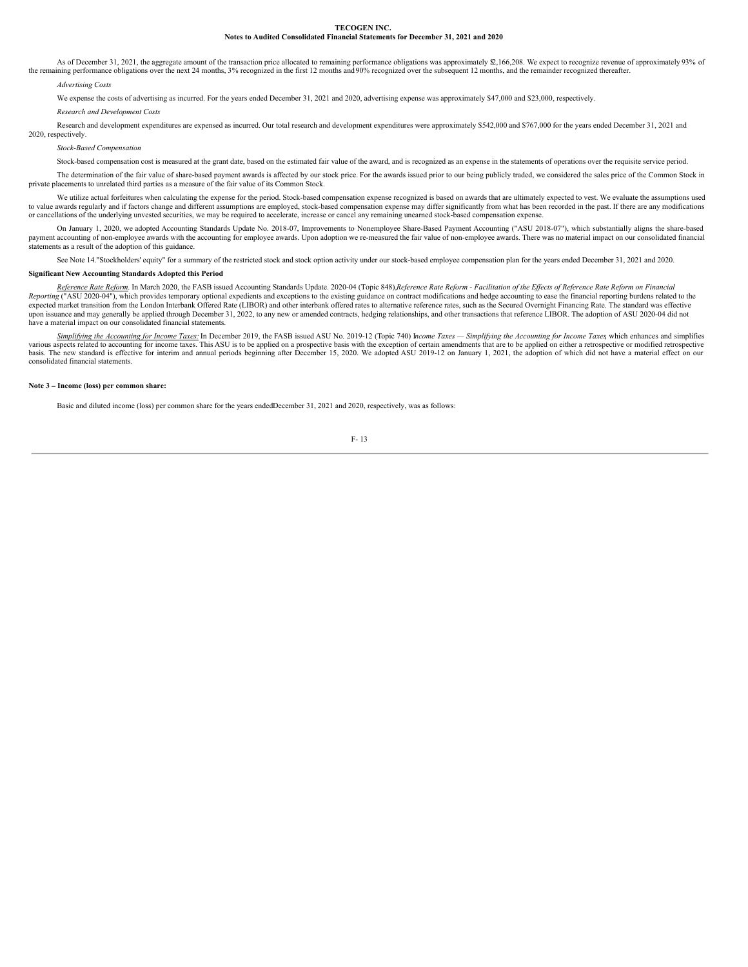# **Notes to Audited Consolidated Financial Statements for December 31, 2021 and 2020**

As of December 31, 2021, the aggregate amount of the transaction price allocated to remaining performance obligations was approximately \$,166,208. We expect to recognize revenue of approximately 93% of the remaining perfor

#### *Advertising Costs*

We expense the costs of advertising as incurred. For the years ended December 31, 2021 and 2020, advertising expense was approximately \$47,000 and \$23,000, respectively.

# *Research and Development Costs*

Research and development expenditures are expensed as incurred. Our total research and development expenditures were approximately \$542,000 and \$767,000 for the years ended December 31, 2021 and 2020, respectively.

#### *Stock-Based Compensation*

Stock-based compensation cost is measured at the grant date, based on the estimated fair value of the award, and is recognized as an expense in the statements of operations over the requisite service period.

The determination of the fair value of share-based payment awards is affected by our stock price. For the awards issued prior to our being publicly traded, we considered the sales price of the Common Stock in private placements to unrelated third parties as a measure of the fair value of its Common Stock.

We utilize actual forfeitures when calculating the expense for the period. Stock-based compensation expense recognized is based on awards that are ultimately expected to vest. We evaluate the assumptions used to value awards regularly and if factors change and different assumptions are employed, stock-based compensation expense may differ significantly from what has been recorded in the past. If there are any modifications or cancellations of the underlying unvested securities, we may be required to accelerate, increase or cancel any remaining unearned stock-based compensation expense.

On January 1, 2020, we adopted Accounting Standards Update No. 2018-07, Improvements to Nonemployee Share-Based Payment Accounting ("ASU 2018-07"), which substantially aligns the share-based payment accounting of non-employee awards with the accounting for employee awards. Upon adoption we re-measured the fair value of non-employee awards. There was no material impact on our consolidated financial statements as a result of the adoption of this guidance.

See Note 14."Stockholders' equity" for a summary of the restricted stock and stock option activity under our stock-based employee compensation plan for the years ended December 31, 2021 and 2020.

# **Significant New Accounting Standards Adopted this Period**

Reference Rate Reform. In March 2020, the FASB issued Accounting Standards Update. 2020-04 (Topic 848), Reference Rate Reform - Facilitation of the Effects of Reference Rate Reform on Financial *Reporting* ("ASU 2020-04"), which provides temporary optional expedients and exceptions to the existing guidance on contract modifications and hedge accounting to ease the financial reporting burdens related to the expected market transition from the London Interbank Offered Rate (LIBOR) and other interbank offered rates to alternative reference rates, such as the Secured Overnight Financing Rate. The standard was effective upon issuance and may generally be applied through December 31, 2022, to any new or amended contracts, hedging relationships, and other transactions that reference LIBOR. The adoption of ASU 2020-04 did not<br>have a material

Simplifying the Accounting for Income Taxes: In December 2019, the FASB issued ASU No. 2019-12 (Topic 740) Income Taxes — Simplifying the Accounting for Income Taxes which enhances and simplifies various aspects related to consolidated financial statements.

#### **Note 3 – Income (loss) per common share:**

Basic and diluted income (loss) per common share for the years endedDecember 31, 2021 and 2020, respectively, was as follows: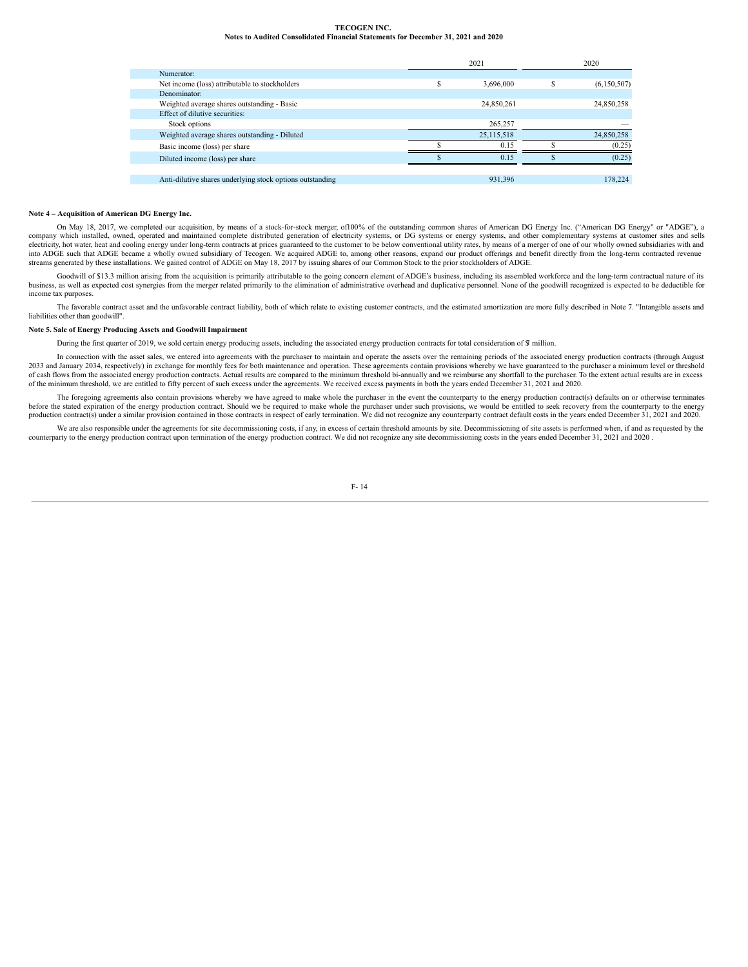|                                                           | 2021       | 2020 |             |  |
|-----------------------------------------------------------|------------|------|-------------|--|
| Numerator:                                                |            |      |             |  |
| Net income (loss) attributable to stockholders            | 3,696,000  |      | (6,150,507) |  |
| Denominator:                                              |            |      |             |  |
| Weighted average shares outstanding - Basic               | 24,850,261 |      | 24,850,258  |  |
| Effect of dilutive securities:                            |            |      |             |  |
| Stock options                                             | 265,257    |      |             |  |
| Weighted average shares outstanding - Diluted             | 25,115,518 |      | 24,850,258  |  |
| Basic income (loss) per share                             | 0.15       |      | (0.25)      |  |
| Diluted income (loss) per share                           | 0.15       |      | (0.25)      |  |
|                                                           |            |      |             |  |
| Anti-dilutive shares underlying stock options outstanding | 931,396    |      | 178.224     |  |

# **Note 4 – Acquisition of American DG Energy Inc.**

On May 18, 2017, we completed our acquisition, by means of a stock-for-stock merger, of 00% of the outstanding common shares of American DG Energy Inc. ("American DG Energy" or "ADGE"), a company which installed, owned, op electricity, hot water, heat and cooling energy under long-term contracts at prices guaranteed to the customer to be below conventional utility rates, by means of a merger of one of our wholly owned subsidiaries with and into ADGE such that ADGE became a wholly owned subsidiary of Tecogen. We acquired ADGE to, among other reasons, expand our product offerings and benefit directly from the long-term contracted revenue streams generated by these installations. We gained control of ADGE on May 18, 2017 by issuing shares of our Common Stock to the prior stockholders of ADGE.

Goodwill of \$13.3 million arising from the acquisition is primarily attributable to the going concern element of ADGE's business, including its assembled workforce and the long-term contractual nature of its business, as well as expected cost synergies from the merger related primarily to the elimination of administrative overhead and duplicative personnel. None of the goodwill recognized is expected to be deductible for income tax purposes.

The favorable contract asset and the unfavorable contract liability, both of which relate to existing customer contracts, and the estimated amortization are more fully described in Note 7. "Intangible assets and liabilities other than goodwill".

### **Note 5. Sale of Energy Producing Assets and Goodwill Impairment**

During the first quarter of 2019, we sold certain energy producing assets, including the associated energy production contracts for total consideration of  $\P$  million.

In connection with the asset sales, we entered into agreements with the purchaser to maintain and operate the assets over the remaining periods of the associated energy production contracts (through August 2033 and January 2034, respectively) in exchange for monthly fees for both maintenance and operation. These agreements contain provisions whereby we have guaranteed to the purchaser a minimum level or threshold of cash flows from the associated energy production contracts. Actual results are compared to the minimum threshold bi-annually and we reimburse any shortfall to the purchaser. To the extent actual results are in excess of the minimum threshold, we are entitled to fifty percent of such excess under the agreements. We received excess payments in both the years ended December 31, 2021 and 2020.

The foregoing agreements also contain provisions whereby we have agreed to make whole the purchaser in the event the counterparty to the energy production contract(s) defaults on or otherwise terminates before the stated e production contract(s) under a similar provision contained in those contracts in respect of early termination. We did not recognize any counterparty contract default costs in the years ended December 31, 2021 and 2020.

We are also responsible under the agreements for site decommissioning costs, if any, in excess of certain threshold amounts by site. Decommissioning of site assets is performed when, if and as requested by the counterparty to the energy production contract upon termination of the energy production contract. We did not recognize any site decommissioning costs in the years ended December 31, 2021 and 2020 .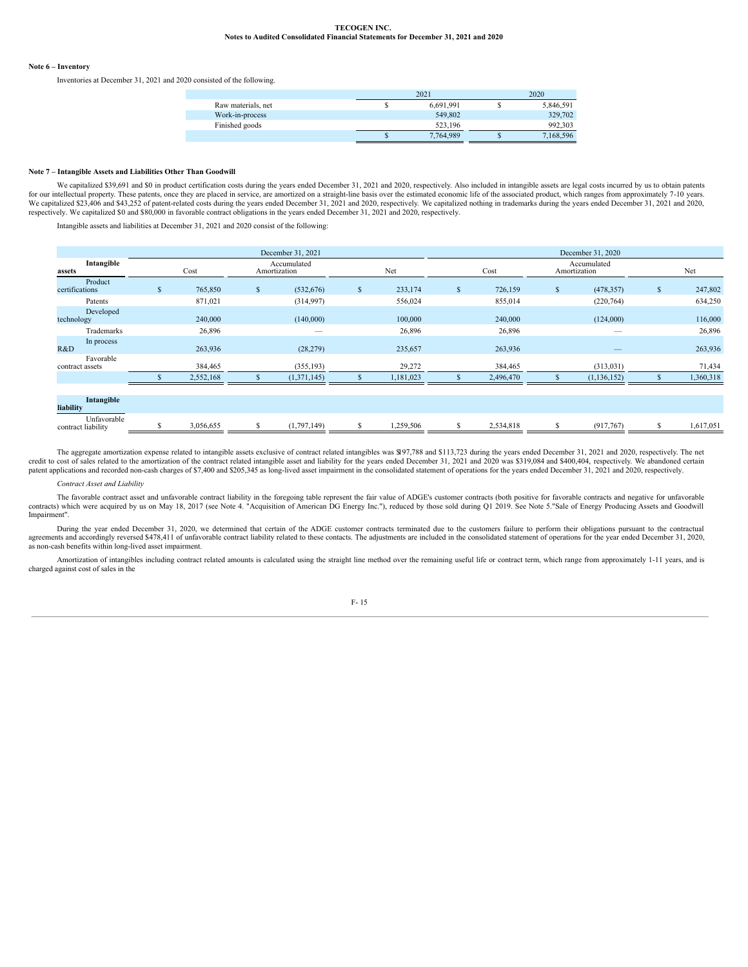# **Note 6 – Inventory**

Inventories at December 31, 2021 and 2020 consisted of the following.

|                    | 2021      |    | 2020      |  |  |
|--------------------|-----------|----|-----------|--|--|
| Raw materials, net | 6.691.991 |    | 5,846,591 |  |  |
| Work-in-process    | 549.802   |    | 329,702   |  |  |
| Finished goods     | 523.196   |    | 992.303   |  |  |
|                    | 7.764.989 | ۰D | 7,168,596 |  |  |

# **Note 7 – Intangible Assets and Liabilities Other Than Goodwill**

We capitalized \$39,691 and \$0 in product certification costs during the years ended December 31, 2021 and 2020, respectively. Also included in intangible assets are legal costs incurred by us to obtain patents for our inte We capitalized \$23,406 and \$43,252 of patent-related costs during the years ended December 31, 2021 and 2020, respectively. We capitalized nothing in trademarks during the years ended December 31, 2021 and 2020, respectively. We capitalized \$0 and \$80,000 in favorable contract obligations in the years ended December 31, 2021 and 2020, respectively.

Intangible assets and liabilities at December 31, 2021 and 2020 consist of the following:

|                                   | December 31, 2021<br>December 31, 2020 |           |              |                             |              |           |              |           |              |                             |    |           |  |
|-----------------------------------|----------------------------------------|-----------|--------------|-----------------------------|--------------|-----------|--------------|-----------|--------------|-----------------------------|----|-----------|--|
| Intangible<br>assets              |                                        | Cost      |              | Accumulated<br>Amortization |              | Net       | Cost         |           |              | Accumulated<br>Amortization |    | Net       |  |
| Product<br>certifications         | S.                                     | 765,850   | $\mathbb{S}$ | (532,676)                   | $\mathbb{S}$ | 233,174   | $\mathbb{S}$ | 726,159   | $\mathbb{S}$ | (478, 357)                  | \$ | 247,802   |  |
| Patents                           |                                        | 871,021   |              | (314,997)                   |              | 556,024   |              | 855,014   |              | (220, 764)                  |    | 634,250   |  |
| Developed<br>technology           |                                        | 240,000   |              | (140,000)                   |              | 100,000   |              | 240,000   |              | (124,000)                   |    | 116,000   |  |
| Trademarks                        |                                        | 26,896    |              | $\overline{\phantom{a}}$    |              | 26,896    |              | 26,896    |              |                             |    | 26,896    |  |
| In process<br>R&D                 |                                        | 263,936   |              | (28, 279)                   |              | 235,657   |              | 263,936   |              |                             |    | 263,936   |  |
| Favorable<br>contract assets      |                                        | 384,465   |              | (355, 193)                  |              | 29,272    |              | 384,465   |              | (313, 031)                  |    | 71,434    |  |
|                                   |                                        | 2,552,168 |              | (1,371,145)                 |              | 1,181,023 |              | 2,496,470 |              | (1, 136, 152)               |    | 1,360,318 |  |
|                                   |                                        |           |              |                             |              |           |              |           |              |                             |    |           |  |
| Intangible<br>liability           |                                        |           |              |                             |              |           |              |           |              |                             |    |           |  |
| Unfavorable<br>contract liability |                                        | 3,056,655 | ъ            | (1,797,149)                 | S.           | 1,259,506 | S            | 2,534,818 | s            | (917, 767)                  | S  | 1,617,051 |  |

The aggregate amortization expense related to intangible assets exclusive of contract related intangibles was \$197,788 and \$113,723 during the years ended December 31, 2021 and 2020, respectively. The net credit to cost of sales related to the amortization of the contract related intangible asset and liability for the years ended December 31, 2021 and 2020 was \$319,084 and \$400,404, respectively. We abandoned certain patent applications and recorded non-cash charges of \$7,400 and \$205,345 as long-lived asset impairment in the consolidated statement of operations for the years ended December 31, 2021 and 2020, respectively.

*Contract Asset and Liability*

The favorable contract asset and unfavorable contract liability in the foregoing table represent the fair value of ADGE's customer contracts (both positive for favorable contracts and negative for unfavorable contracts) which were acquired by us on May 18, 2017 (see Note 4. "Acquisition of American DG Energy Inc."), reduced by those sold during Q1 2019. See Note 5."Sale of Energy Producing Assets and Goodwill Impairment".

During the year ended December 31, 2020, we determined that certain of the ADGE customer contracts terminated due to the customers failure to perform their obligations pursuant to the contractual agreements and accordingly reversed \$478,411 of unfavorable contract liability related to these contacts. The adjustments are included in the consolidated statement of operations for the year ended December 31, 2020, as non-cash benefits within long-lived asset impairment.

Amortization of intangibles including contract related amounts is calculated using the straight line method over the remaining useful life or contract term, which range from approximately 1-11 years, and is charged against cost of sales in the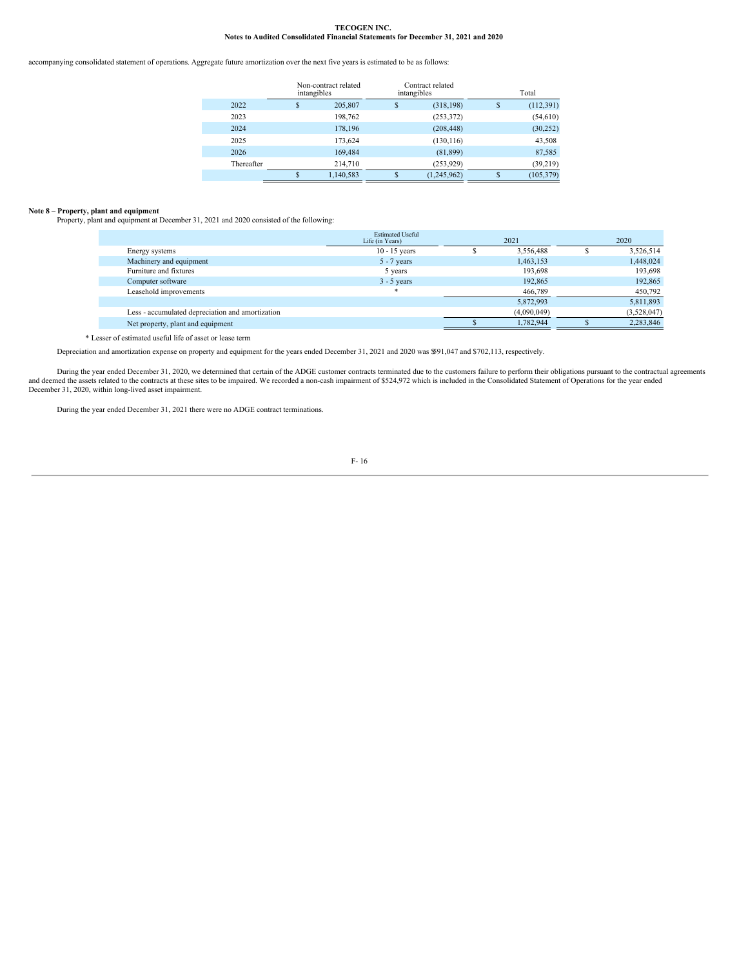accompanying consolidated statement of operations. Aggregate future amortization over the next five years is estimated to be as follows:

|            | intangibles | Non-contract related | Contract related<br>intangibles | Total            |
|------------|-------------|----------------------|---------------------------------|------------------|
| 2022       | \$          | 205,807              | \$<br>(318, 198)                | \$<br>(112,391)  |
| 2023       |             | 198,762              | (253, 372)                      | (54, 610)        |
| 2024       |             | 178,196              | (208, 448)                      | (30, 252)        |
| 2025       |             | 173,624              | (130, 116)                      | 43,508           |
| 2026       |             | 169,484              | (81, 899)                       | 87,585           |
| Thereafter |             | 214,710              | (253, 929)                      | (39,219)         |
|            | Ŝ           | 1.140.583            | \$<br>(1,245,962)               | \$<br>(105, 379) |

**Note 8 – Property, plant and equipment** Property, plant and equipment at December 31, 2021 and 2020 consisted of the following:

|                                                  | <b>Estimated Useful</b><br>Life (in Years) | 2021        | 2020 |             |  |
|--------------------------------------------------|--------------------------------------------|-------------|------|-------------|--|
| Energy systems                                   | $10 - 15$ years                            | 3,556,488   |      | 3,526,514   |  |
| Machinery and equipment                          | $5 - 7$ years                              | 1,463,153   |      | 1,448,024   |  |
| Furniture and fixtures                           | 5 years                                    | 193,698     |      | 193,698     |  |
| Computer software                                | $3 - 5$ years                              | 192,865     |      | 192,865     |  |
| Leasehold improvements                           |                                            | 466,789     |      | 450,792     |  |
|                                                  |                                            | 5,872,993   |      | 5,811,893   |  |
| Less - accumulated depreciation and amortization |                                            | (4,090,049) |      | (3,528,047) |  |
| Net property, plant and equipment                |                                            | 1.782.944   |      | 2,283,846   |  |
|                                                  |                                            |             |      |             |  |

\* Lesser of estimated useful life of asset or lease term

Depreciation and amortization expense on property and equipment for the years ended December 31, 2021 and 2020 was \$591,047 and \$702,113, respectively.

During the year ended December 31, 2020, we determined that certain of the ADGE customer contracts terminated due to the customers failure to perform their obligations pursuant to the contractual agreements and deemed the

During the year ended December 31, 2021 there were no ADGE contract terminations.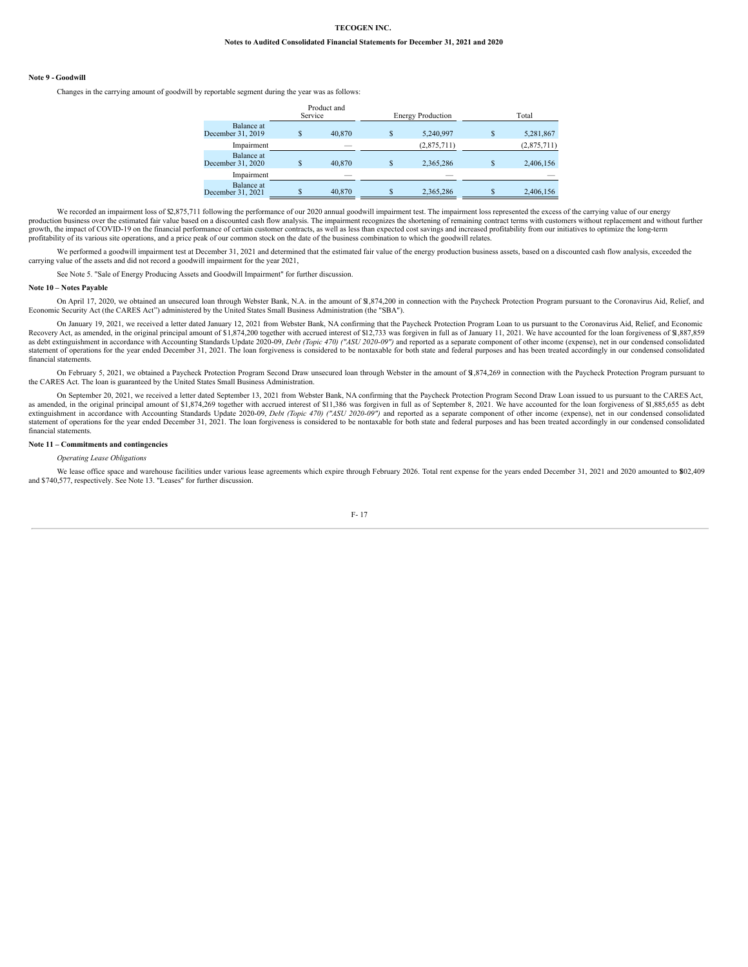# **Notes to Audited Consolidated Financial Statements for December 31, 2021 and 2020**

#### **Note 9 - Goodwill**

Changes in the carrying amount of goodwill by reportable segment during the year was as follows:

|                                 |     | Product and<br>Service   |     | <b>Energy Production</b> | Total         |             |  |
|---------------------------------|-----|--------------------------|-----|--------------------------|---------------|-------------|--|
| Balance at<br>December 31, 2019 | Ŝ   | 40,870                   | Ŝ   | 5,240,997                | \$            | 5,281,867   |  |
| Impairment                      |     | $\overline{\phantom{a}}$ |     | (2,875,711)              |               | (2,875,711) |  |
| Balance at<br>December 31, 2020 | Ŝ   | 40,870                   | Ŝ   | 2,365,286                | \$            | 2,406,156   |  |
| Impairment                      |     |                          |     |                          |               |             |  |
| Balance at<br>December 31, 2021 | \$. | 40,870                   | \$. | 2.365.286                | $\mathcal{S}$ | 2,406,156   |  |

We recorded an impairment loss of \$2,875,711 following the performance of our 2020 annual goodwill impairment test. The impairment loss represented the excess of the carrying value of our energy production business over the estimated fair value based on a discounted cash flow analysis. The impairment recognizes the shortening of remaining contract terms with customers without replacement and without further<br>growth profitability of its various site operations, and a price peak of our common stock on the date of the business combination to which the goodwill relates

We performed a goodwill impairment test at December 31, 2021 and determined that the estimated fair value of the energy production business assets, based on a discounted cash flow analysis, exceeded the carrying value of the assets and did not record a goodwill impairment for the year 2021,

See Note 5. "Sale of Energy Producing Assets and Goodwill Impairment" for further discussion.

#### **Note 10 – Notes Payable**

On April 17, 2020, we obtained an unsecured loan through Webster Bank, N.A. in the amount of \$1,874,200 in connection with the Paycheck Protection Program pursuant to the Coronavirus Aid, Relief, and Economic Security Act (the CARES Act") administered by the United States Small Business Administration (the "SBA").

On January 19, 2021, we received a letter dated January 12, 2021 from Webster Bank, NA confirming that the Paycheck Protection Program Loan to us pursuant to the Coronavirus Aid, Relief, and Economic Recovery Act, as amend as debt extinguishment in accordance with Accounting Standards Update 2020-09, Debt (Topic 470) ("ASU 2020-09") and reported as a separate component of other income (expense), net in our condensed consolidated statement of operations for the year ended December 31, 2021. The loan forgiveness is considered to be nontaxable for both state and federal purposes and has been treated accordingly in our condensed consolidated financial statements.

On February 5, 2021, we obtained a Paycheck Protection Program Second Draw unsecured loan through Webster in the amount of \$1,874,269 in connection with the Paycheck Protection Program pursuant to the CARES Act. The loan is guaranteed by the United States Small Business Administration.

On September 20, 2021, we received a letter dated September 13, 2021 from Webster Bank, NA confirming that the Paycheck Protection Program Second Draw Loan issued to us pursuant to the CARES Act, as amended, in the original principal amount of \$1,874,269 together with accrued interest of \$11,386 was forgiven in full as of September 8, 2021. We have accounted for the loan forgiveness of \$1,885,655 as debt<br>extinguish statement of operations for the year ended December 31, 2021. The loan forgiveness is considered to be nontaxable for both state and federal purposes and has been treated accordingly in our condensed consolidated financial statements.

# **Note 11 – Commitments and contingencies**

*Operating Lease Obligations*

We lease office space and warehouse facilities under various lease agreements which expire through February 2026. Total rent expense for the years ended December 31, 2021 and 2020 amounted to \$02,409 and \$740,577, respectively. See Note 13. "Leases" for further discussion.

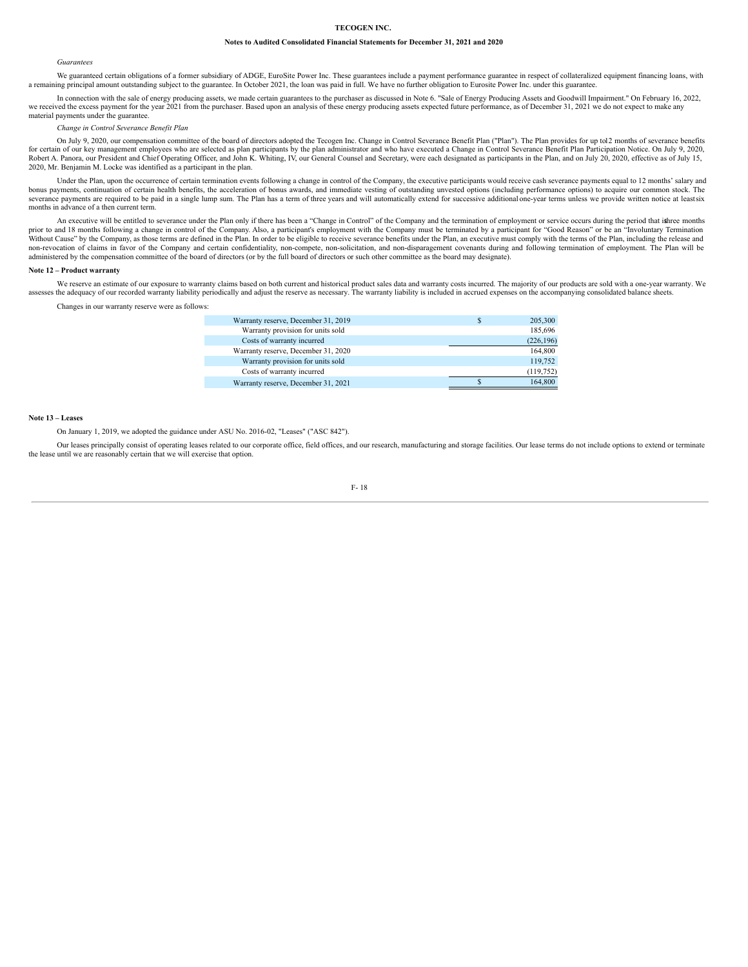# **Notes to Audited Consolidated Financial Statements for December 31, 2021 and 2020**

#### *Guarantees*

We guaranteed certain obligations of a former subsidiary of ADGE, EuroSite Power Inc. These guarantees include a payment performance guarantee in respect of collateralized equipment financing loans, with a remaining principal amount outstanding subject to the guarantee. In October 2021, the loan was paid in full. We have no further obligation to Eurosite Power Inc. under this guarantee.

In connection with the sale of energy producing assets, we made certain guarantees to the purchaser as discussed in Note 6. "Sale of Energy Producing Assets and Goodwill Impairment." On February 16, 2022, we received the excess payment for the year 2021 from the purchaser. Based upon an analysis of these energy producing assets expected future performance, as of December 31, 2021 we do not expect to make any material payments under the guarantee.

# *Change in Control Severance Benefit Plan*

On July 9, 2020, our compensation committee of the board of directors adopted the Tecogen Inc. Change in Control Severance Benefit Plan ("Plan"). The Plan provides for up to12 months of severance benefits for certain of our key management employees who are selected as plan participants by the plan administrator and who have executed a Change in Control Severance Benefit Plan Participation Notice. On July 9, 2020, Robert A. Panora, our President and Chief Operating Officer, and John K. Whiting, IV, our General Counsel and Secretary, were each designated as participants in the Plan, and on July 20, 2020, effective as of July 15, 2020, Mr. Benjamin M. Locke was identified as a participant in the plan.

Under the Plan, upon the occurrence of certain termination events following a change in control of the Company, the executive participants would receive cash severance payments equal to 12 months' salary and bonus payments, continuation of certain health benefits, the acceleration of bonus awards, and immediate vesting of outstanding unvested options (including performance options) to acquire our common stock. The severance payments are required to be paid in a single lump sum. The Plan has a term of three years and will automatically extend for successive additional one-year terms unless we provide written notice at leastsix months in advance of a then current term.

An executive will be entitled to severance under the Plan only if there has been a "Change in Control" of the Company and the termination of employment or service occurs during the period that ishree months prior to and 18 months following a change in control of the Company. Also, a participant's employment with the Company must be terminated by a participant for "Good Reason" or be an "Involuntary Termination<br>Without Cause" non-revocation of claims in favor of the Company and certain confidentiality, non-compete, non-solicitation, and non-disparagement covenants during and following termination of employment. The Plan will be administered by the compensation committee of the board of directors (or by the full board of directors or such other committee as the board may designate).

# **Note 12 – Product warranty**

We reserve an estimate of our exposure to warranty claims based on both current and historical product sales data and warranty costs incurred. The majority of our products are sold with a one-year warranty. We assesses the adequacy of our recorded warranty liability periodically and adjust the reserve as necessary. The warranty liability is included in accrued expenses on the accompanying consolidated balance sheets.

Changes in our warranty reserve were as follows:

| Warranty reserve, December 31, 2019 | 205,300    |
|-------------------------------------|------------|
| Warranty provision for units sold   | 185,696    |
| Costs of warranty incurred          | (226, 196) |
| Warranty reserve, December 31, 2020 | 164,800    |
| Warranty provision for units sold   | 119,752    |
| Costs of warranty incurred          | (119, 752) |
| Warranty reserve, December 31, 2021 | 164,800    |

# **Note 13 – Leases**

On January 1, 2019, we adopted the guidance under ASU No. 2016-02, "Leases" ("ASC 842").

Our leases principally consist of operating leases related to our corporate office, field offices, and our research, manufacturing and storage facilities. Our lease terms do not include options to extend or terminate the lease until we are reasonably certain that we will exercise that option.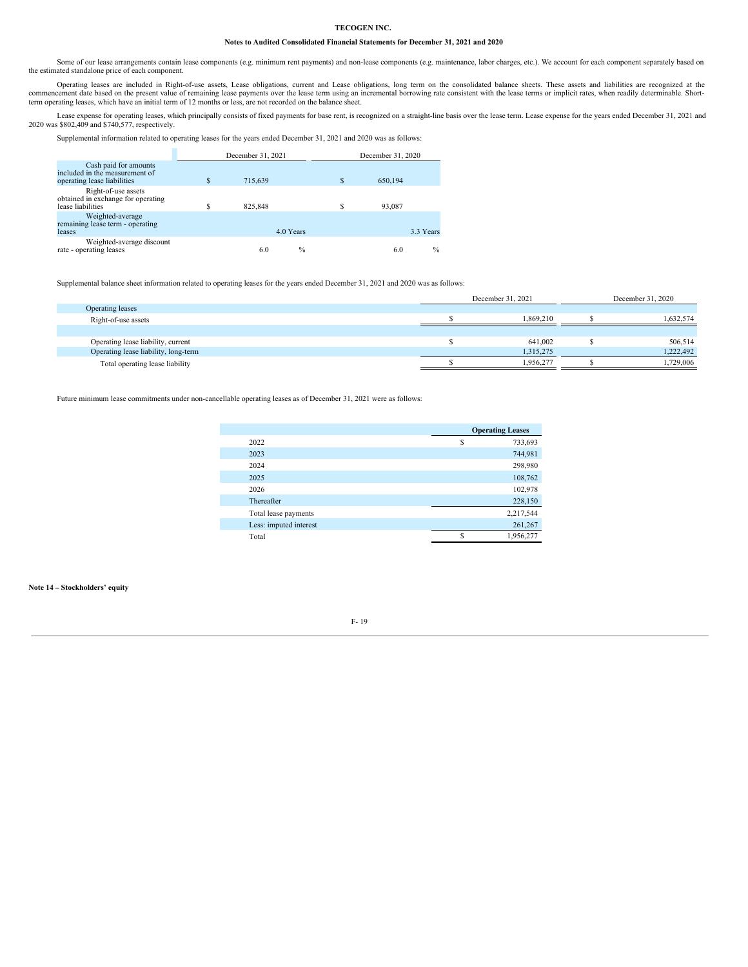# **Notes to Audited Consolidated Financial Statements for December 31, 2021 and 2020**

Some of our lease arrangements contain lease components (e.g. minimum rent payments) and non-lease components (e.g. maintenance, labor charges, etc.). We account for each component separately based on the estimated standalone price of each component.

Operating leases are included in Right-of-use assets, Lease obligations, current and Lease obligations, long term on the consolidated balance sheets. These assets and liabilities are recognized at the commencement date based on the present value of remaining lease payments over the lease term using an incremental borrowing rate consistent with the lease terms or implicit rates, when readily determinable. Short-<br>term ope

Lease expense for operating leases, which principally consists of fixed payments for base rent, is recognized on a straight-line basis over the lease term. Lease expense for the years ended December 31, 2021 and 2020 was \$802,409 and \$740,577, respectively.

Supplemental information related to operating leases for the years ended December 31, 2021 and 2020 was as follows:

|                                                                                        | December 31, 2021 |      | December 31, 2020 |               |  |  |  |
|----------------------------------------------------------------------------------------|-------------------|------|-------------------|---------------|--|--|--|
| Cash paid for amounts<br>included in the measurement of<br>operating lease liabilities | 715,639           | S.   | 650,194           |               |  |  |  |
| Right-of-use assets<br>obtained in exchange for operating<br>lease liabilities         | 825,848           | S    | 93.087            |               |  |  |  |
| Weighted-average<br>remaining lease term - operating<br>leases                         | 4.0 Years         |      |                   | 3.3 Years     |  |  |  |
| Weighted-average discount<br>rate - operating leases                                   | 6.0               | $\%$ | 6.0               | $\frac{0}{0}$ |  |  |  |

Supplemental balance sheet information related to operating leases for the years ended December 31, 2021 and 2020 was as follows:

|                                      | December 31, 2021 | December 31, 2020 |           |  |
|--------------------------------------|-------------------|-------------------|-----------|--|
| Operating leases                     |                   |                   |           |  |
| Right-of-use assets                  | 1.869.210         |                   | 1,632,574 |  |
|                                      |                   |                   |           |  |
| Operating lease liability, current   | 641,002           |                   | 506,514   |  |
| Operating lease liability, long-term | 1,315,275         |                   | 1,222,492 |  |
| Total operating lease liability      | 1,956,277         |                   | 1,729,006 |  |

Future minimum lease commitments under non-cancellable operating leases as of December 31, 2021 were as follows:

|                        |   | <b>Operating Leases</b> |
|------------------------|---|-------------------------|
| 2022                   | S | 733,693                 |
| 2023                   |   | 744,981                 |
| 2024                   |   | 298,980                 |
| 2025                   |   | 108,762                 |
| 2026                   |   | 102,978                 |
| Thereafter             |   | 228,150                 |
| Total lease payments   |   | 2,217,544               |
| Less: imputed interest |   | 261,267                 |
| Total                  |   | 1,956,277               |

**Note 14 – Stockholders' equity**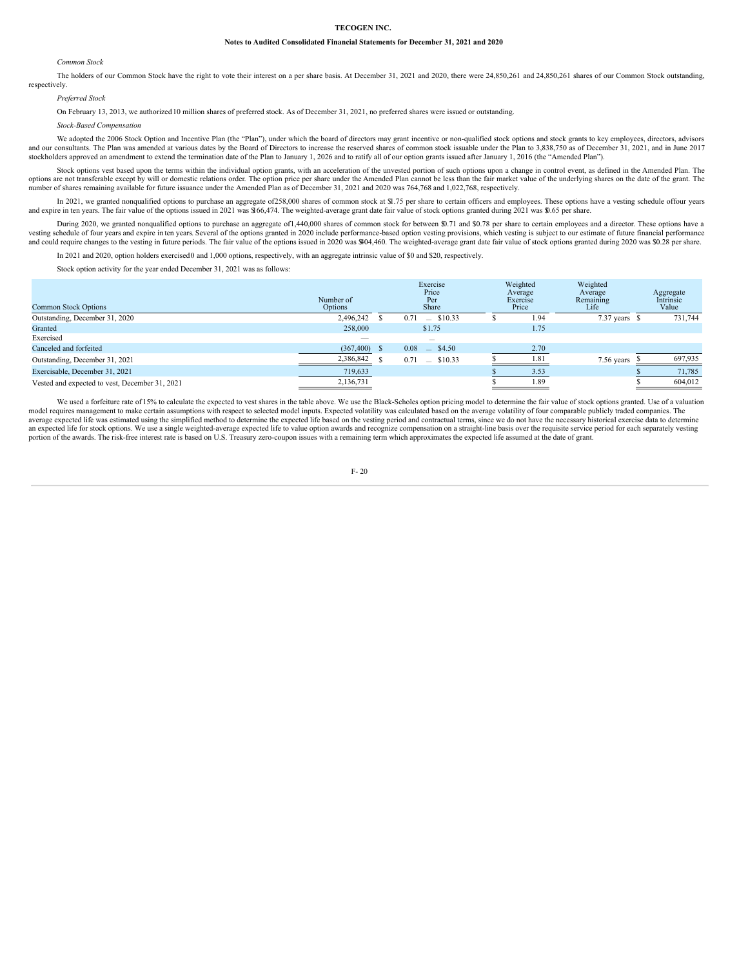# **Notes to Audited Consolidated Financial Statements for December 31, 2021 and 2020**

#### *Common Stock*

The holders of our Common Stock have the right to vote their interest on a per share basis. At December 31, 2021 and 2020, there were 24,850,261 and 24,850,261 shares of our Common Stock outstanding. respectively.

#### *Preferred Stock*

On February 13, 2013, we authorized10 million shares of preferred stock. As of December 31, 2021, no preferred shares were issued or outstanding.

# *Stock-Based Compensation*

We adopted the 2006 Stock Option and Incentive Plan (the "Plan"), under which the board of directors may grant incentive or non-qualified stock options and stock grants to key employees, directors, advisors and our consultants. The Plan was amended at various dates by the Board of Directors to increase the reserved shares of common stock issuable under the Plan to 3,838,750 as of December 31, 2021, and in June 2017 stockholders approved an amendment to extend the termination date of the Plan to January 1, 2026 and to ratify all of our option grants issued after January 1, 2016 (the "Amended Plan").

Stock options vest based upon the terms within the individual option grants, with an acceleration of the unvested portion of such options upon a change in control event, as defined in the Amended Plan. The options are not transferable except by will or domestic relations order. The option price per share under the Amended Plan cannot be less than the fair market value of the underlying shares on the date of the grant. The number of shares remaining available for future issuance under the Amended Plan as of December 31, 2021 and 2020 was 764,768 and 1,022,768, respectively.

In 2021, we granted nonqualified options to purchase an aggregate of258,000 shares of common stock at \$1.75 per share to certain officers and employees. These options have a vesting schedule offour years and expire in ten years. The fair value of the options issued in 2021 was \$166,474. The weighted-average grant date fair value of stock options granted during 2021 was \$0.65 per share.

During 2020, we granted nonqualified options to purchase an aggregate of 1,440,000 shares of common stock for between \$0.71 and \$0.78 per share to certain employees and a director. These options have a vesting schedule of and could require changes to the vesting in future periods. The fair value of the options issued in 2020 was \$404,460. The weighted-average grant date fair value of stock options granted during 2020 was \$0.28 per share.

In 2021 and 2020, option holders exercised0 and 1,000 options, respectively, with an aggregate intrinsic value of \$0 and \$20, respectively.

Stock option activity for the year ended December 31, 2021 was as follows:

| <b>Common Stock Options</b>                    | Number of<br>Options | Exercise<br>Price<br>Per<br>Share           | Weighted<br>Average<br>Exercise<br>Price | Weighted<br>Average<br>Remaining<br>Life | Aggregate<br>Intrinsic<br>Value |
|------------------------------------------------|----------------------|---------------------------------------------|------------------------------------------|------------------------------------------|---------------------------------|
| Outstanding, December 31, 2020                 | 2,496,242            | \$10.33<br>0.71                             | 1.94                                     | $7.37$ years $\$                         | 731,744                         |
| Granted                                        | 258,000              | \$1.75                                      | 1.75                                     |                                          |                                 |
| Exercised                                      | --                   |                                             |                                          |                                          |                                 |
| Canceled and forfeited                         | (367, 400)           | $-$ \$4.50<br>0.08                          | 2.70                                     |                                          |                                 |
| Outstanding, December 31, 2021                 | 2,386,842            | \$10.33<br>0.71<br>$\overline{\phantom{a}}$ | 1.81                                     | 7.56 years                               | 697,935                         |
| Exercisable, December 31, 2021                 | 719,633              |                                             | 3.53                                     |                                          | 71,785                          |
| Vested and expected to vest, December 31, 2021 | 2,136,731            |                                             | 1.89                                     |                                          | 604,012                         |

We used a forfeiture rate of 15% to calculate the expected to vest shares in the table above. We use the Black-Scholes option pricing model to determine the fair value of stock options granted. Use of a valuation model requires management to make certain assumptions with respect to selected model inputs. Expected volatility was calculated based on the average volatility of four comparable publicly traded companies. The average expe an expected life for stock options. We use a single weighted-average expected life to value option awards and recognize compensation on a straight-line basis over the requisite service period for each separately vesting an portion of the awards. The risk-free interest rate is based on U.S. Treasury zero-coupon issues with a remaining term which approximates the expected life assumed at the date of grant.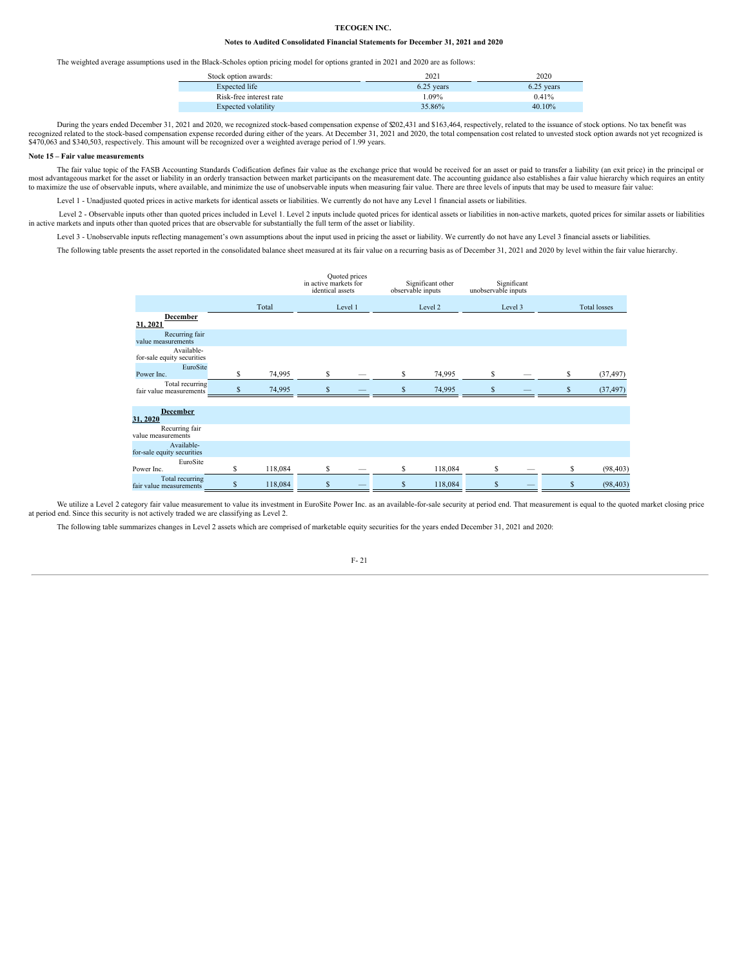# **Notes to Audited Consolidated Financial Statements for December 31, 2021 and 2020**

The weighted average assumptions used in the Black-Scholes option pricing model for options granted in 2021 and 2020 are as follows:

| Stock option awards:       | 2021         | 2020         |
|----------------------------|--------------|--------------|
| Expected life              | $6.25$ vears | $6.25$ years |
| Risk-free interest rate    | 1.09%        | 0.41%        |
| <b>Expected volatility</b> | 35.86%       | 40.10%       |

During the years ended December 31, 2021 and 2020, we recognized stock-based compensation expense of \$202,431 and \$163,464, respectively, related to the issuance of stock options. No tax benefit was recognized related to the stock-based compensation expense recorded during either of the years. At December 31, 2021 and 2020, the total compensation cost related to unvested stock option awards not yet recognized is \$470,063 and \$340,503, respectively. This amount will be recognized over a weighted average period of 1.99 years.

#### **Note 15 – Fair value measurements**

The fair value topic of the FASB Accounting Standards Codification defines fair value as the exchange price that would be received for an asset or paid to transfer a liability (an exit price) in the principal or most advantageous market for the asset or liability in an orderly transaction between market participants on the measurement date. The accounting guidance also establishes a fair value hierarchy which requires an entity to

Level 1 - Unadjusted quoted prices in active markets for identical assets or liabilities. We currently do not have any Level 1 financial assets or liabilities.

Level 2 - Observable inputs other than quoted prices included in Level 1. Level 2 inputs include quoted prices for identical assets or liabilities in non-active markets, quoted prices for similar assets or liabilities in active markets and inputs other than quoted prices that are observable for substantially the full term of the asset or liability.

Level 3 - Unobservable inputs reflecting management's own assumptions about the input used in pricing the asset or liability. We currently do not have any Level 3 financial assets or liabilities.

The following table presents the asset reported in the consolidated balance sheet measured at its fair value on a recurring basis as of December 31, 2021 and 2020 by level within the fair value hierarchy.

|                                            |    |         | in active markets for<br>identical assets | Quoted prices |    | Significant other<br>observable inputs | unobservable inputs | Significant |                     |
|--------------------------------------------|----|---------|-------------------------------------------|---------------|----|----------------------------------------|---------------------|-------------|---------------------|
|                                            |    | Total   |                                           | Level 1       |    | Level 2                                |                     | Level 3     | <b>Total losses</b> |
| December<br>31, 2021                       |    |         |                                           |               |    |                                        |                     |             |                     |
| Recurring fair<br>value measurements       |    |         |                                           |               |    |                                        |                     |             |                     |
| Available-<br>for-sale equity securities   |    |         |                                           |               |    |                                        |                     |             |                     |
| EuroSite<br>Power Inc.                     | \$ | 74,995  | s                                         |               | S  | 74,995                                 | \$                  |             | \$<br>(37, 497)     |
| Total recurring<br>fair value measurements | \$ | 74,995  | \$                                        |               | \$ | 74,995                                 | \$                  |             | \$<br>(37, 497)     |
| <b>December</b><br>31, 2020                |    |         |                                           |               |    |                                        |                     |             |                     |
| Recurring fair<br>value measurements       |    |         |                                           |               |    |                                        |                     |             |                     |
| Available-<br>for-sale equity securities   |    |         |                                           |               |    |                                        |                     |             |                     |
| EuroSite<br>Power Inc.                     | \$ | 118,084 | S                                         |               | \$ | 118,084                                | \$                  |             | \$<br>(98, 403)     |
| Total recurring<br>fair value measurements | Ŝ  | 118,084 | S                                         |               | \$ | 118,084                                | \$                  |             | \$<br>(98, 403)     |

We utilize a Level 2 category fair value measurement to value its investment in EuroSite Power Inc. as an available-for-sale security at period end. That measurement is equal to the quoted market closing price at period en

The following table summarizes changes in Level 2 assets which are comprised of marketable equity securities for the years ended December 31, 2021 and 2020: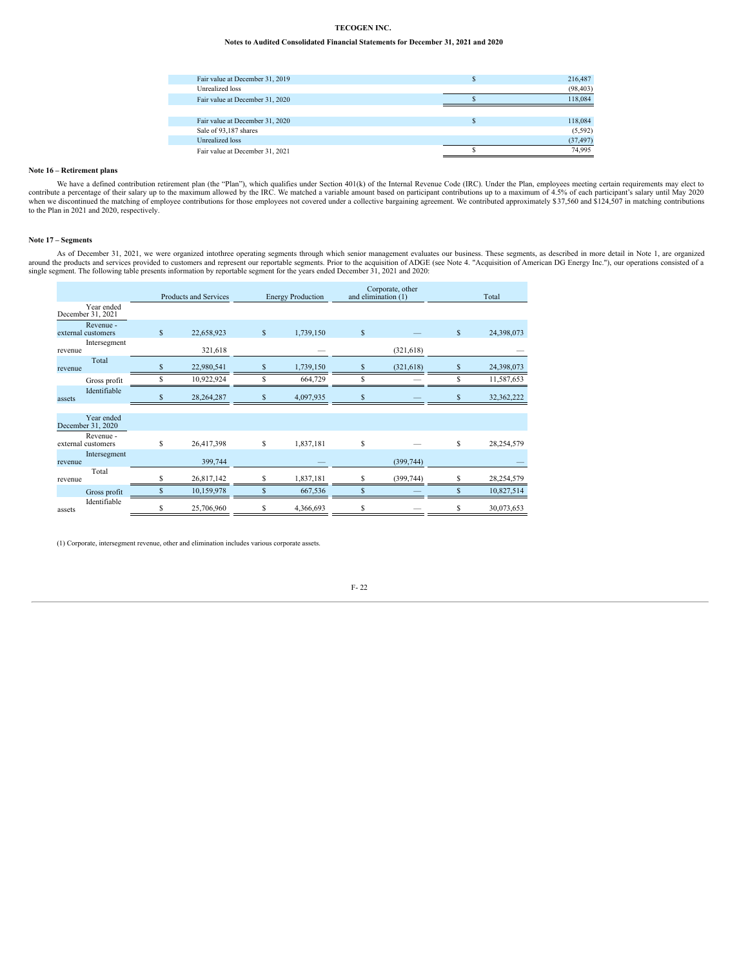# **Notes to Audited Consolidated Financial Statements for December 31, 2021 and 2020**

| Fair value at December 31, 2019 | 216,487   |
|---------------------------------|-----------|
| Unrealized loss                 | (98, 403) |
| Fair value at December 31, 2020 | 118,084   |
|                                 |           |
| Fair value at December 31, 2020 | 118,084   |
| Sale of 93,187 shares           | (5, 592)  |
| Unrealized loss                 | (37, 497) |
| Fair value at December 31, 2021 | 74,995    |
|                                 |           |

# **Note 16 – Retirement plans**

We have a defined contribution retirement plan (the "Plan"), which qualifies under Section 401(k) of the Internal Revenue Code (IRC). Under the Plan, employees meeting certain requirements may elect to contribute a percent

# **Note 17 – Segments**

As of December 31, 2021, we were organized intothree operating segments through which senior management evaluates our business. These segments, as described in more detail in Note 1, are organized around the products and services provided to customers and represent our reportable segments. Prior to the acquisition of ADGE (see Note 4. "Acquisition of American DG Energy Inc."), our operations consisted of a<br>single se

|         |                                 |             | <b>Products and Services</b> |                         | <b>Energy Production</b> |    | Corporate, other<br>and elimination (1) |    | Total      |
|---------|---------------------------------|-------------|------------------------------|-------------------------|--------------------------|----|-----------------------------------------|----|------------|
|         | Year ended<br>December 31, 2021 |             |                              |                         |                          |    |                                         |    |            |
|         | Revenue -<br>external customers | $\mathbf S$ | 22,658,923                   | $\mathbb{S}$            | 1,739,150                | S. |                                         | \$ | 24,398,073 |
| revenue | Intersegment                    |             | 321,618                      |                         |                          |    | (321, 618)                              |    |            |
| revenue | Total                           | \$          | 22,980,541                   | S                       | 1,739,150                | S  | (321, 618)                              |    | 24,398,073 |
|         | Gross profit                    | \$          | 10,922,924                   | S                       | 664,729                  | Ś  |                                         | S  | 11,587,653 |
| assets  | Identifiable                    | \$          | 28, 264, 287                 |                         | 4,097,935                | S  |                                         |    | 32,362,222 |
|         |                                 |             |                              |                         |                          |    |                                         |    |            |
|         | Year ended<br>December 31, 2020 |             |                              |                         |                          |    |                                         |    |            |
|         | Revenue -<br>external customers | S           | 26,417,398                   | S                       | 1,837,181                | \$ |                                         | \$ | 28,254,579 |
| revenue | Intersegment                    |             | 399,744                      |                         |                          |    | (399, 744)                              |    |            |
| revenue | Total                           | \$          | 26,817,142                   | S                       | 1,837,181                | s  | (399, 744)                              | \$ | 28,254,579 |
|         | Gross profit                    | \$          | 10,159,978                   | $\overline{\mathbf{s}}$ | 667,536                  | Ś  |                                         | \$ | 10,827,514 |
| assets  | Identifiable                    | \$          | 25,706,960                   | \$                      | 4,366,693                | Ś  |                                         | \$ | 30,073,653 |

(1) Corporate, intersegment revenue, other and elimination includes various corporate assets.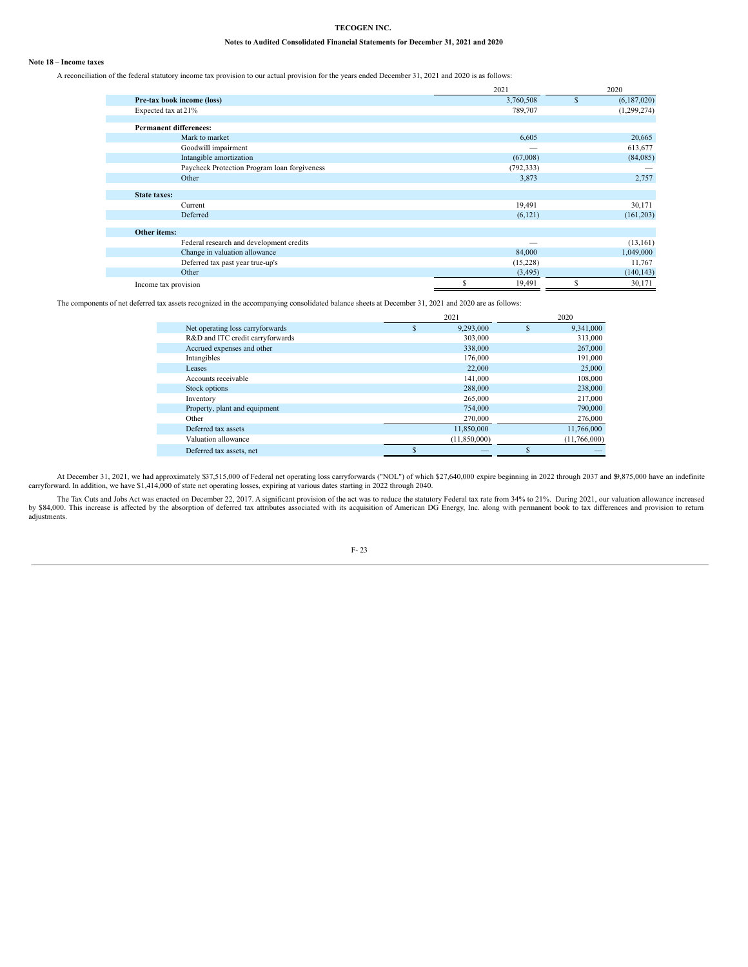# **Notes to Audited Consolidated Financial Statements for December 31, 2021 and 2020**

# **Note 18 – Income taxes**

A reconciliation of the federal statutory income tax provision to our actual provision for the years ended December 31, 2021 and 2020 is as follows:

|                                              | 2021        |    | 2020        |
|----------------------------------------------|-------------|----|-------------|
| Pre-tax book income (loss)                   | 3,760,508   | S. | (6,187,020) |
| Expected tax at 21%                          | 789,707     |    | (1,299,274) |
|                                              |             |    |             |
| <b>Permanent differences:</b>                |             |    |             |
| Mark to market                               | 6,605       |    | 20,665      |
| Goodwill impairment                          |             |    | 613,677     |
| Intangible amortization                      | (67,008)    |    | (84,085)    |
| Paycheck Protection Program loan forgiveness | (792, 333)  |    |             |
| Other                                        | 3,873       |    | 2,757       |
|                                              |             |    |             |
| <b>State taxes:</b>                          |             |    |             |
| Current                                      | 19,491      |    | 30,171      |
| Deferred                                     | (6,121)     |    | (161, 203)  |
|                                              |             |    |             |
| Other items:                                 |             |    |             |
| Federal research and development credits     | -           |    | (13,161)    |
| Change in valuation allowance                | 84,000      |    | 1,049,000   |
| Deferred tax past year true-up's             | (15,228)    |    | 11,767      |
| Other                                        | (3, 495)    |    | (140, 143)  |
| Income tax provision                         | Ś<br>19,491 | \$ | 30,171      |

The components of net deferred tax assets recognized in the accompanying consolidated balance sheets at December 31, 2021 and 2020 are as follows:

|                                  | 2021         | 2020 |              |  |
|----------------------------------|--------------|------|--------------|--|
| Net operating loss carryforwards | 9,293,000    | \$   | 9,341,000    |  |
| R&D and ITC credit carryforwards | 303,000      |      | 313,000      |  |
| Accrued expenses and other       | 338,000      |      | 267,000      |  |
| Intangibles                      | 176,000      |      | 191,000      |  |
| Leases                           | 22,000       |      | 25,000       |  |
| Accounts receivable              | 141,000      |      | 108,000      |  |
| Stock options                    | 288,000      |      | 238,000      |  |
| Inventory                        | 265,000      |      | 217,000      |  |
| Property, plant and equipment    | 754,000      |      | 790,000      |  |
| Other                            | 270,000      |      | 276,000      |  |
| Deferred tax assets              | 11,850,000   |      | 11,766,000   |  |
| Valuation allowance              | (11,850,000) |      | (11,766,000) |  |
| Deferred tax assets, net         |              |      |              |  |

At December 31, 2021, we had approximately \$37,515,000 of Federal net operating loss carryforwards ("NOL") of which \$27,640,000 expire beginning in 2022 through 2037 and \$9,875,000 have an indefinite carryforward. In addit

The Tax Cuts and Jobs Act was enacted on December 22, 2017. A significant provision of the act was to reduce the statutory Federal tax rate from 34% to 21%. During 2021, our valuation allowance increased by \$84,000. This i adjustments.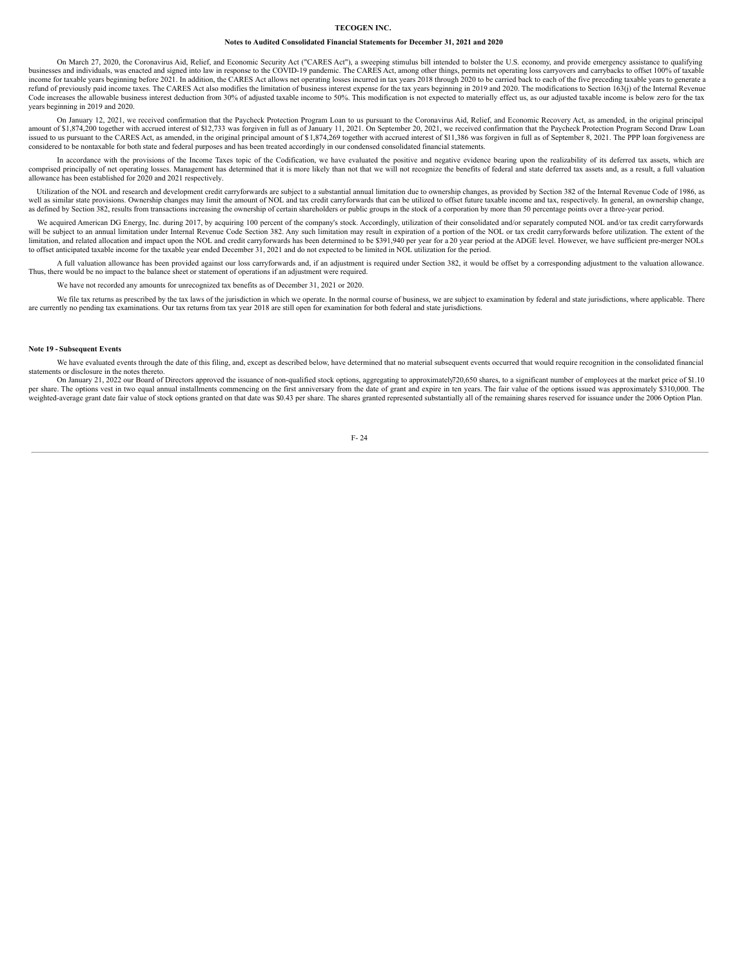# **Notes to Audited Consolidated Financial Statements for December 31, 2021 and 2020**

On March 27, 2020, the Coronavirus Aid, Relief, and Economic Security Act ("CARES Act"), a sweeping stimulus bill intended to bolster the U.S. economy, and provide emergency assistance to qualifying businesses and individu income for taxable years beginning before 2021. In addition, the CARES Act allows net operating losses incurred in tax years 2018 through 2020 to be carried back to each of the five preceding taxable years to generate a refund of previously paid income taxes. The CARES Act also modifies the limitation of business interest expense for the tax years beginning in 2019 and 2020. The modifications to Section 163(j) of the Internal Revenue<br>Code years beginning in 2019 and 2020.

On January 12, 2021, we received confirmation that the Paycheck Protection Program Loan to us pursuant to the Coronavirus Aid, Relief, and Economic Recovery Act, as amended, in the original principal amount of \$1,874,200 together with accrued interest of \$12,733 was forgiven in full as of January 11, 2021. On September 20, 2021, we received confirmation that the Paycheck Protection Program Second Draw Loan issued to us pursuant to the CARES Act, as amended, in the original principal amount of \$1,874,269 together with accrued interest of \$11,386 was forgiven in full as of September 8, 2021. The PPP loan forgiveness are considered to be nontaxable for both state and federal purposes and has been treated accordingly in our condensed consolidated financial statements.

In accordance with the provisions of the Income Taxes topic of the Codification, we have evaluated the positive and negative evidence bearing upon the realizability of its deferred tax assets, which are comprised principal allowance has been established for 2020 and 2021 respectively.

Utilization of the NOL and research and development credit carryforwards are subject to a substantial annual limitation due to ownership changes, as provided by Section 382 of the Internal Revenue Code of 1986, as well as similar state provisions. Ownership changes may limit the amount of NOL and tax credit carryforwards that can be utilized to offset future taxable income and tax, respectively. In general, an ownership change, as defined by Section 382, results from transactions increasing the ownership of certain shareholders or public groups in the stock of a corporation by more than 50 percentage points over a three-year period.

We acquired American DG Energy, Inc. during 2017, by acquiring 100 percent of the company's stock. Accordingly, utilization of their consolidated and/or separately computed NOL and/or tax credit carryforwards will be subject to an annual limitation under Internal Revenue Code Section 382. Any such limitation may result in expiration of a portion of the NOL or tax credit carryforwards before utilization. The extent of the limitation, and related allocation and impact upon the NOL and credit carryforwards has been determined to be \$391,940 per year for a 20 year period at the ADGE level. However, we have sufficient pre-merger NOLs to offset

A full valuation allowance has been provided against our loss carryforwards and, if an adjustment is required under Section 382, it would be offset by a corresponding adjustment to the valuation allowance. Thus, there would be no impact to the balance sheet or statement of operations if an adjustment were required.

We have not recorded any amounts for unrecognized tax benefits as of December 31, 2021 or 2020.

We file tax returns as prescribed by the tax laws of the jurisdiction in which we operate. In the normal course of business, we are subject to examination by federal and state jurisdictions, where applicable. There are currently no pending tax examinations. Our tax returns from tax year 2018 are still open for examination for both federal and state jurisdictions.

#### **Note 19 - Subsequent Events**

We have evaluated events through the date of this filing, and, except as described below, have determined that no material subsequent events occurred that would require recognition in the consolidated financial statements or disclosure in the notes thereto.

On January 21, 2022 our Board of Directors approved the issuance of non-qualified stock options, aggregating to approximately720,650 shares, to a significant number of employees at the market price of \$1.10 per share. The options vest in two equal annual installments commencing on the first anniversary from the date of grant and expire in ten years. The fair value of the options issued was approximately \$310,000. The weighted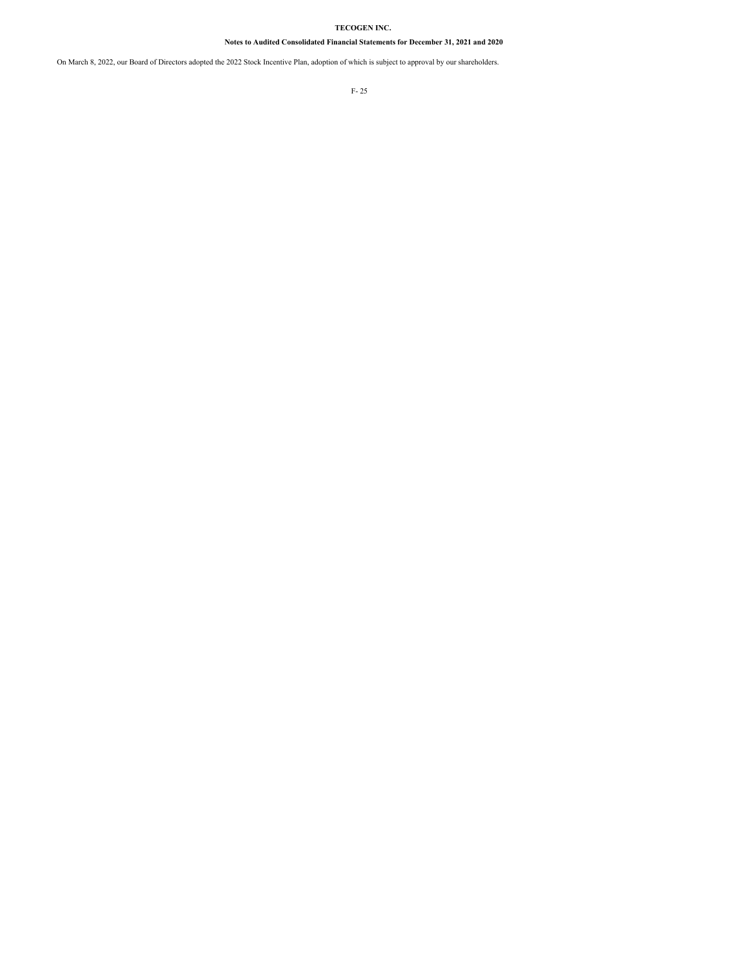# **Notes to Audited Consolidated Financial Statements for December 31, 2021 and 2020**

On March 8, 2022, our Board of Directors adopted the 2022 Stock Incentive Plan, adoption of which is subject to approval by our shareholders.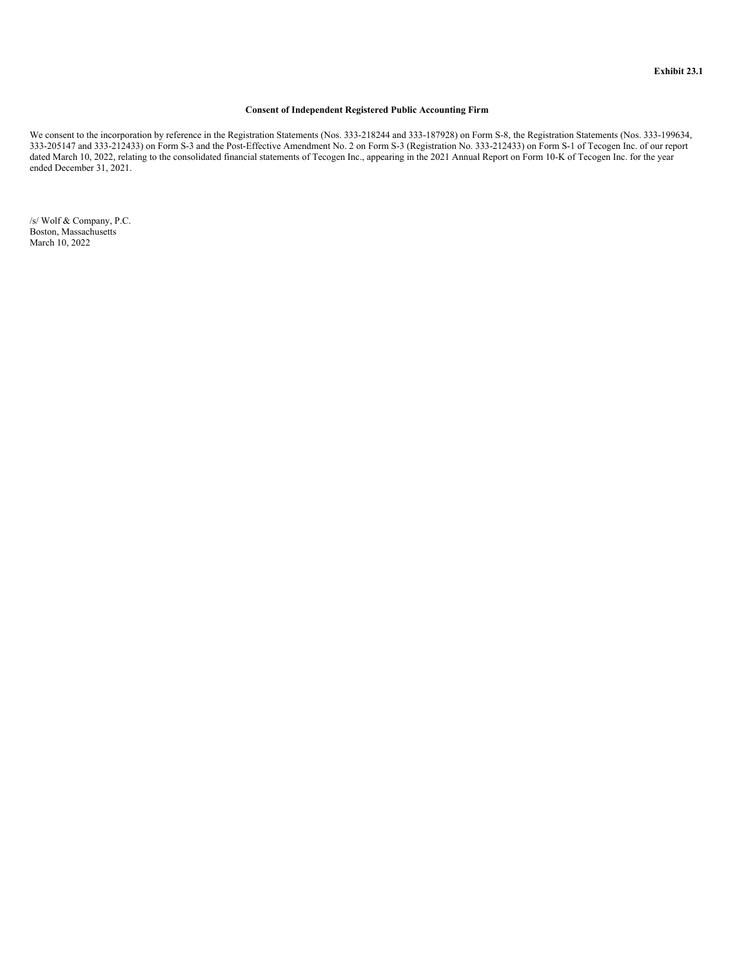# **Consent of Independent Registered Public Accounting Firm**

<span id="page-69-0"></span>We consent to the incorporation by reference in the Registration Statements (Nos. 333-218244 and 333-187928) on Form S-8, the Registration Statements (Nos. 333-199634, 333-205147 and 333-212433) on Form S-3 and the Post-Effective Amendment No. 2 on Form S-3 (Registration No. 333-212433) on Form S-1 of Tecogen Inc. of our report dated March 10, 2022, relating to the consolidated financial statements of Tecogen Inc., appearing in the 2021 Annual Report on Form 10-K of Tecogen Inc. for the year ended December 31, 2021.

/s/ Wolf & Company, P.C. Boston, Massachusetts March 10, 2022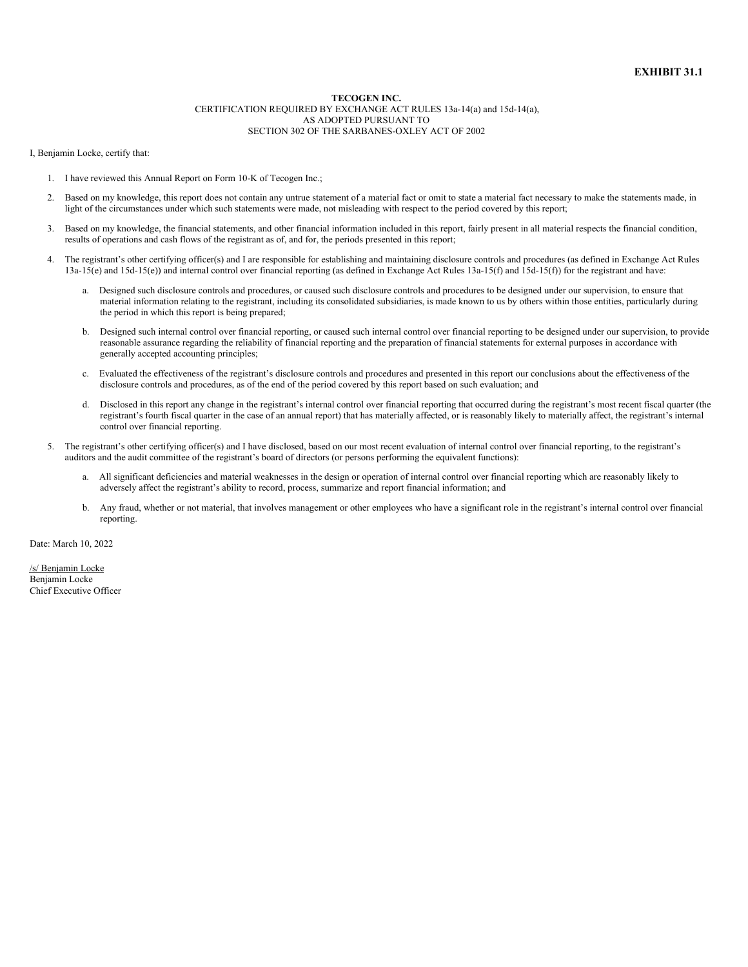# **TECOGEN INC.** CERTIFICATION REQUIRED BY EXCHANGE ACT RULES 13a-14(a) and 15d-14(a), AS ADOPTED PURSUANT TO SECTION 302 OF THE SARBANES-OXLEY ACT OF 2002

<span id="page-70-0"></span>I, Benjamin Locke, certify that:

- 1. I have reviewed this Annual Report on Form 10-K of Tecogen Inc.;
- 2. Based on my knowledge, this report does not contain any untrue statement of a material fact or omit to state a material fact necessary to make the statements made, in light of the circumstances under which such statements were made, not misleading with respect to the period covered by this report;
- 3. Based on my knowledge, the financial statements, and other financial information included in this report, fairly present in all material respects the financial condition, results of operations and cash flows of the registrant as of, and for, the periods presented in this report;
- 4. The registrant's other certifying officer(s) and I are responsible for establishing and maintaining disclosure controls and procedures (as defined in Exchange Act Rules  $13a-15(e)$  and  $15d-15(e)$  and internal control over financial reporting (as defined in Exchange Act Rules  $13a-15(f)$  and  $15d-15(f)$ ) for the registrant and have:
	- a. Designed such disclosure controls and procedures, or caused such disclosure controls and procedures to be designed under our supervision, to ensure that material information relating to the registrant, including its consolidated subsidiaries, is made known to us by others within those entities, particularly during the period in which this report is being prepared;
	- b. Designed such internal control over financial reporting, or caused such internal control over financial reporting to be designed under our supervision, to provide reasonable assurance regarding the reliability of financial reporting and the preparation of financial statements for external purposes in accordance with generally accepted accounting principles;
	- c. Evaluated the effectiveness of the registrant's disclosure controls and procedures and presented in this report our conclusions about the effectiveness of the disclosure controls and procedures, as of the end of the period covered by this report based on such evaluation; and
	- d. Disclosed in this report any change in the registrant's internal control over financial reporting that occurred during the registrant's most recent fiscal quarter (the registrant's fourth fiscal quarter in the case of an annual report) that has materially affected, or is reasonably likely to materially affect, the registrant's internal control over financial reporting.
- 5. The registrant's other certifying officer(s) and I have disclosed, based on our most recent evaluation of internal control over financial reporting, to the registrant's auditors and the audit committee of the registrant's board of directors (or persons performing the equivalent functions):
	- a. All significant deficiencies and material weaknesses in the design or operation of internal control over financial reporting which are reasonably likely to adversely affect the registrant's ability to record, process, summarize and report financial information; and
	- b. Any fraud, whether or not material, that involves management or other employees who have a significant role in the registrant's internal control over financial reporting.

Date: March 10, 2022

/s/ Benjamin Locke Benjamin Locke Chief Executive Officer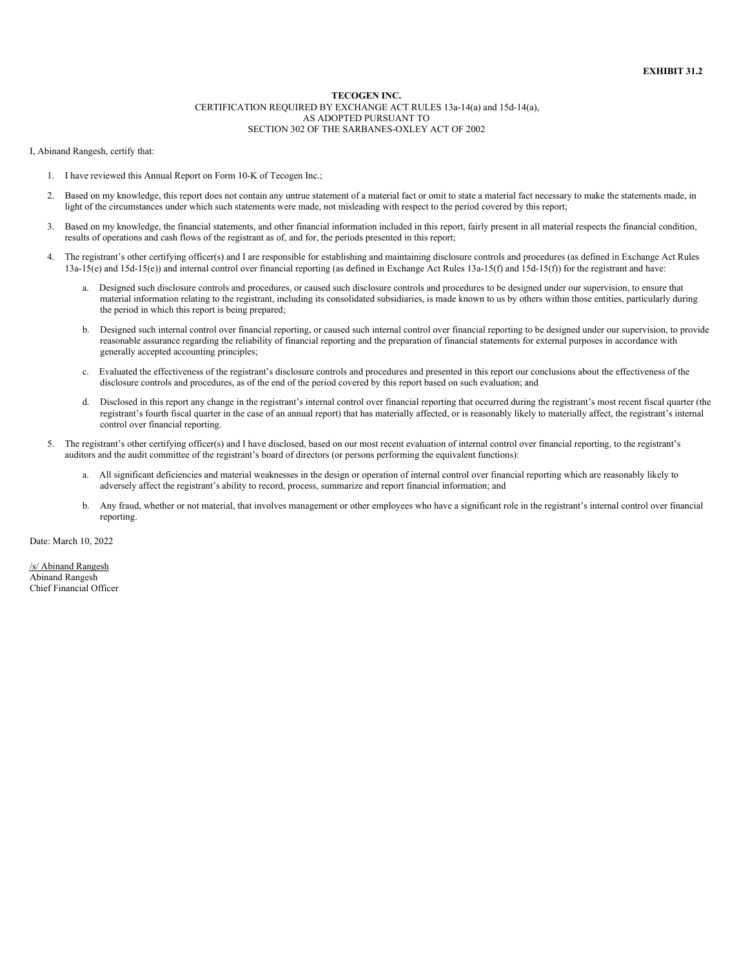# **TECOGEN INC.** CERTIFICATION REQUIRED BY EXCHANGE ACT RULES 13a-14(a) and 15d-14(a), AS ADOPTED PURSUANT TO SECTION 302 OF THE SARBANES-OXLEY ACT OF 2002

<span id="page-71-0"></span>I, Abinand Rangesh, certify that:

- 1. I have reviewed this Annual Report on Form 10-K of Tecogen Inc.;
- 2. Based on my knowledge, this report does not contain any untrue statement of a material fact or omit to state a material fact necessary to make the statements made, in light of the circumstances under which such statements were made, not misleading with respect to the period covered by this report;
- 3. Based on my knowledge, the financial statements, and other financial information included in this report, fairly present in all material respects the financial condition, results of operations and cash flows of the registrant as of, and for, the periods presented in this report;
- 4. The registrant's other certifying officer(s) and I are responsible for establishing and maintaining disclosure controls and procedures (as defined in Exchange Act Rules  $13a-15(e)$  and  $15d-15(e)$ ) and internal control over financial reporting (as defined in Exchange Act Rules  $13a-15(f)$  and  $15d-15(f)$ ) for the registrant and have:
	- a. Designed such disclosure controls and procedures, or caused such disclosure controls and procedures to be designed under our supervision, to ensure that material information relating to the registrant, including its consolidated subsidiaries, is made known to us by others within those entities, particularly during the period in which this report is being prepared;
	- b. Designed such internal control over financial reporting, or caused such internal control over financial reporting to be designed under our supervision, to provide reasonable assurance regarding the reliability of financial reporting and the preparation of financial statements for external purposes in accordance with generally accepted accounting principles;
	- c. Evaluated the effectiveness of the registrant's disclosure controls and procedures and presented in this report our conclusions about the effectiveness of the disclosure controls and procedures, as of the end of the period covered by this report based on such evaluation; and
	- d. Disclosed in this report any change in the registrant's internal control over financial reporting that occurred during the registrant's most recent fiscal quarter (the registrant's fourth fiscal quarter in the case of an annual report) that has materially affected, or is reasonably likely to materially affect, the registrant's internal control over financial reporting.
- 5. The registrant's other certifying officer(s) and I have disclosed, based on our most recent evaluation of internal control over financial reporting, to the registrant's auditors and the audit committee of the registrant's board of directors (or persons performing the equivalent functions):
	- a. All significant deficiencies and material weaknesses in the design or operation of internal control over financial reporting which are reasonably likely to adversely affect the registrant's ability to record, process, summarize and report financial information; and
	- b. Any fraud, whether or not material, that involves management or other employees who have a significant role in the registrant's internal control over financial reporting.

Date: March 10, 2022

/s/ Abinand Rangesh Abinand Rangesh Chief Financial Officer